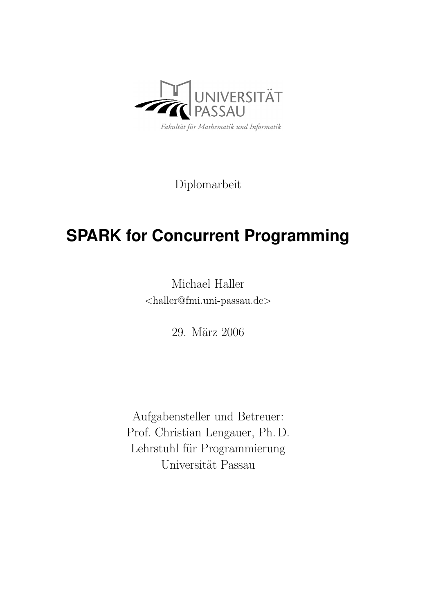

Diplomarbeit

# **SPARK for Concurrent Programming**

Michael Haller <[haller@fmi.uni-passau.de](mailto:haller@fmi.uni-passau.de)>

29. März 2006

Aufgabensteller und Betreuer: Prof. Christian Lengauer, Ph. D. Lehrstuhl für Programmierung Universität Passau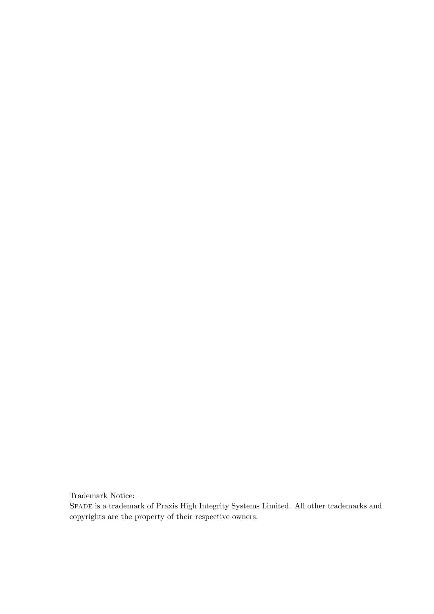Trademark Notice:

Spade is a trademark of Praxis High Integrity Systems Limited. All other trademarks and copyrights are the property of their respective owners.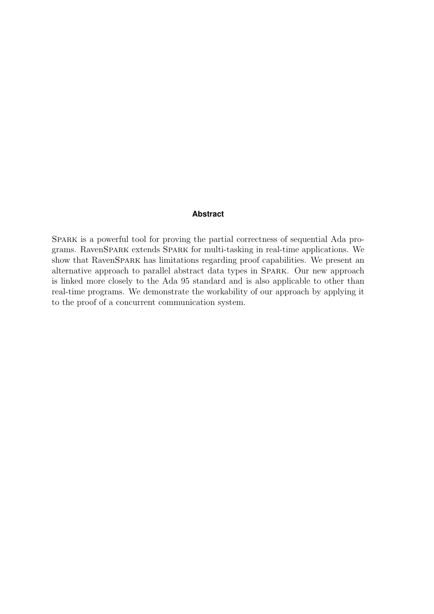#### **Abstract**

SPARK is a powerful tool for proving the partial correctness of sequential Ada programs. RavenSpark extends Spark for multi-tasking in real-time applications. We show that RavenSpark has limitations regarding proof capabilities. We present an alternative approach to parallel abstract data types in Spark. Our new approach is linked more closely to the Ada 95 standard and is also applicable to other than real-time programs. We demonstrate the workability of our approach by applying it to the proof of a concurrent communication system.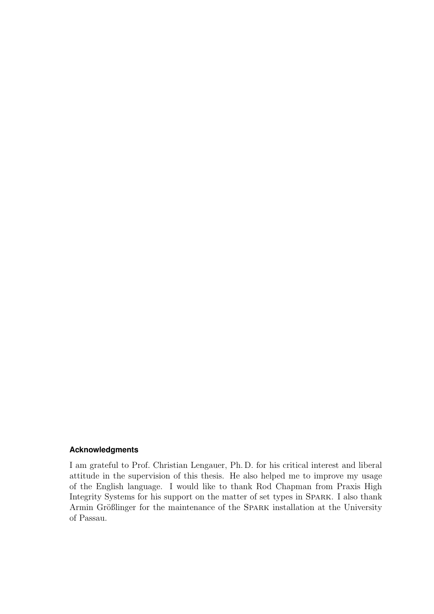#### **Acknowledgments**

I am grateful to Prof. Christian Lengauer, Ph. D. for his critical interest and liberal attitude in the supervision of this thesis. He also helped me to improve my usage of the English language. I would like to thank Rod Chapman from Praxis High Integrity Systems for his support on the matter of set types in Spark. I also thank Armin Größlinger for the maintenance of the SPARK installation at the University of Passau.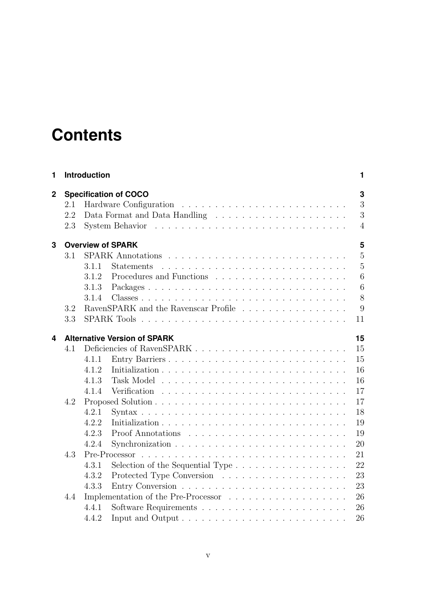# **Contents**

| 1           | <b>Introduction</b> |                              |                                                                        |                |  |  |  |  |  |  |  |
|-------------|---------------------|------------------------------|------------------------------------------------------------------------|----------------|--|--|--|--|--|--|--|
| $\mathbf 2$ |                     | <b>Specification of COCO</b> |                                                                        |                |  |  |  |  |  |  |  |
|             | 2.1                 |                              |                                                                        | 3              |  |  |  |  |  |  |  |
|             | 2.2                 |                              |                                                                        | 3              |  |  |  |  |  |  |  |
|             | 2.3                 |                              |                                                                        | $\overline{4}$ |  |  |  |  |  |  |  |
| 3           |                     |                              | <b>Overview of SPARK</b>                                               | 5              |  |  |  |  |  |  |  |
|             | 3.1                 |                              |                                                                        | $\overline{5}$ |  |  |  |  |  |  |  |
|             |                     | 3.1.1                        | <b>Statements</b>                                                      | $\overline{5}$ |  |  |  |  |  |  |  |
|             |                     | 3.1.2                        |                                                                        | 6              |  |  |  |  |  |  |  |
|             |                     | 3.1.3                        | Packages                                                               | 6              |  |  |  |  |  |  |  |
|             |                     | 3.1.4                        |                                                                        | 8              |  |  |  |  |  |  |  |
|             | 3.2                 |                              | RavenSPARK and the Ravenscar Profile                                   | 9              |  |  |  |  |  |  |  |
|             | 3.3                 |                              |                                                                        | 11             |  |  |  |  |  |  |  |
| 4           |                     |                              | <b>Alternative Version of SPARK</b>                                    | 15             |  |  |  |  |  |  |  |
|             | 4.1                 |                              |                                                                        | 15             |  |  |  |  |  |  |  |
|             |                     | 4.1.1                        | Entry Barriers                                                         | 15             |  |  |  |  |  |  |  |
|             |                     | 4.1.2                        |                                                                        | 16             |  |  |  |  |  |  |  |
|             |                     | 4.1.3                        |                                                                        | 16             |  |  |  |  |  |  |  |
|             |                     | 4.1.4                        |                                                                        | 17             |  |  |  |  |  |  |  |
|             | 4.2                 |                              |                                                                        | 17             |  |  |  |  |  |  |  |
|             |                     | 4.2.1                        |                                                                        | 18             |  |  |  |  |  |  |  |
|             |                     | 4.2.2                        |                                                                        | 19             |  |  |  |  |  |  |  |
|             |                     | 4.2.3                        |                                                                        | 19             |  |  |  |  |  |  |  |
|             |                     | 4.2.4                        |                                                                        | 20             |  |  |  |  |  |  |  |
|             | 4.3                 |                              |                                                                        | 21             |  |  |  |  |  |  |  |
|             |                     | 4.3.1                        | Selection of the Sequential Type $\dots \dots \dots \dots \dots \dots$ | 22             |  |  |  |  |  |  |  |
|             |                     | 4.3.2                        |                                                                        | 23             |  |  |  |  |  |  |  |
|             |                     | 4.3.3                        |                                                                        | 23             |  |  |  |  |  |  |  |
|             | 4.4                 |                              |                                                                        | 26             |  |  |  |  |  |  |  |
|             |                     | 4.4.1                        |                                                                        | 26             |  |  |  |  |  |  |  |
|             |                     | 4.4.2                        |                                                                        | 26             |  |  |  |  |  |  |  |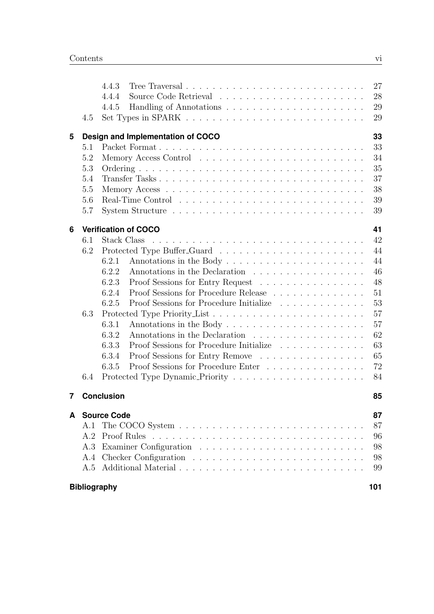|   | <b>Bibliography</b><br>101 |                                                                                             |          |  |  |  |  |  |  |  |
|---|----------------------------|---------------------------------------------------------------------------------------------|----------|--|--|--|--|--|--|--|
|   | A.5                        |                                                                                             | 99       |  |  |  |  |  |  |  |
|   | A.4                        |                                                                                             | 98       |  |  |  |  |  |  |  |
|   | A.3                        |                                                                                             | 98       |  |  |  |  |  |  |  |
|   | A.2                        |                                                                                             | 96       |  |  |  |  |  |  |  |
|   | A.1                        |                                                                                             | 87       |  |  |  |  |  |  |  |
| A |                            | <b>Source Code</b>                                                                          | 87       |  |  |  |  |  |  |  |
| 7 |                            | <b>Conclusion</b>                                                                           | 85       |  |  |  |  |  |  |  |
|   |                            |                                                                                             |          |  |  |  |  |  |  |  |
|   | 6.4                        |                                                                                             | 84       |  |  |  |  |  |  |  |
|   |                            | 6.3.5<br>Proof Sessions for Procedure Enter                                                 | 72       |  |  |  |  |  |  |  |
|   |                            | Proof Sessions for Entry Remove<br>6.3.4                                                    | 65       |  |  |  |  |  |  |  |
|   |                            | 6.3.2<br>Annotations in the Declaration<br>Proof Sessions for Procedure Initialize<br>6.3.3 | 62<br>63 |  |  |  |  |  |  |  |
|   |                            | 6.3.1                                                                                       | 57       |  |  |  |  |  |  |  |
|   | 6.3                        |                                                                                             | 57       |  |  |  |  |  |  |  |
|   |                            | 6.2.5<br>Proof Sessions for Procedure Initialize                                            | 53       |  |  |  |  |  |  |  |
|   |                            | Proof Sessions for Procedure Release<br>6.2.4                                               | 51       |  |  |  |  |  |  |  |
|   |                            | 6.2.3<br>Proof Sessions for Entry Request                                                   | 48       |  |  |  |  |  |  |  |
|   |                            | Annotations in the Declaration<br>6.2.2                                                     | 46       |  |  |  |  |  |  |  |
|   |                            | 6.2.1                                                                                       | 44       |  |  |  |  |  |  |  |
|   | 6.2                        |                                                                                             | 44       |  |  |  |  |  |  |  |
|   | 6.1                        | Stack Class                                                                                 | 42       |  |  |  |  |  |  |  |
| 6 |                            | <b>Verification of COCO</b>                                                                 | 41       |  |  |  |  |  |  |  |
|   | 5.7                        |                                                                                             | 39       |  |  |  |  |  |  |  |
|   | 5.6                        |                                                                                             | 39       |  |  |  |  |  |  |  |
|   | 5.5                        |                                                                                             | 38       |  |  |  |  |  |  |  |
|   | 5.4                        |                                                                                             | 37       |  |  |  |  |  |  |  |
|   | 5.3                        |                                                                                             | 35       |  |  |  |  |  |  |  |
|   | 5.2                        |                                                                                             | 34       |  |  |  |  |  |  |  |
|   | 5.1                        |                                                                                             | 33       |  |  |  |  |  |  |  |
| 5 |                            | 33<br>Design and Implementation of COCO                                                     |          |  |  |  |  |  |  |  |
|   | 4.5                        | Set Types in SPARK $\ldots \ldots \ldots \ldots \ldots \ldots \ldots \ldots \ldots$         | 29       |  |  |  |  |  |  |  |
|   |                            | 4.4.5                                                                                       | 29       |  |  |  |  |  |  |  |
|   |                            | 4.4.4                                                                                       | 28       |  |  |  |  |  |  |  |
|   |                            | 4.4.3                                                                                       | 27       |  |  |  |  |  |  |  |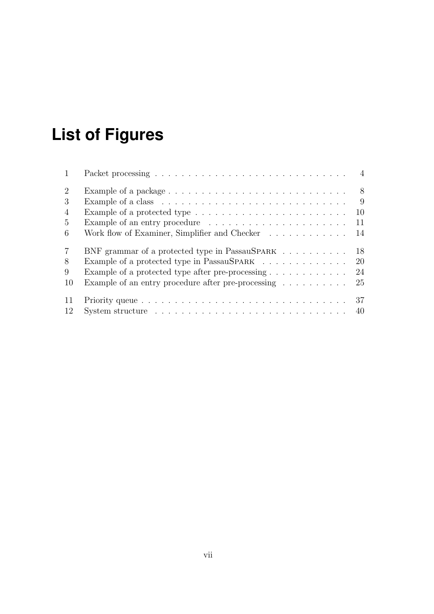# **List of Figures**

| 2              | - 8<br>Example of a package $\dots \dots \dots \dots \dots \dots \dots \dots \dots \dots \dots$ |
|----------------|-------------------------------------------------------------------------------------------------|
| 3              | 9<br>Example of a class $\dots \dots \dots \dots \dots \dots \dots \dots \dots \dots \dots$     |
| $\overline{4}$ | 10<br>Example of a protected type $\dots \dots \dots \dots \dots \dots \dots \dots$             |
| 5              | Example of an entry procedure $\dots \dots \dots \dots \dots \dots \dots \dots$<br>11           |
| 6              | Work flow of Examiner, Simplifier and Checker<br>14                                             |
| 7              | 18<br>BNF grammar of a protected type in PassauSPARK                                            |
| 8              | Example of a protected type in PassauSPARK<br>20                                                |
| 9              | 24                                                                                              |
| <b>10</b>      | Example of an entry procedure after pre-processing $\dots \dots \dots$<br>25                    |
| -11            | 37                                                                                              |
| 12             | System structure $\ldots \ldots \ldots \ldots \ldots \ldots \ldots \ldots \ldots \ldots$        |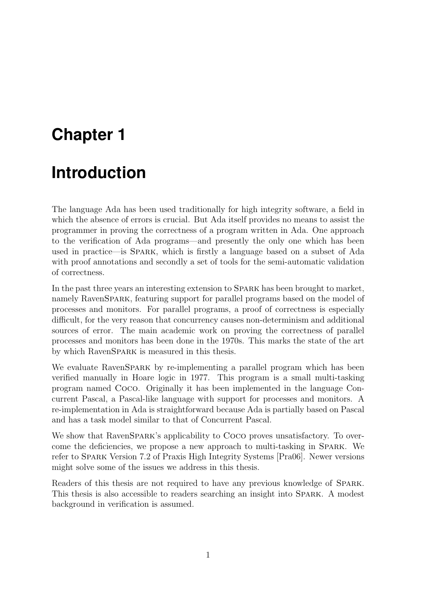# <span id="page-8-0"></span>**Chapter 1**

# **Introduction**

The language Ada has been used traditionally for high integrity software, a field in which the absence of errors is crucial. But Ada itself provides no means to assist the programmer in proving the correctness of a program written in Ada. One approach to the verification of Ada programs—and presently the only one which has been used in practice—is Spark, which is firstly a language based on a subset of Ada with proof annotations and secondly a set of tools for the semi-automatic validation of correctness.

In the past three years an interesting extension to Spark has been brought to market, namely RavenSPARK, featuring support for parallel programs based on the model of processes and monitors. For parallel programs, a proof of correctness is especially difficult, for the very reason that concurrency causes non-determinism and additional sources of error. The main academic work on proving the correctness of parallel processes and monitors has been done in the 1970s. This marks the state of the art by which RavenSpark is measured in this thesis.

We evaluate RavenSPARK by re-implementing a parallel program which has been verified manually in Hoare logic in 1977. This program is a small multi-tasking program named Coco. Originally it has been implemented in the language Concurrent Pascal, a Pascal-like language with support for processes and monitors. A re-implementation in Ada is straightforward because Ada is partially based on Pascal and has a task model similar to that of Concurrent Pascal.

We show that RavenSPARK's applicability to Coco proves unsatisfactory. To overcome the deficiencies, we propose a new approach to multi-tasking in Spark. We refer to Spark Version 7.2 of Praxis High Integrity Systems [\[Pra06\]](#page-108-1). Newer versions might solve some of the issues we address in this thesis.

Readers of this thesis are not required to have any previous knowledge of Spark. This thesis is also accessible to readers searching an insight into SPARK. A modest background in verification is assumed.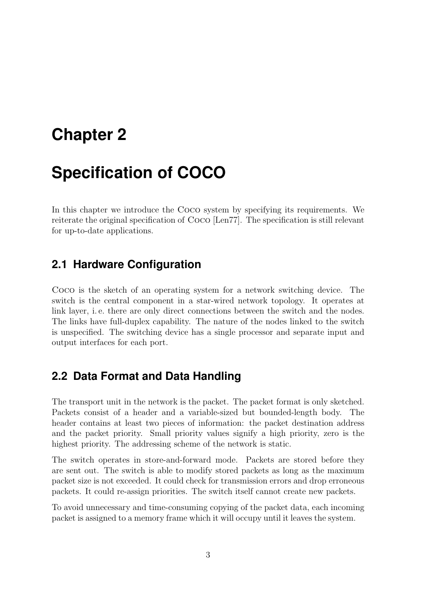# <span id="page-10-0"></span>**Chapter 2**

# **Specification of COCO**

In this chapter we introduce the Coco system by specifying its requirements. We reiterate the original specification of Coco [\[Len77\]](#page-108-2). The specification is still relevant for up-to-date applications.

### <span id="page-10-1"></span>**2.1 Hardware Configuration**

Coco is the sketch of an operating system for a network switching device. The switch is the central component in a star-wired network topology. It operates at link layer, i.e. there are only direct connections between the switch and the nodes. The links have full-duplex capability. The nature of the nodes linked to the switch is unspecified. The switching device has a single processor and separate input and output interfaces for each port.

### <span id="page-10-2"></span>**2.2 Data Format and Data Handling**

The transport unit in the network is the packet. The packet format is only sketched. Packets consist of a header and a variable-sized but bounded-length body. The header contains at least two pieces of information: the packet destination address and the packet priority. Small priority values signify a high priority, zero is the highest priority. The addressing scheme of the network is static.

The switch operates in store-and-forward mode. Packets are stored before they are sent out. The switch is able to modify stored packets as long as the maximum packet size is not exceeded. It could check for transmission errors and drop erroneous packets. It could re-assign priorities. The switch itself cannot create new packets.

To avoid unnecessary and time-consuming copying of the packet data, each incoming packet is assigned to a memory frame which it will occupy until it leaves the system.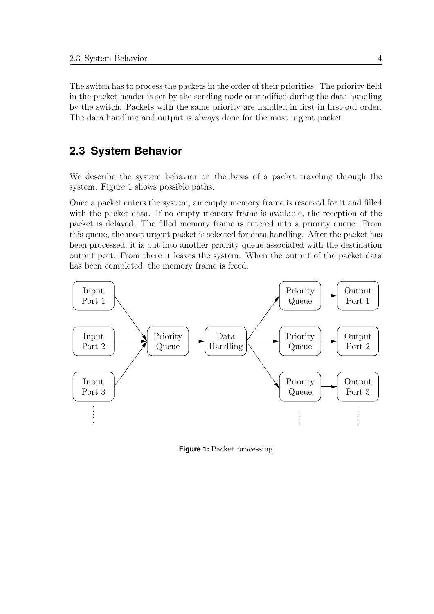The switch has to process the packets in the order of their priorities. The priority field in the packet header is set by the sending node or modified during the data handling by the switch. Packets with the same priority are handled in first-in first-out order. The data handling and output is always done for the most urgent packet.

## <span id="page-11-0"></span>**2.3 System Behavior**

We describe the system behavior on the basis of a packet traveling through the system. Figure [1](#page-11-1) shows possible paths.

Once a packet enters the system, an empty memory frame is reserved for it and filled with the packet data. If no empty memory frame is available, the reception of the packet is delayed. The filled memory frame is entered into a priority queue. From this queue, the most urgent packet is selected for data handling. After the packet has been processed, it is put into another priority queue associated with the destination output port. From there it leaves the system. When the output of the packet data has been completed, the memory frame is freed.



<span id="page-11-1"></span>**Figure 1:** Packet processing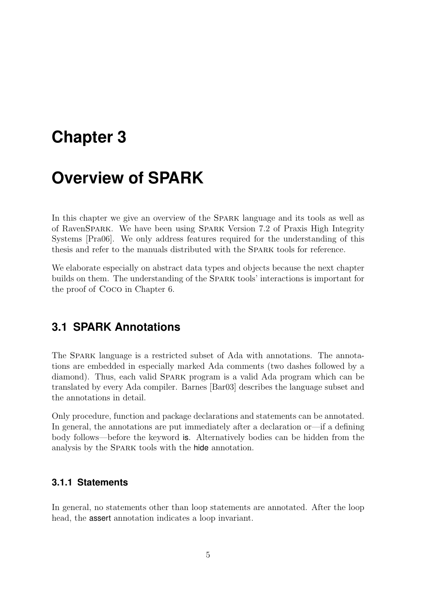# <span id="page-12-0"></span>**Chapter 3**

# **Overview of SPARK**

In this chapter we give an overview of the Spark language and its tools as well as of RavenSpark. We have been using Spark Version 7.2 of Praxis High Integrity Systems [\[Pra06\]](#page-108-1). We only address features required for the understanding of this thesis and refer to the manuals distributed with the Spark tools for reference.

We elaborate especially on abstract data types and objects because the next chapter builds on them. The understanding of the Spark tools' interactions is important for the proof of Coco in Chapter [6.](#page-48-0)

## <span id="page-12-1"></span>**3.1 SPARK Annotations**

The Spark language is a restricted subset of Ada with annotations. The annotations are embedded in especially marked Ada comments (two dashes followed by a diamond). Thus, each valid Spark program is a valid Ada program which can be translated by every Ada compiler. Barnes [\[Bar03\]](#page-108-3) describes the language subset and the annotations in detail.

Only procedure, function and package declarations and statements can be annotated. In general, the annotations are put immediately after a declaration or—if a defining body follows—before the keyword is. Alternatively bodies can be hidden from the analysis by the Spark tools with the hide annotation.

#### <span id="page-12-2"></span>**3.1.1 Statements**

In general, no statements other than loop statements are annotated. After the loop head, the assert annotation indicates a loop invariant.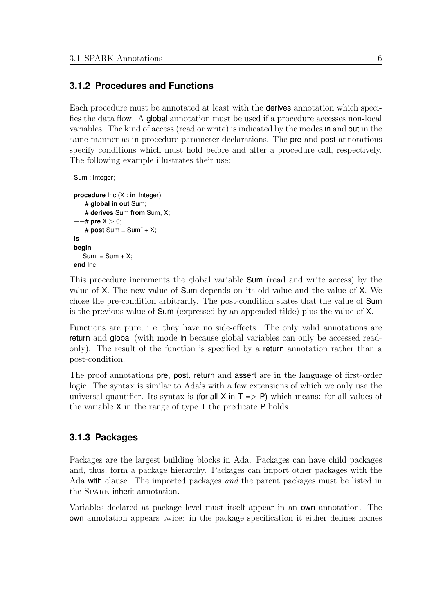#### <span id="page-13-0"></span>**3.1.2 Procedures and Functions**

Each procedure must be annotated at least with the derives annotation which specifies the data flow. A global annotation must be used if a procedure accesses non-local variables. The kind of access (read or write) is indicated by the modes in and out in the same manner as in procedure parameter declarations. The pre and post annotations specify conditions which must hold before and after a procedure call, respectively. The following example illustrates their use:

```
Sum : Integer;
```

```
procedure Inc (X : in Integer)
−−# global in out Sum;
−−# derives Sum from Sum, X;
−−# pre X > 0;
−−# post Sum = Sum˜ + X;
is
begin
  Sum := Sum + X;
end Inc;
```
This procedure increments the global variable Sum (read and write access) by the value of X. The new value of Sum depends on its old value and the value of X. We chose the pre-condition arbitrarily. The post-condition states that the value of Sum is the previous value of Sum (expressed by an appended tilde) plus the value of X.

Functions are pure, i. e. they have no side-effects. The only valid annotations are return and global (with mode in because global variables can only be accessed readonly). The result of the function is specified by a return annotation rather than a post-condition.

The proof annotations pre, post, return and assert are in the language of first-order logic. The syntax is similar to Ada's with a few extensions of which we only use the universal quantifier. Its syntax is (for all X in  $T \implies P$ ) which means: for all values of the variable X in the range of type T the predicate P holds.

#### <span id="page-13-1"></span>**3.1.3 Packages**

Packages are the largest building blocks in Ada. Packages can have child packages and, thus, form a package hierarchy. Packages can import other packages with the Ada with clause. The imported packages and the parent packages must be listed in the Spark inherit annotation.

Variables declared at package level must itself appear in an own annotation. The own annotation appears twice: in the package specification it either defines names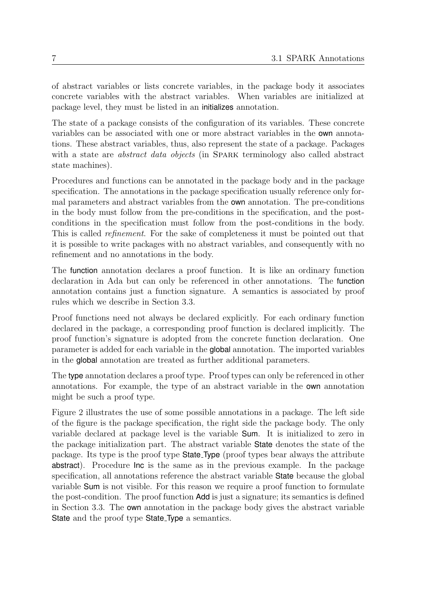of abstract variables or lists concrete variables, in the package body it associates concrete variables with the abstract variables. When variables are initialized at package level, they must be listed in an initializes annotation.

The state of a package consists of the configuration of its variables. These concrete variables can be associated with one or more abstract variables in the own annotations. These abstract variables, thus, also represent the state of a package. Packages with a state are *abstract data objects* (in SPARK terminology also called abstract state machines).

Procedures and functions can be annotated in the package body and in the package specification. The annotations in the package specification usually reference only formal parameters and abstract variables from the own annotation. The pre-conditions in the body must follow from the pre-conditions in the specification, and the postconditions in the specification must follow from the post-conditions in the body. This is called *refinement*. For the sake of completeness it must be pointed out that it is possible to write packages with no abstract variables, and consequently with no refinement and no annotations in the body.

The function annotation declares a proof function. It is like an ordinary function declaration in Ada but can only be referenced in other annotations. The function annotation contains just a function signature. A semantics is associated by proof rules which we describe in Section [3.3.](#page-18-0)

Proof functions need not always be declared explicitly. For each ordinary function declared in the package, a corresponding proof function is declared implicitly. The proof function's signature is adopted from the concrete function declaration. One parameter is added for each variable in the global annotation. The imported variables in the global annotation are treated as further additional parameters.

The type annotation declares a proof type. Proof types can only be referenced in other annotations. For example, the type of an abstract variable in the own annotation might be such a proof type.

Figure [2](#page-15-1) illustrates the use of some possible annotations in a package. The left side of the figure is the package specification, the right side the package body. The only variable declared at package level is the variable Sum. It is initialized to zero in the package initialization part. The abstract variable State denotes the state of the package. Its type is the proof type State Type (proof types bear always the attribute abstract). Procedure Inc is the same as in the previous example. In the package specification, all annotations reference the abstract variable State because the global variable Sum is not visible. For this reason we require a proof function to formulate the post-condition. The proof function Add is just a signature; its semantics is defined in Section [3.3.](#page-18-0) The own annotation in the package body gives the abstract variable State and the proof type State Type a semantics.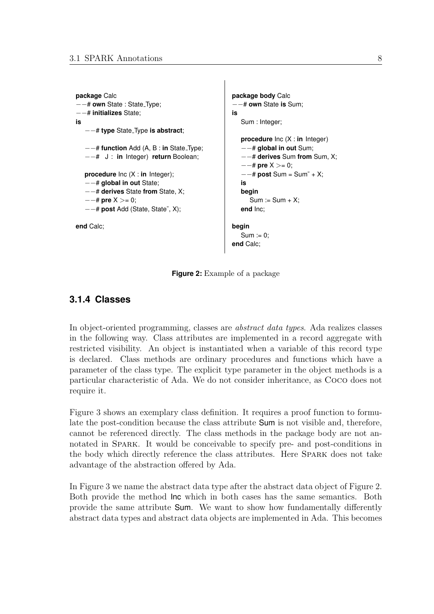```
package Calc
−−# own State : State Type;
−−# initializes State;
is
    −−# type State Type is abstract;
   −−# function Add (A, B : in State Type;
   −−# J : in Integer) return Boolean;
  procedure Inc (X : in Integer);
   −−# global in out State;
   −−# derives State from State, X;
   −−# pre X >= 0;
   −−# post Add (State, State˜, X);
end Calc;
```

```
package body Calc
  −−# own State is Sum;
is
  Sum : Integer;
  procedure Inc (X : in Integer)
   −−# global in out Sum;
   −−# derives Sum from Sum, X;
   −−# pre X >= 0;
   −−# post Sum = Sum˜ + X;
  is
  begin
     Sum := Sum + X;end Inc;
begin
```

```
Sum := 0;end Calc;
```
<span id="page-15-1"></span>**Figure 2:** Example of a package

### <span id="page-15-0"></span>**3.1.4 Classes**

In object-oriented programming, classes are abstract data types. Ada realizes classes in the following way. Class attributes are implemented in a record aggregate with restricted visibility. An object is instantiated when a variable of this record type is declared. Class methods are ordinary procedures and functions which have a parameter of the class type. The explicit type parameter in the object methods is a particular characteristic of Ada. We do not consider inheritance, as Coco does not require it.

Figure [3](#page-16-1) shows an exemplary class definition. It requires a proof function to formulate the post-condition because the class attribute Sum is not visible and, therefore, cannot be referenced directly. The class methods in the package body are not annotated in Spark. It would be conceivable to specify pre- and post-conditions in the body which directly reference the class attributes. Here Spark does not take advantage of the abstraction offered by Ada.

In Figure [3](#page-16-1) we name the abstract data type after the abstract data object of Figure [2.](#page-15-1) Both provide the method Inc which in both cases has the same semantics. Both provide the same attribute Sum. We want to show how fundamentally differently abstract data types and abstract data objects are implemented in Ada. This becomes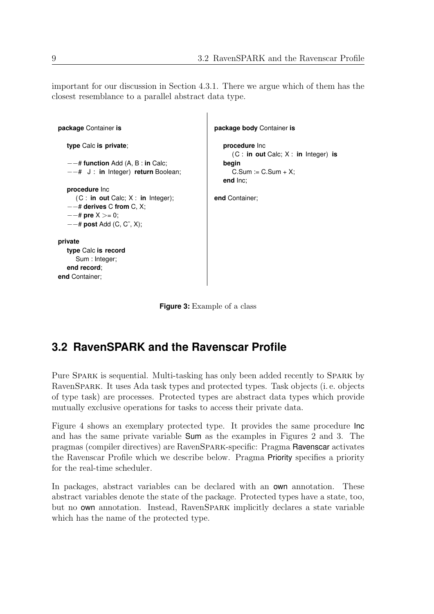important for our discussion in Section [4.3.1.](#page-29-0) There we argue which of them has the closest resemblance to a parallel abstract data type.

```
package Container is
   type Calc is private;
   −−# function Add (A, B : in Calc;
   −−# J : in Integer) return Boolean;
   procedure Inc
     (C : in out Calc; X : in Integer);
   −−# derives C from C, X;
   −−# pre X >= 0;
   −−# post Add (C, C˜, X);
private
  type Calc is record
     Sum : Integer;
   end record;
end Container;
                                                   package body Container is
                                                     procedure Inc
                                                        (C : in out Calc; X : in Integer) is
                                                     begin
                                                        C.Sum := C.Sum + X;end Inc;
                                                  end Container;
```
<span id="page-16-1"></span>**Figure 3:** Example of a class

## <span id="page-16-0"></span>**3.2 RavenSPARK and the Ravenscar Profile**

Pure Spark is sequential. Multi-tasking has only been added recently to Spark by RavenSpark. It uses Ada task types and protected types. Task objects (i. e. objects of type task) are processes. Protected types are abstract data types which provide mutually exclusive operations for tasks to access their private data.

Figure [4](#page-17-0) shows an exemplary protected type. It provides the same procedure Inc and has the same private variable Sum as the examples in Figures [2](#page-15-1) and [3.](#page-16-1) The pragmas (compiler directives) are RavenSpark-specific: Pragma Ravenscar activates the Ravenscar Profile which we describe below. Pragma Priority specifies a priority for the real-time scheduler.

In packages, abstract variables can be declared with an own annotation. These abstract variables denote the state of the package. Protected types have a state, too, but no own annotation. Instead, RavenSpark implicitly declares a state variable which has the name of the protected type.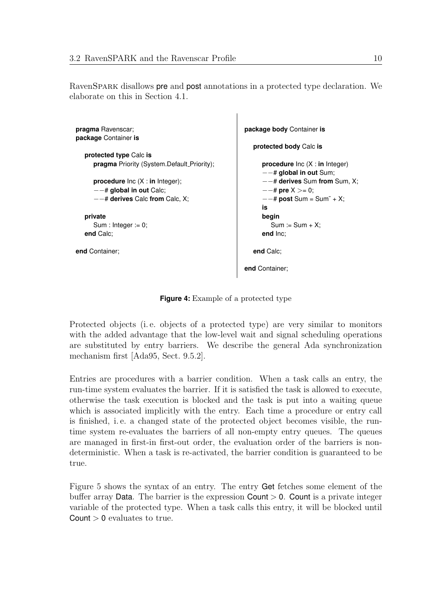RavenSPARK disallows **pre** and **post** annotations in a protected type declaration. We elaborate on this in Section [4.1.](#page-22-1)

```
pragma Ravenscar;
package Container is
   protected type Calc is
     pragma Priority (System.Default_Priority);
     procedure Inc (X : in Integer);
      −−# global in out Calc;
      −−# derives Calc from Calc, X;
  private
     Sum : Integer := 0;
  end Calc;
end Container;
                                                       package body Container is
                                                          protected body Calc is
                                                            procedure Inc (X : in Integer)
                                                             −−# global in out Sum;
                                                            −−# derives Sum from Sum, X;
                                                             −−# pre X >= 0;
                                                             −−# post Sum = Sum˜ + X;
                                                            is
                                                            begin
                                                               Sum := Sum + X;end Inc;
                                                          end Calc;
                                                       end Container;
```
<span id="page-17-0"></span>**Figure 4:** Example of a protected type

Protected objects (i. e. objects of a protected type) are very similar to monitors with the added advantage that the low-level wait and signal scheduling operations are substituted by entry barriers. We describe the general Ada synchronization mechanism first [\[Ada95,](#page-108-4) Sect. 9.5.2].

Entries are procedures with a barrier condition. When a task calls an entry, the run-time system evaluates the barrier. If it is satisfied the task is allowed to execute, otherwise the task execution is blocked and the task is put into a waiting queue which is associated implicitly with the entry. Each time a procedure or entry call is finished, i. e. a changed state of the protected object becomes visible, the runtime system re-evaluates the barriers of all non-empty entry queues. The queues are managed in first-in first-out order, the evaluation order of the barriers is nondeterministic. When a task is re-activated, the barrier condition is guaranteed to be true.

Figure [5](#page-18-1) shows the syntax of an entry. The entry Get fetches some element of the buffer array **Data**. The barrier is the expression **Count**  $> 0$ . **Count** is a private integer variable of the protected type. When a task calls this entry, it will be blocked until  $Count > 0$  evaluates to true.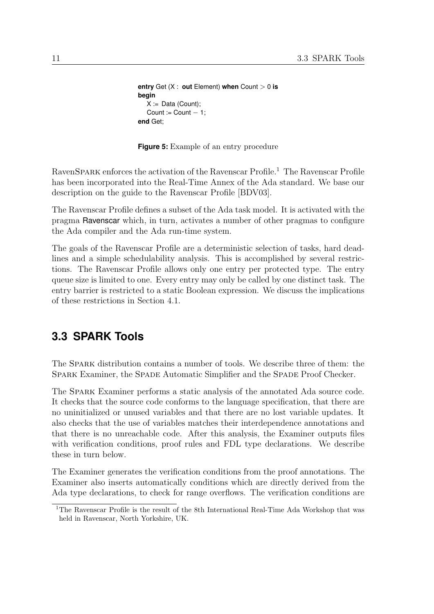```
entry Get (X : out Element) when Count > 0 is
begin
  X := Data (Count);Count := Count -1:
end Get;
```
<span id="page-18-1"></span>**Figure 5:** Example of an entry procedure

RavenSPARK enforces the activation of the Ravenscar Profile.<sup>[1](#page-18-2)</sup> The Ravenscar Profile has been incorporated into the Real-Time Annex of the Ada standard. We base our description on the guide to the Ravenscar Profile [\[BDV03\]](#page-108-5).

The Ravenscar Profile defines a subset of the Ada task model. It is activated with the pragma Ravenscar which, in turn, activates a number of other pragmas to configure the Ada compiler and the Ada run-time system.

The goals of the Ravenscar Profile are a deterministic selection of tasks, hard deadlines and a simple schedulability analysis. This is accomplished by several restrictions. The Ravenscar Profile allows only one entry per protected type. The entry queue size is limited to one. Every entry may only be called by one distinct task. The entry barrier is restricted to a static Boolean expression. We discuss the implications of these restrictions in Section [4.1.](#page-22-1)

### <span id="page-18-0"></span>**3.3 SPARK Tools**

The Spark distribution contains a number of tools. We describe three of them: the Spark Examiner, the Spade Automatic Simplifier and the Spade Proof Checker.

The Spark Examiner performs a static analysis of the annotated Ada source code. It checks that the source code conforms to the language specification, that there are no uninitialized or unused variables and that there are no lost variable updates. It also checks that the use of variables matches their interdependence annotations and that there is no unreachable code. After this analysis, the Examiner outputs files with verification conditions, proof rules and FDL type declarations. We describe these in turn below.

The Examiner generates the verification conditions from the proof annotations. The Examiner also inserts automatically conditions which are directly derived from the Ada type declarations, to check for range overflows. The verification conditions are

<span id="page-18-2"></span><sup>1</sup>The Ravenscar Profile is the result of the 8th International Real-Time Ada Workshop that was held in Ravenscar, North Yorkshire, UK.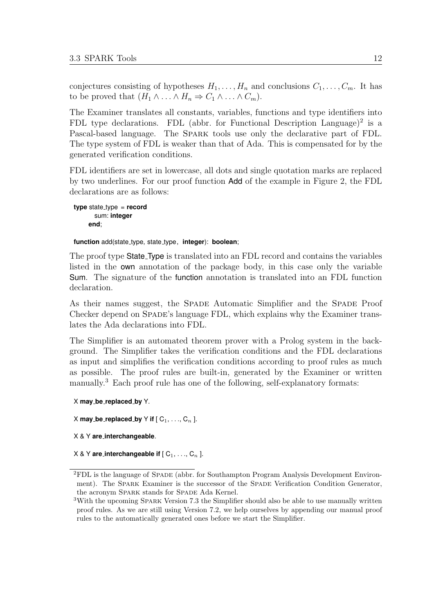conjectures consisting of hypotheses  $H_1, \ldots, H_n$  and conclusions  $C_1, \ldots, C_m$ . It has to be proved that  $(H_1 \wedge \ldots \wedge H_n \Rightarrow C_1 \wedge \ldots \wedge C_m)$ .

The Examiner translates all constants, variables, functions and type identifiers into FDL type declarations. FDL (abbr. for Functional Description Language)<sup>[2](#page-19-0)</sup> is a Pascal-based language. The Spark tools use only the declarative part of FDL. The type system of FDL is weaker than that of Ada. This is compensated for by the generated verification conditions.

FDL identifiers are set in lowercase, all dots and single quotation marks are replaced by two underlines. For our proof function Add of the example in Figure [2,](#page-15-1) the FDL declarations are as follows:

```
type state_type = record
      sum: integer
    end;
```
**function** add(state type, state type, **integer**): **boolean**;

The proof type State Type is translated into an FDL record and contains the variables listed in the own annotation of the package body, in this case only the variable Sum. The signature of the function annotation is translated into an FDL function declaration.

As their names suggest, the Spade Automatic Simplifier and the Spade Proof Checker depend on SPADE's language FDL, which explains why the Examiner translates the Ada declarations into FDL.

The Simplifier is an automated theorem prover with a Prolog system in the background. The Simplifier takes the verification conditions and the FDL declarations as input and simplifies the verification conditions according to proof rules as much as possible. The proof rules are built-in, generated by the Examiner or written manually.<sup>[3](#page-19-1)</sup> Each proof rule has one of the following, self-explanatory formats:

```
X may be replaced by Y.
```

```
X may be replaced by Y if [C_1, \ldots, C_n].
```

```
X & Y are interchangeable.
```

```
X \& Y are interchangeable if [C_1, \ldots, C_n].
```
<span id="page-19-0"></span><sup>2</sup>FDL is the language of Spade (abbr. for Southampton Program Analysis Development Environment). The Spark Examiner is the successor of the Spade Verification Condition Generator, the acronym SPARK stands for SPADE Ada Kernel.

<span id="page-19-1"></span><sup>&</sup>lt;sup>3</sup>With the upcoming SPARK Version 7.3 the Simplifier should also be able to use manually written proof rules. As we are still using Version 7.2, we help ourselves by appending our manual proof rules to the automatically generated ones before we start the Simplifier.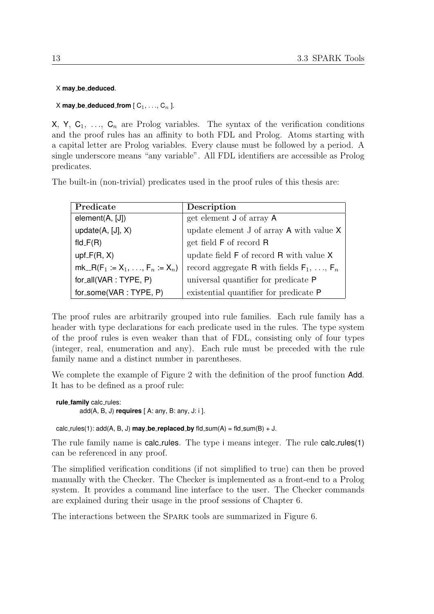X **may be deduced**.

#### $X$  **may\_be\_deduced\_from**  $[C_1, \ldots, C_n]$ .

X, Y,  $C_1$ , ...,  $C_n$  are Prolog variables. The syntax of the verification conditions and the proof rules has an affinity to both FDL and Prolog. Atoms starting with a capital letter are Prolog variables. Every clause must be followed by a period. A single underscore means "any variable". All FDL identifiers are accessible as Prolog predicates.

The built-in (non-trivial) predicates used in the proof rules of this thesis are:

| Predicate                        | Description                                                     |  |
|----------------------------------|-----------------------------------------------------------------|--|
| element(A, [J])                  | get element <b>J</b> of array <b>A</b>                          |  |
| update $(A, [J], X)$             | update element $J$ of array $A$ with value $X$                  |  |
| fld_ $F(R)$                      | get field F of record R                                         |  |
| $upf_F(R, X)$                    | update field ${\sf F}$ of record ${\sf R}$ with value ${\sf X}$ |  |
| $mk_R(F_1 := X_1, , F_n := X_n)$ | record aggregate R with fields $F_1, \ldots, F_n$               |  |
| for_all(VAR : TYPE, $P$ )        | universal quantifier for predicate P                            |  |
| for_some(VAR: TYPE, P)           | existential quantifier for predicate P                          |  |

The proof rules are arbitrarily grouped into rule families. Each rule family has a header with type declarations for each predicate used in the rules. The type system of the proof rules is even weaker than that of FDL, consisting only of four types (integer, real, enumeration and any). Each rule must be preceded with the rule family name and a distinct number in parentheses.

We complete the example of Figure [2](#page-15-1) with the definition of the proof function **Add**. It has to be defined as a proof rule:

```
rule family calc rules:
        add(A, B, J) requires [ A: any, B: any, J: i ].
```
 $calc_rules(1): add(A, B, J)$  may **be replaced by**  $fld.sum(A) = fld.sum(B) + J$ .

The rule family name is calc\_rules. The type i means integer. The rule calc\_rules(1) can be referenced in any proof.

The simplified verification conditions (if not simplified to true) can then be proved manually with the Checker. The Checker is implemented as a front-end to a Prolog system. It provides a command line interface to the user. The Checker commands are explained during their usage in the proof sessions of Chapter [6.](#page-48-0)

The interactions between the Spark tools are summarized in Figure [6.](#page-21-0)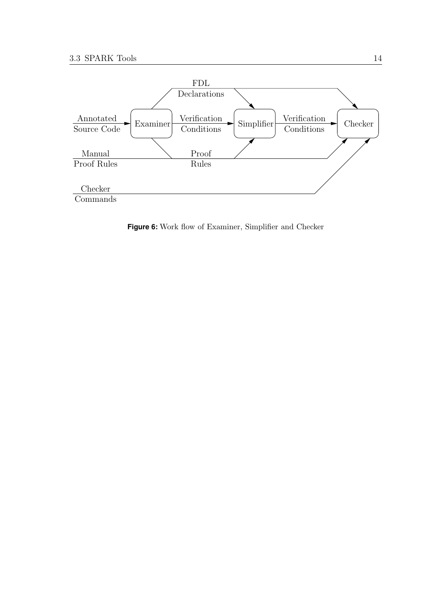

<span id="page-21-0"></span>**Figure 6:** Work flow of Examiner, Simplifier and Checker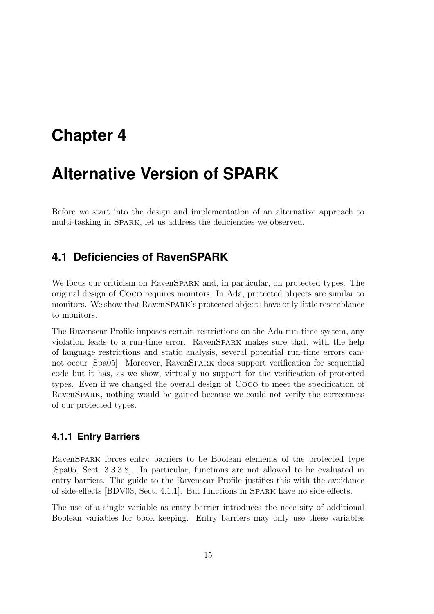# <span id="page-22-0"></span>**Chapter 4**

# **Alternative Version of SPARK**

Before we start into the design and implementation of an alternative approach to multi-tasking in SPARK, let us address the deficiencies we observed.

## <span id="page-22-1"></span>**4.1 Deficiencies of RavenSPARK**

We focus our criticism on RavenSPARK and, in particular, on protected types. The original design of Coco requires monitors. In Ada, protected objects are similar to monitors. We show that RavenSpark's protected objects have only little resemblance to monitors.

The Ravenscar Profile imposes certain restrictions on the Ada run-time system, any violation leads to a run-time error. RavenSpark makes sure that, with the help of language restrictions and static analysis, several potential run-time errors cannot occur [\[Spa05\]](#page-109-0). Moreover, RavenSpark does support verification for sequential code but it has, as we show, virtually no support for the verification of protected types. Even if we changed the overall design of Coco to meet the specification of RavenSpark, nothing would be gained because we could not verify the correctness of our protected types.

#### <span id="page-22-2"></span>**4.1.1 Entry Barriers**

RavenSpark forces entry barriers to be Boolean elements of the protected type [\[Spa05,](#page-109-0) Sect. 3.3.3.8]. In particular, functions are not allowed to be evaluated in entry barriers. The guide to the Ravenscar Profile justifies this with the avoidance of side-effects [\[BDV03,](#page-108-5) Sect. 4.1.1]. But functions in Spark have no side-effects.

The use of a single variable as entry barrier introduces the necessity of additional Boolean variables for book keeping. Entry barriers may only use these variables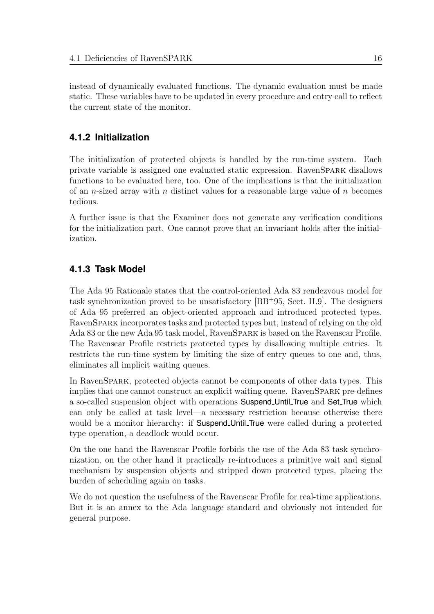instead of dynamically evaluated functions. The dynamic evaluation must be made static. These variables have to be updated in every procedure and entry call to reflect the current state of the monitor.

### <span id="page-23-0"></span>**4.1.2 Initialization**

The initialization of protected objects is handled by the run-time system. Each private variable is assigned one evaluated static expression. RavenSpark disallows functions to be evaluated here, too. One of the implications is that the initialization of an *n*-sized array with *n* distinct values for a reasonable large value of *n* becomes tedious.

A further issue is that the Examiner does not generate any verification conditions for the initialization part. One cannot prove that an invariant holds after the initialization.

### <span id="page-23-1"></span>**4.1.3 Task Model**

The Ada 95 Rationale states that the control-oriented Ada 83 rendezvous model for task synchronization proved to be unsatisfactory [\[BB](#page-108-6)<sup>+</sup>95, Sect. II.9]. The designers of Ada 95 preferred an object-oriented approach and introduced protected types. RavenSpark incorporates tasks and protected types but, instead of relying on the old Ada 83 or the new Ada 95 task model, RavenSpark is based on the Ravenscar Profile. The Ravenscar Profile restricts protected types by disallowing multiple entries. It restricts the run-time system by limiting the size of entry queues to one and, thus, eliminates all implicit waiting queues.

In RavenSpark, protected objects cannot be components of other data types. This implies that one cannot construct an explicit waiting queue. RavenSpark pre-defines a so-called suspension object with operations Suspend Until True and Set True which can only be called at task level—a necessary restriction because otherwise there would be a monitor hierarchy: if **Suspend\_Until\_True** were called during a protected type operation, a deadlock would occur.

On the one hand the Ravenscar Profile forbids the use of the Ada 83 task synchronization, on the other hand it practically re-introduces a primitive wait and signal mechanism by suspension objects and stripped down protected types, placing the burden of scheduling again on tasks.

We do not question the usefulness of the Ravenscar Profile for real-time applications. But it is an annex to the Ada language standard and obviously not intended for general purpose.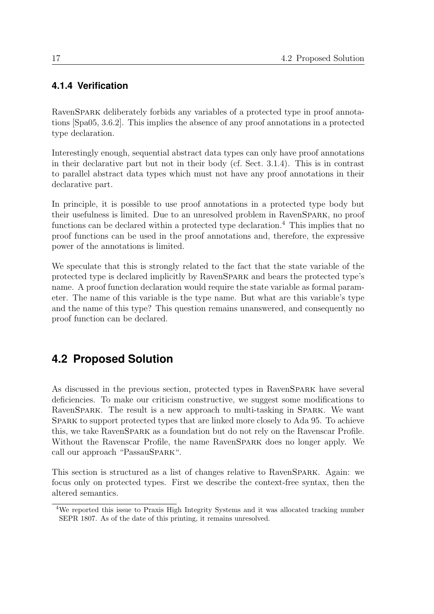### <span id="page-24-0"></span>**4.1.4 Verification**

RavenSPARK deliberately forbids any variables of a protected type in proof annotations [\[Spa05,](#page-109-0) 3.6.2]. This implies the absence of any proof annotations in a protected type declaration.

Interestingly enough, sequential abstract data types can only have proof annotations in their declarative part but not in their body (cf. Sect. [3.1.4\)](#page-15-0). This is in contrast to parallel abstract data types which must not have any proof annotations in their declarative part.

In principle, it is possible to use proof annotations in a protected type body but their usefulness is limited. Due to an unresolved problem in RavenSpark, no proof functions can be declared within a protected type declaration.<sup>[4](#page-24-2)</sup> This implies that no proof functions can be used in the proof annotations and, therefore, the expressive power of the annotations is limited.

We speculate that this is strongly related to the fact that the state variable of the protected type is declared implicitly by RavenSpark and bears the protected type's name. A proof function declaration would require the state variable as formal parameter. The name of this variable is the type name. But what are this variable's type and the name of this type? This question remains unanswered, and consequently no proof function can be declared.

## <span id="page-24-1"></span>**4.2 Proposed Solution**

As discussed in the previous section, protected types in RavenSpark have several deficiencies. To make our criticism constructive, we suggest some modifications to RavenSPARK. The result is a new approach to multi-tasking in SPARK. We want Spark to support protected types that are linked more closely to Ada 95. To achieve this, we take RavenSpark as a foundation but do not rely on the Ravenscar Profile. Without the Ravenscar Profile, the name RavenSpark does no longer apply. We call our approach "PassauSpARK".

This section is structured as a list of changes relative to RavenSPARK. Again: we focus only on protected types. First we describe the context-free syntax, then the altered semantics.

<span id="page-24-2"></span><sup>4</sup>We reported this issue to Praxis High Integrity Systems and it was allocated tracking number SEPR 1807. As of the date of this printing, it remains unresolved.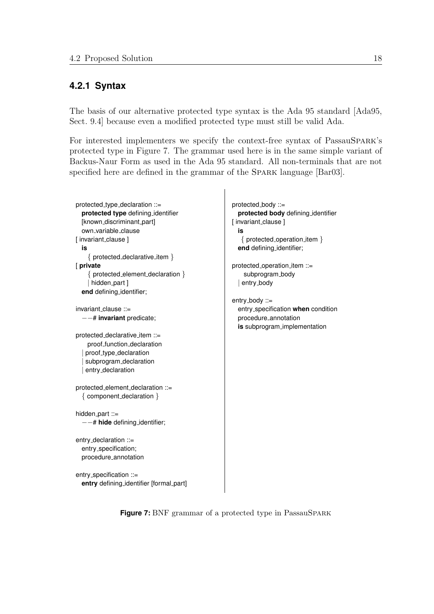#### <span id="page-25-0"></span>**4.2.1 Syntax**

The basis of our alternative protected type syntax is the Ada 95 standard [\[Ada95,](#page-108-4) Sect. 9.4] because even a modified protected type must still be valid Ada.

For interested implementers we specify the context-free syntax of PassauSPARK's protected type in Figure [7.](#page-25-1) The grammar used here is in the same simple variant of Backus-Naur Form as used in the Ada 95 standard. All non-terminals that are not specified here are defined in the grammar of the SPARK language [\[Bar03\]](#page-108-3).

```
protected type declaration ::=
  protected type defining identifier
  [known_discriminant_part]
  own variable clause
[ invariant_clause ]
  is
    { protected declarative item }
[ private
    { protected element declaration }
    | hidden_part ]
  end defining identifier;
invariant_clause ::=
  −−# invariant predicate;
protected declarative item ::=
    proof function declaration
   proof_type_declaration
   subprogram_declaration
   entry_declaration
protected element declaration ::=
  { component declaration }
hidden_part ::=
  −−# hide defining identifier;
entry_declaration ::=
  entry_specification;
  procedure annotation
entry_specification ::=
```
entry defining\_identifier [formal\_part]

protected body ::= **protected body** defining identifier [ invariant\_clause ] **is** { protected operation item } **end** defining identifier; protected\_operation\_item ::=

subprogram\_body | entry\_body

entry\_body ::= entry specification **when** condition procedure annotation **is** subprogram implementation

<span id="page-25-1"></span>**Figure 7:** BNF grammar of a protected type in PassauSPARK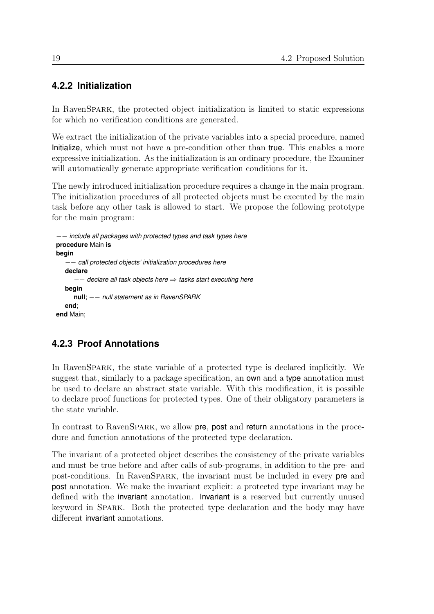### <span id="page-26-0"></span>**4.2.2 Initialization**

In RavenSpark, the protected object initialization is limited to static expressions for which no verification conditions are generated.

We extract the initialization of the private variables into a special procedure, named Initialize, which must not have a pre-condition other than true. This enables a more expressive initialization. As the initialization is an ordinary procedure, the Examiner will automatically generate appropriate verification conditions for it.

The newly introduced initialization procedure requires a change in the main program. The initialization procedures of all protected objects must be executed by the main task before any other task is allowed to start. We propose the following prototype for the main program:

```
−− include all packages with protected types and task types here
procedure Main is
begin
    −− call protected objects' initialization procedures here
  declare
      −− declare all task objects here ⇒ tasks start executing here
  begin
     null; −− null statement as in RavenSPARK
  end;
end Main;
```
### <span id="page-26-1"></span>**4.2.3 Proof Annotations**

In RavenSpark, the state variable of a protected type is declared implicitly. We suggest that, similarly to a package specification, an own and a type annotation must be used to declare an abstract state variable. With this modification, it is possible to declare proof functions for protected types. One of their obligatory parameters is the state variable.

In contrast to RavenSPARK, we allow **pre**, **post** and **return** annotations in the procedure and function annotations of the protected type declaration.

The invariant of a protected object describes the consistency of the private variables and must be true before and after calls of sub-programs, in addition to the pre- and post-conditions. In RavenSpark, the invariant must be included in every pre and post annotation. We make the invariant explicit: a protected type invariant may be defined with the invariant annotation. Invariant is a reserved but currently unused keyword in Spark. Both the protected type declaration and the body may have different invariant annotations.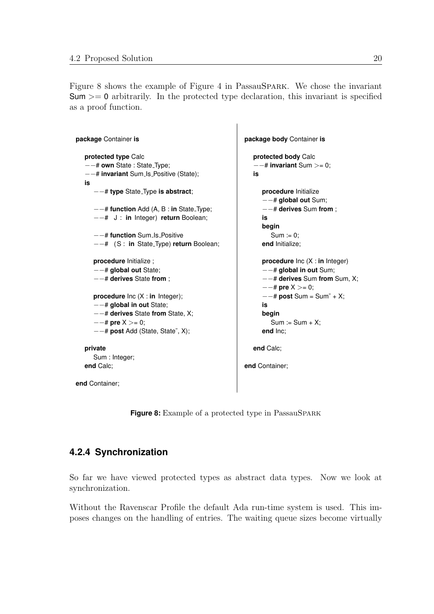Figure [8](#page-27-1) shows the example of Figure [4](#page-17-0) in PassauSpark. We chose the invariant  $Sum \ge 0$  arbitrarily. In the protected type declaration, this invariant is specified as a proof function.

```
package Container is
  protected type Calc
   −−# own State : State Type;
   −−# invariant Sum Is Positive (State);
  is
      −−# type State Type is abstract;
      −−# function Add (A, B : in State Type;
     −−# J : in Integer) return Boolean;
      −−# function Sum Is Positive
      −−# (S : in State Type) return Boolean;
     procedure Initialize ;
      −−# global out State;
      −−# derives State from ;
     procedure Inc (X : in Integer);
     −−# global in out State;
     −−# derives State from State, X;
      −−# pre X >= 0;
      −−# post Add (State, State˜, X);
  private
     Sum : Integer;
  end Calc;
end Container;
                                                      package body Container is
                                                         protected body Calc
                                                         −−# invariant Sum >= 0;
                                                         is
                                                            procedure Initialize
                                                            −−# global out Sum;
                                                            −−# derives Sum from ;
                                                            is
                                                            begin
                                                               Sum := 0;end Initialize;
                                                            procedure Inc (X : in Integer)
                                                            −−# global in out Sum;
                                                            −−# derives Sum from Sum, X;
                                                            −−# pre X >= 0;
                                                            −−# post Sum = Sum˜ + X;
                                                            is
                                                            begin
                                                               Sum := Sum + X;end Inc;
                                                         end Calc;
                                                      end Container;
```
<span id="page-27-1"></span>**Figure 8:** Example of a protected type in PassauSpARK

### <span id="page-27-0"></span>**4.2.4 Synchronization**

So far we have viewed protected types as abstract data types. Now we look at synchronization.

Without the Ravenscar Profile the default Ada run-time system is used. This imposes changes on the handling of entries. The waiting queue sizes become virtually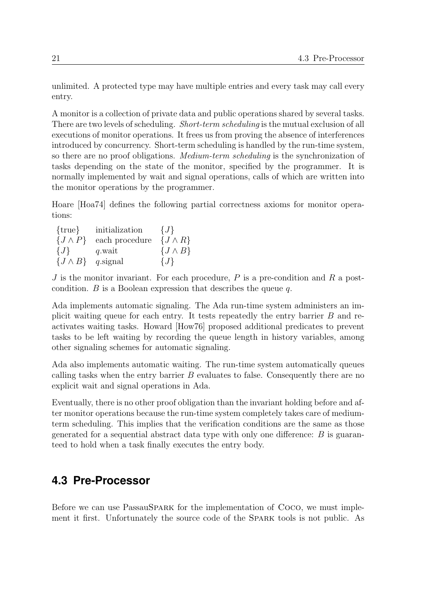unlimited. A protected type may have multiple entries and every task may call every entry.

A monitor is a collection of private data and public operations shared by several tasks. There are two levels of scheduling. *Short-term scheduling* is the mutual exclusion of all executions of monitor operations. It frees us from proving the absence of interferences introduced by concurrency. Short-term scheduling is handled by the run-time system, so there are no proof obligations. Medium-term scheduling is the synchronization of tasks depending on the state of the monitor, specified by the programmer. It is normally implemented by wait and signal operations, calls of which are written into the monitor operations by the programmer.

Hoare [\[Hoa74\]](#page-108-7) defines the following partial correctness axioms for monitor operations:

| $\{true\}$       | initialization | $\{J\}$          |
|------------------|----------------|------------------|
| $\{J \wedge P\}$ | each procedure | $\{J \wedge R\}$ |
| $\{J\}$          | q.wait         | $\{J \wedge B\}$ |
| $\{J \wedge B\}$ | $q$ .signal    | $\{J\}$          |

 $J$  is the monitor invariant. For each procedure,  $P$  is a pre-condition and  $R$  a postcondition.  $B$  is a Boolean expression that describes the queue  $q$ .

Ada implements automatic signaling. The Ada run-time system administers an implicit waiting queue for each entry. It tests repeatedly the entry barrier B and reactivates waiting tasks. Howard [\[How76\]](#page-108-8) proposed additional predicates to prevent tasks to be left waiting by recording the queue length in history variables, among other signaling schemes for automatic signaling.

Ada also implements automatic waiting. The run-time system automatically queues calling tasks when the entry barrier B evaluates to false. Consequently there are no explicit wait and signal operations in Ada.

Eventually, there is no other proof obligation than the invariant holding before and after monitor operations because the run-time system completely takes care of mediumterm scheduling. This implies that the verification conditions are the same as those generated for a sequential abstract data type with only one difference:  $B$  is guaranteed to hold when a task finally executes the entry body.

### <span id="page-28-0"></span>**4.3 Pre-Processor**

Before we can use PassauSpark for the implementation of Coco, we must implement it first. Unfortunately the source code of the Spark tools is not public. As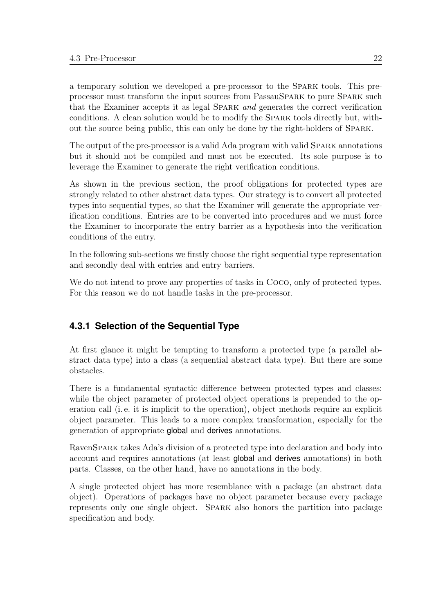a temporary solution we developed a pre-processor to the Spark tools. This preprocessor must transform the input sources from PassauSpark to pure Spark such that the Examiner accepts it as legal Spark and generates the correct verification conditions. A clean solution would be to modify the Spark tools directly but, without the source being public, this can only be done by the right-holders of Spark.

The output of the pre-processor is a valid Ada program with valid SPARK annotations but it should not be compiled and must not be executed. Its sole purpose is to leverage the Examiner to generate the right verification conditions.

As shown in the previous section, the proof obligations for protected types are strongly related to other abstract data types. Our strategy is to convert all protected types into sequential types, so that the Examiner will generate the appropriate verification conditions. Entries are to be converted into procedures and we must force the Examiner to incorporate the entry barrier as a hypothesis into the verification conditions of the entry.

In the following sub-sections we firstly choose the right sequential type representation and secondly deal with entries and entry barriers.

We do not intend to prove any properties of tasks in Coco, only of protected types. For this reason we do not handle tasks in the pre-processor.

### <span id="page-29-0"></span>**4.3.1 Selection of the Sequential Type**

At first glance it might be tempting to transform a protected type (a parallel abstract data type) into a class (a sequential abstract data type). But there are some obstacles.

There is a fundamental syntactic difference between protected types and classes: while the object parameter of protected object operations is prepended to the operation call (i. e. it is implicit to the operation), object methods require an explicit object parameter. This leads to a more complex transformation, especially for the generation of appropriate global and derives annotations.

RavenSPARK takes Ada's division of a protected type into declaration and body into account and requires annotations (at least global and derives annotations) in both parts. Classes, on the other hand, have no annotations in the body.

A single protected object has more resemblance with a package (an abstract data object). Operations of packages have no object parameter because every package represents only one single object. Spark also honors the partition into package specification and body.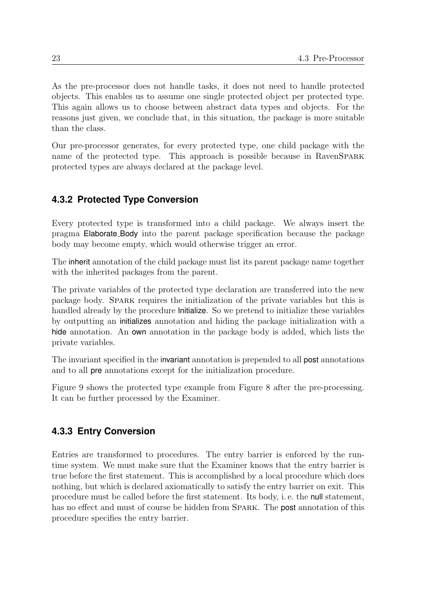As the pre-processor does not handle tasks, it does not need to handle protected objects. This enables us to assume one single protected object per protected type. This again allows us to choose between abstract data types and objects. For the reasons just given, we conclude that, in this situation, the package is more suitable than the class.

Our pre-processor generates, for every protected type, one child package with the name of the protected type. This approach is possible because in RavenSPARK protected types are always declared at the package level.

### <span id="page-30-0"></span>**4.3.2 Protected Type Conversion**

Every protected type is transformed into a child package. We always insert the pragma Elaborate Body into the parent package specification because the package body may become empty, which would otherwise trigger an error.

The inherit annotation of the child package must list its parent package name together with the inherited packages from the parent.

The private variables of the protected type declaration are transferred into the new package body. Spark requires the initialization of the private variables but this is handled already by the procedure Initialize. So we pretend to initialize these variables by outputting an initializes annotation and hiding the package initialization with a hide annotation. An **own** annotation in the package body is added, which lists the private variables.

The invariant specified in the invariant annotation is prepended to all **post** annotations and to all pre annotations except for the initialization procedure.

Figure [9](#page-31-0) shows the protected type example from Figure [8](#page-27-1) after the pre-processing. It can be further processed by the Examiner.

### <span id="page-30-1"></span>**4.3.3 Entry Conversion**

Entries are transformed to procedures. The entry barrier is enforced by the runtime system. We must make sure that the Examiner knows that the entry barrier is true before the first statement. This is accomplished by a local procedure which does nothing, but which is declared axiomatically to satisfy the entry barrier on exit. This procedure must be called before the first statement. Its body, i. e. the null statement, has no effect and must of course be hidden from SPARK. The **post** annotation of this procedure specifies the entry barrier.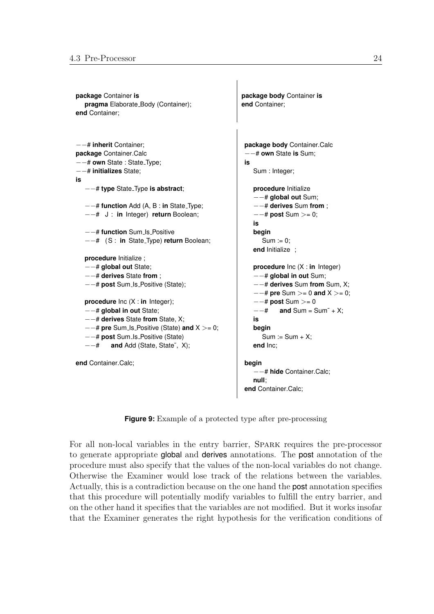```
package Container is
  pragma Elaborate_Body (Container);
end Container;
                                                     package body Container is
                                                     end Container;
−−# inherit Container;
package Container.Calc
−−# own State : State Type;
−−# initializes State;
is
    −−# type State Type is abstract;
  −−# function Add (A, B : in State Type;
  −−# J : in Integer) return Boolean;
   −−# function Sum Is Positive
  −−# (S : in State Type) return Boolean;
  procedure Initialize ;
  −−# global out State;
  −−# derives State from ;
   −−# post Sum Is Positive (State);
  procedure Inc (X : in Integer);
    −−# global in out State;
  −−# derives State from State, X;
  −−# pre Sum Is Positive (State) and X >= 0;
   −−# post Sum Is Positive (State)
  −−# and Add (State, State˜, X);
end Container.Calc;
                                                      package body Container.Calc
                                                      −−# own State is Sum;
                                                      is
                                                         Sum : Integer;
                                                         procedure Initialize
                                                         −−# global out Sum;
                                                         −−# derives Sum from ;
                                                         −−# post Sum >= 0;
                                                        is
                                                        begin
                                                           Sum := 0;end Initialize ;
                                                         procedure Inc (X : in Integer)
                                                         −−# global in out Sum;
                                                         −−# derives Sum from Sum, X;
                                                         −−# pre Sum >= 0 and X >= 0;
                                                         −−# post Sum >= 0
                                                         −−# and Sum = Sum˜ + X;
                                                         is
                                                         begin
                                                           Sum := Sum + X;end Inc;
                                                      begin
                                                         −−# hide Container.Calc;
                                                         null;
                                                      end Container.Calc;
```
<span id="page-31-0"></span>**Figure 9:** Example of a protected type after pre-processing

For all non-local variables in the entry barrier, Spark requires the pre-processor to generate appropriate global and derives annotations. The post annotation of the procedure must also specify that the values of the non-local variables do not change. Otherwise the Examiner would lose track of the relations between the variables. Actually, this is a contradiction because on the one hand the post annotation specifies that this procedure will potentially modify variables to fulfill the entry barrier, and on the other hand it specifies that the variables are not modified. But it works insofar that the Examiner generates the right hypothesis for the verification conditions of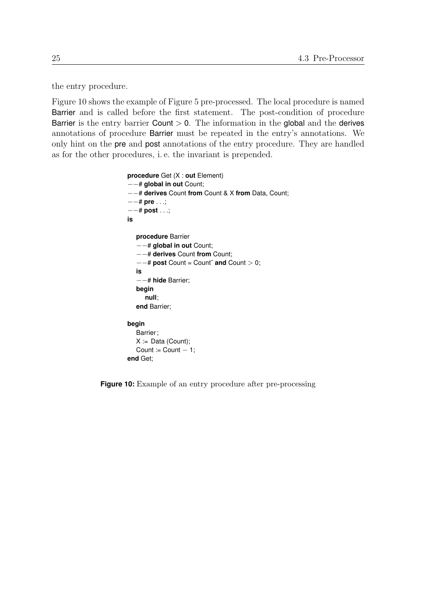the entry procedure.

Figure [10](#page-32-0) shows the example of Figure [5](#page-18-1) pre-processed. The local procedure is named Barrier and is called before the first statement. The post-condition of procedure Barrier is the entry barrier Count  $> 0$ . The information in the global and the derives annotations of procedure Barrier must be repeated in the entry's annotations. We only hint on the pre and post annotations of the entry procedure. They are handled as for the other procedures, i. e. the invariant is prepended.

```
procedure Get (X : out Element)
−−# global in out Count;
−−# derives Count from Count & X from Data, Count;
−−# pre . . .;
−−# post . . .;
is
  procedure Barrier
   −−# global in out Count;
   −−# derives Count from Count;
   −−# post Count = Count˜ and Count > 0;
  is
   −−# hide Barrier;
  begin
     null;
  end Barrier;
begin
  Barrier;
  X := Data (Count);Count := Count - 1;
end Get;
```
<span id="page-32-0"></span>**Figure 10:** Example of an entry procedure after pre-processing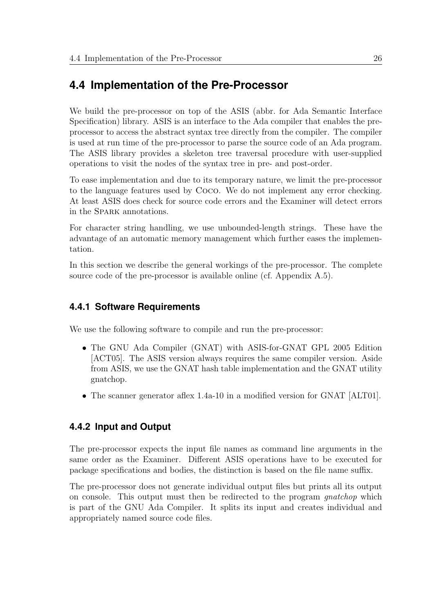### <span id="page-33-0"></span>**4.4 Implementation of the Pre-Processor**

We build the pre-processor on top of the ASIS (abbr. for Ada Semantic Interface Specification) library. ASIS is an interface to the Ada compiler that enables the preprocessor to access the abstract syntax tree directly from the compiler. The compiler is used at run time of the pre-processor to parse the source code of an Ada program. The ASIS library provides a skeleton tree traversal procedure with user-supplied operations to visit the nodes of the syntax tree in pre- and post-order.

To ease implementation and due to its temporary nature, we limit the pre-processor to the language features used by Coco. We do not implement any error checking. At least ASIS does check for source code errors and the Examiner will detect errors in the Spark annotations.

For character string handling, we use unbounded-length strings. These have the advantage of an automatic memory management which further eases the implementation.

In this section we describe the general workings of the pre-processor. The complete source code of the pre-processor is available online (cf. Appendix [A.5\)](#page-106-0).

#### <span id="page-33-1"></span>**4.4.1 Software Requirements**

We use the following software to compile and run the pre-processor:

- The GNU Ada Compiler (GNAT) with ASIS-for-GNAT GPL 2005 Edition [\[ACT05\]](#page-108-9). The ASIS version always requires the same compiler version. Aside from ASIS, we use the GNAT hash table implementation and the GNAT utility gnatchop.
- The scanner generator aflex 1.4a-10 in a modified version for GNAT [\[ALT01\]](#page-108-10).

#### <span id="page-33-2"></span>**4.4.2 Input and Output**

The pre-processor expects the input file names as command line arguments in the same order as the Examiner. Different ASIS operations have to be executed for package specifications and bodies, the distinction is based on the file name suffix.

The pre-processor does not generate individual output files but prints all its output on console. This output must then be redirected to the program *quatchop* which is part of the GNU Ada Compiler. It splits its input and creates individual and appropriately named source code files.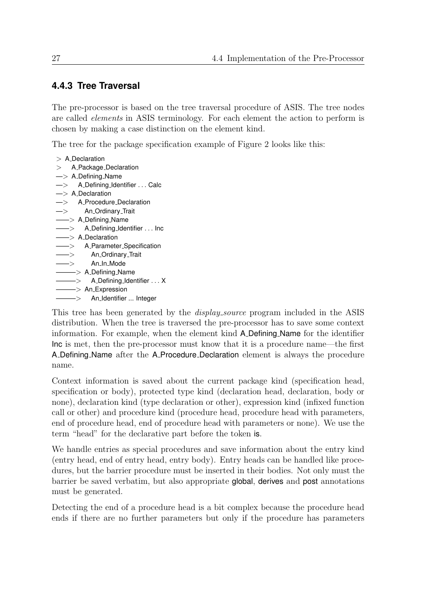#### <span id="page-34-0"></span>**4.4.3 Tree Traversal**

The pre-processor is based on the tree traversal procedure of ASIS. The tree nodes are called elements in ASIS terminology. For each element the action to perform is chosen by making a case distinction on the element kind.

The tree for the package specification example of Figure [2](#page-15-1) looks like this:

 $>$  A<sub>-</sub>Declaration > A\_Package\_Declaration  $\rightarrow$  A\_Defining\_Name —> A Defining Identifier . . . Calc  $\Rightarrow$  A\_Declaration —> A Procedure Declaration —> An Ordinary Trait -> A\_Defining\_Name  $\Rightarrow$  A\_Defining\_Identifier ... Inc  $\Rightarrow$  A\_Declaration  $\rightarrow$  A\_Parameter\_Specification ——> An Ordinary Trait  $\Longrightarrow$  An\_In\_Mode ———> A Defining Name  $\Longrightarrow$  A\_Defining\_Identifier ... X  $\Longrightarrow$  An Expression ———> An Identifier ... Integer

This tree has been generated by the *display\_source* program included in the ASIS distribution. When the tree is traversed the pre-processor has to save some context information. For example, when the element kind A Defining Name for the identifier Inc is met, then the pre-processor must know that it is a procedure name—the first A Defining Name after the A Procedure Declaration element is always the procedure name.

Context information is saved about the current package kind (specification head, specification or body), protected type kind (declaration head, declaration, body or none), declaration kind (type declaration or other), expression kind (infixed function call or other) and procedure kind (procedure head, procedure head with parameters, end of procedure head, end of procedure head with parameters or none). We use the term "head" for the declarative part before the token is.

We handle entries as special procedures and save information about the entry kind (entry head, end of entry head, entry body). Entry heads can be handled like procedures, but the barrier procedure must be inserted in their bodies. Not only must the barrier be saved verbatim, but also appropriate global, derives and post annotations must be generated.

Detecting the end of a procedure head is a bit complex because the procedure head ends if there are no further parameters but only if the procedure has parameters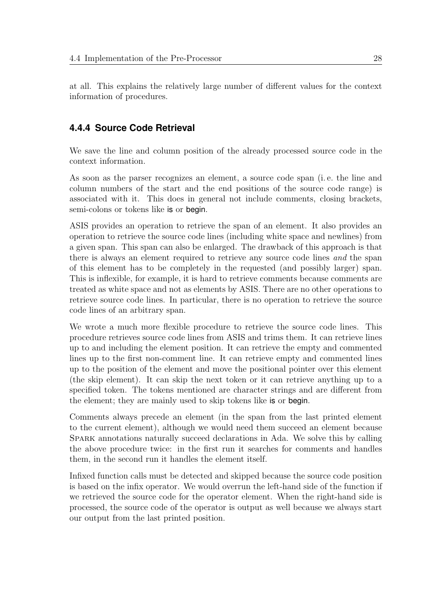at all. This explains the relatively large number of different values for the context information of procedures.

### <span id="page-35-0"></span>**4.4.4 Source Code Retrieval**

We save the line and column position of the already processed source code in the context information.

As soon as the parser recognizes an element, a source code span (i. e. the line and column numbers of the start and the end positions of the source code range) is associated with it. This does in general not include comments, closing brackets, semi-colons or tokens like is or begin.

ASIS provides an operation to retrieve the span of an element. It also provides an operation to retrieve the source code lines (including white space and newlines) from a given span. This span can also be enlarged. The drawback of this approach is that there is always an element required to retrieve any source code lines and the span of this element has to be completely in the requested (and possibly larger) span. This is inflexible, for example, it is hard to retrieve comments because comments are treated as white space and not as elements by ASIS. There are no other operations to retrieve source code lines. In particular, there is no operation to retrieve the source code lines of an arbitrary span.

We wrote a much more flexible procedure to retrieve the source code lines. This procedure retrieves source code lines from ASIS and trims them. It can retrieve lines up to and including the element position. It can retrieve the empty and commented lines up to the first non-comment line. It can retrieve empty and commented lines up to the position of the element and move the positional pointer over this element (the skip element). It can skip the next token or it can retrieve anything up to a specified token. The tokens mentioned are character strings and are different from the element; they are mainly used to skip tokens like is or begin.

Comments always precede an element (in the span from the last printed element to the current element), although we would need them succeed an element because Spark annotations naturally succeed declarations in Ada. We solve this by calling the above procedure twice: in the first run it searches for comments and handles them, in the second run it handles the element itself.

Infixed function calls must be detected and skipped because the source code position is based on the infix operator. We would overrun the left-hand side of the function if we retrieved the source code for the operator element. When the right-hand side is processed, the source code of the operator is output as well because we always start our output from the last printed position.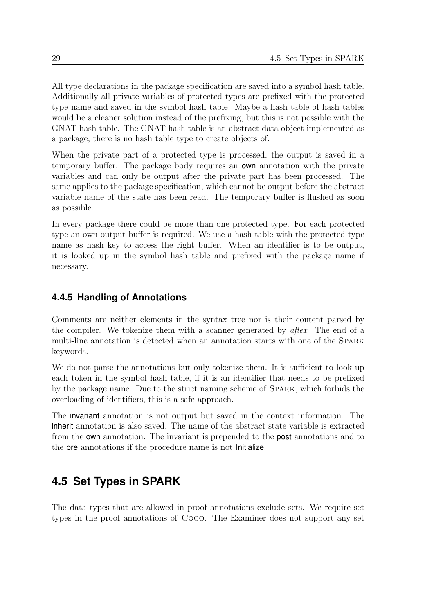All type declarations in the package specification are saved into a symbol hash table. Additionally all private variables of protected types are prefixed with the protected type name and saved in the symbol hash table. Maybe a hash table of hash tables would be a cleaner solution instead of the prefixing, but this is not possible with the GNAT hash table. The GNAT hash table is an abstract data object implemented as a package, there is no hash table type to create objects of.

When the private part of a protected type is processed, the output is saved in a temporary buffer. The package body requires an own annotation with the private variables and can only be output after the private part has been processed. The same applies to the package specification, which cannot be output before the abstract variable name of the state has been read. The temporary buffer is flushed as soon as possible.

In every package there could be more than one protected type. For each protected type an own output buffer is required. We use a hash table with the protected type name as hash key to access the right buffer. When an identifier is to be output, it is looked up in the symbol hash table and prefixed with the package name if necessary.

## **4.4.5 Handling of Annotations**

Comments are neither elements in the syntax tree nor is their content parsed by the compiler. We tokenize them with a scanner generated by  $a$ flex. The end of a multi-line annotation is detected when an annotation starts with one of the Spark keywords.

We do not parse the annotations but only tokenize them. It is sufficient to look up each token in the symbol hash table, if it is an identifier that needs to be prefixed by the package name. Due to the strict naming scheme of Spark, which forbids the overloading of identifiers, this is a safe approach.

The invariant annotation is not output but saved in the context information. The inherit annotation is also saved. The name of the abstract state variable is extracted from the own annotation. The invariant is prepended to the post annotations and to the pre annotations if the procedure name is not Initialize.

# <span id="page-36-0"></span>**4.5 Set Types in SPARK**

The data types that are allowed in proof annotations exclude sets. We require set types in the proof annotations of Coco. The Examiner does not support any set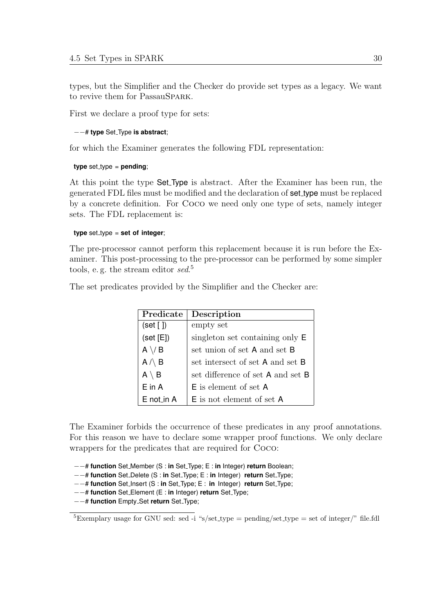types, but the Simplifier and the Checker do provide set types as a legacy. We want to revive them for PassauSPARK.

First we declare a proof type for sets:

#### −−# **type** Set Type **is abstract**;

for which the Examiner generates the following FDL representation:

#### **type** set\_type = **pending**;

At this point the type Set Type is abstract. After the Examiner has been run, the generated FDL files must be modified and the declaration of set type must be replaced by a concrete definition. For Coco we need only one type of sets, namely integer sets. The FDL replacement is:

#### **type** set\_type = set of integer;

The pre-processor cannot perform this replacement because it is run before the Examiner. This post-processing to the pre-processor can be performed by some simpler tools, e.g. the stream editor sed.<sup>[5](#page-37-0)</sup>

The set predicates provided by the Simplifier and the Checker are:

| Predicate       | Description                       |
|-----------------|-----------------------------------|
| (self   )       | empty set                         |
| (self [E])      | singleton set containing only E   |
| $A \setminus B$ | set union of set A and set B      |
| $A \wedge B$    | set intersect of set A and set B  |
| $A \setminus B$ | set difference of set A and set B |
| $E$ in A        | <b>E</b> is element of set A      |
| $E$ not in A    | <b>E</b> is not element of set A  |

The Examiner forbids the occurrence of these predicates in any proof annotations. For this reason we have to declare some wrapper proof functions. We only declare wrappers for the predicates that are required for Coco:

−−# **function** Set Member (S : **in** Set Type; E : **in** Integer) **return** Boolean;

- −−# **function** Set Delete (S : **in** Set Type; E : **in** Integer) **return** Set Type;
- −−# **function** Set Insert (S : **in** Set Type; E : **in** Integer) **return** Set Type;
- −−# **function** Set Element (E : **in** Integer) **return** Set Type;
- −−# **function** Empty Set **return** Set Type;

<span id="page-37-0"></span><sup>&</sup>lt;sup>5</sup>Exemplary usage for GNU sed: sed -i "s/set\_type = pending/set\_type = set of integer/" file.fdl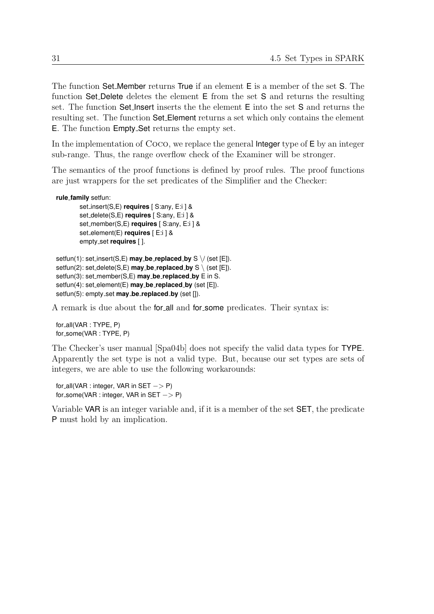The function Set Member returns True if an element E is a member of the set S. The function Set Delete deletes the element E from the set S and returns the resulting set. The function Set Insert inserts the the element E into the set S and returns the resulting set. The function Set Element returns a set which only contains the element E. The function Empty Set returns the empty set.

In the implementation of Coco, we replace the general Integer type of E by an integer sub-range. Thus, the range overflow check of the Examiner will be stronger.

The semantics of the proof functions is defined by proof rules. The proof functions are just wrappers for the set predicates of the Simplifier and the Checker:

```
rule family setfun:
```

```
set insert(S,E) requires [ S:any, E:i ] &
set delete(S,E) requires [ S:any, E:i ] &
set member(S,E) requires [ S:any, E:i ] &
set element(E) requires [ E:i ] &
empty set requires [ ].
```

```
setfun(1): set insert(S,E) may be replaced by S \/ (set [E]).
setfun(2): set_delete(S,E) may_be_replaced_by S \setminus (set [E]).
setfun(3): set member(S,E) may be replaced by E in S.
setfun(4): set element(E) may be replaced by (set [E]).
setfun(5): empty_set may_be_replaced_by (set []).
```
A remark is due about the for all and for some predicates. Their syntax is:

for all(VAR : TYPE, P) for\_some(VAR: TYPE, P)

The Checker's user manual [\[Spa04b\]](#page-109-0) does not specify the valid data types for TYPE. Apparently the set type is not a valid type. But, because our set types are sets of integers, we are able to use the following workarounds:

for all(VAR : integer, VAR in  $SET - > P$ ) for some(VAR : integer, VAR in SET – > P)

Variable VAR is an integer variable and, if it is a member of the set SET, the predicate P must hold by an implication.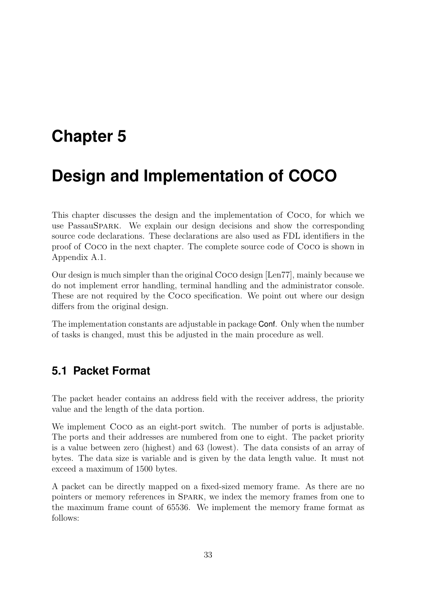# **Chapter 5**

# **Design and Implementation of COCO**

This chapter discusses the design and the implementation of Coco, for which we use PassauSpark. We explain our design decisions and show the corresponding source code declarations. These declarations are also used as FDL identifiers in the proof of Coco in the next chapter. The complete source code of Coco is shown in Appendix [A.1.](#page-94-0)

Our design is much simpler than the original Coco design [\[Len77\]](#page-108-0), mainly because we do not implement error handling, terminal handling and the administrator console. These are not required by the Coco specification. We point out where our design differs from the original design.

The implementation constants are adjustable in package Conf. Only when the number of tasks is changed, must this be adjusted in the main procedure as well.

# **5.1 Packet Format**

The packet header contains an address field with the receiver address, the priority value and the length of the data portion.

We implement Coco as an eight-port switch. The number of ports is adjustable. The ports and their addresses are numbered from one to eight. The packet priority is a value between zero (highest) and 63 (lowest). The data consists of an array of bytes. The data size is variable and is given by the data length value. It must not exceed a maximum of 1500 bytes.

A packet can be directly mapped on a fixed-sized memory frame. As there are no pointers or memory references in Spark, we index the memory frames from one to the maximum frame count of 65536. We implement the memory frame format as follows: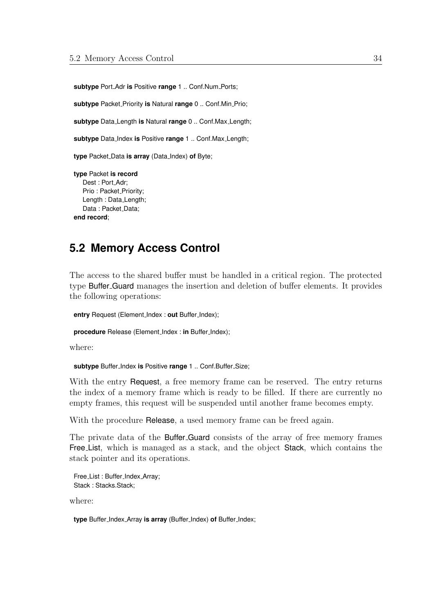**subtype** Port Adr **is** Positive **range** 1 .. Conf.Num Ports;

**subtype** Packet Priority **is** Natural **range** 0 .. Conf.Min Prio;

**subtype** Data Length **is** Natural **range** 0 .. Conf.Max Length;

**subtype** Data Index **is** Positive **range** 1 .. Conf.Max Length;

**type** Packet Data **is array** (Data Index) **of** Byte;

**type** Packet **is record** Dest : Port Adr; Prio: Packet\_Priority; Length : Data Length; Data: Packet\_Data; **end record**;

## **5.2 Memory Access Control**

The access to the shared buffer must be handled in a critical region. The protected type Buffer Guard manages the insertion and deletion of buffer elements. It provides the following operations:

**entry** Request (Element Index : **out** Buffer Index);

**procedure** Release (Element\_Index : in Buffer\_Index);

where:

subtype Buffer\_Index is Positive range 1 .. Conf.Buffer\_Size;

With the entry Request, a free memory frame can be reserved. The entry returns the index of a memory frame which is ready to be filled. If there are currently no empty frames, this request will be suspended until another frame becomes empty.

With the procedure Release, a used memory frame can be freed again.

The private data of the **Buffer-Guard** consists of the array of free memory frames Free List, which is managed as a stack, and the object Stack, which contains the stack pointer and its operations.

```
Free_List: Buffer_Index_Array;
Stack: Stacks.Stack:
```
where:

**type** Buffer Index Array **is array** (Buffer Index) **of** Buffer Index;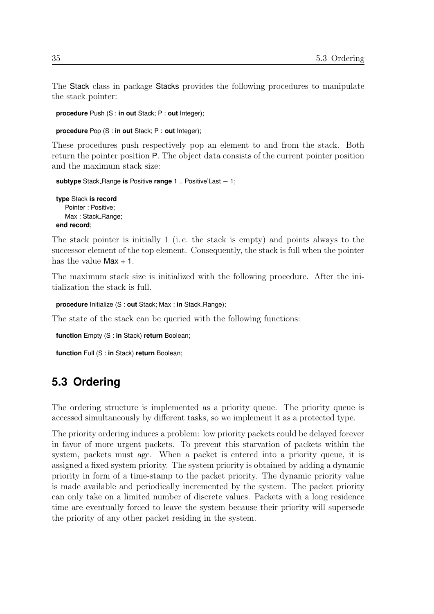The Stack class in package Stacks provides the following procedures to manipulate the stack pointer:

**procedure** Push (S : **in out** Stack; P : **out** Integer);

**procedure** Pop (S : **in out** Stack; P : **out** Integer);

These procedures push respectively pop an element to and from the stack. Both return the pointer position P. The object data consists of the current pointer position and the maximum stack size:

```
subtype Stack Range is Positive range 1 .. Positive'Last − 1;
```
**type** Stack **is record** Pointer : Positive; Max: Stack\_Range; **end record**;

The stack pointer is initially 1 (i.e. the stack is empty) and points always to the successor element of the top element. Consequently, the stack is full when the pointer has the value Max + 1.

The maximum stack size is initialized with the following procedure. After the initialization the stack is full.

**procedure** Initialize (S : **out** Stack; Max : **in** Stack Range);

The state of the stack can be queried with the following functions:

**function** Empty (S : **in** Stack) **return** Boolean;

**function** Full (S : **in** Stack) **return** Boolean;

# **5.3 Ordering**

The ordering structure is implemented as a priority queue. The priority queue is accessed simultaneously by different tasks, so we implement it as a protected type.

The priority ordering induces a problem: low priority packets could be delayed forever in favor of more urgent packets. To prevent this starvation of packets within the system, packets must age. When a packet is entered into a priority queue, it is assigned a fixed system priority. The system priority is obtained by adding a dynamic priority in form of a time-stamp to the packet priority. The dynamic priority value is made available and periodically incremented by the system. The packet priority can only take on a limited number of discrete values. Packets with a long residence time are eventually forced to leave the system because their priority will supersede the priority of any other packet residing in the system.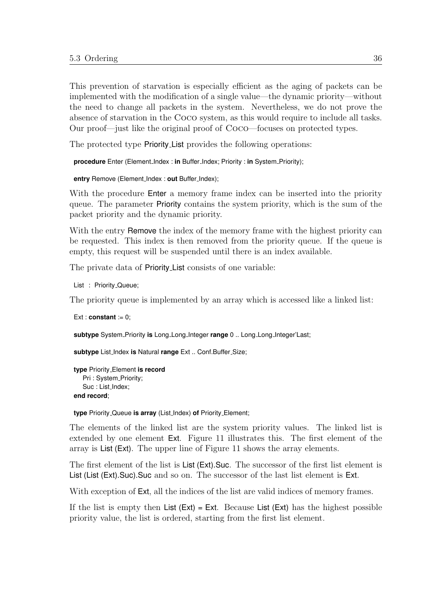This prevention of starvation is especially efficient as the aging of packets can be implemented with the modification of a single value—the dynamic priority—without the need to change all packets in the system. Nevertheless, we do not prove the absence of starvation in the Coco system, as this would require to include all tasks. Our proof—just like the original proof of Coco—focuses on protected types.

The protected type Priority List provides the following operations:

**procedure** Enter (Element Index : in Buffer Index; Priority : in System Priority);

**entry** Remove (Element Index : **out** Buffer Index);

With the procedure **Enter** a memory frame index can be inserted into the priority queue. The parameter Priority contains the system priority, which is the sum of the packet priority and the dynamic priority.

With the entry **Remove** the index of the memory frame with the highest priority can be requested. This index is then removed from the priority queue. If the queue is empty, this request will be suspended until there is an index available.

The private data of Priority List consists of one variable:

List : Priority Queue;

The priority queue is implemented by an array which is accessed like a linked list:

Ext : **constant** := 0;

**subtype** System Priority **is** Long Long Integer **range** 0 .. Long Long Integer'Last;

subtype List\_Index is Natural range Ext .. Conf.Buffer\_Size;

```
type Priority Element is record
   Pri: System_Priority;
   Suc : List_Index;
end record;
```
**type** Priority Queue **is array** (List Index) **of** Priority Element;

The elements of the linked list are the system priority values. The linked list is extended by one element Ext. Figure [11](#page-44-0) illustrates this. The first element of the array is List (Ext). The upper line of Figure [11](#page-44-0) shows the array elements.

The first element of the list is List (Ext).Suc. The successor of the first list element is List (List (Ext).Suc).Suc and so on. The successor of the last list element is Ext.

With exception of **Ext**, all the indices of the list are valid indices of memory frames.

If the list is empty then  $List (Ext) = Ext$ . Because List  $(Ext)$  has the highest possible priority value, the list is ordered, starting from the first list element.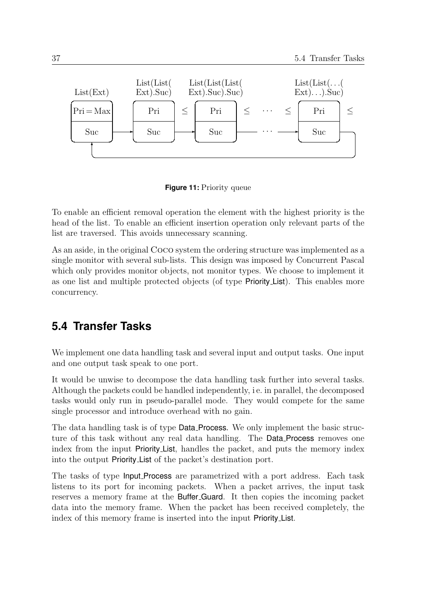

<span id="page-44-0"></span>**Figure 11:** Priority queue

To enable an efficient removal operation the element with the highest priority is the head of the list. To enable an efficient insertion operation only relevant parts of the list are traversed. This avoids unnecessary scanning.

As an aside, in the original Coco system the ordering structure was implemented as a single monitor with several sub-lists. This design was imposed by Concurrent Pascal which only provides monitor objects, not monitor types. We choose to implement it as one list and multiple protected objects (of type Priority List). This enables more concurrency.

## **5.4 Transfer Tasks**

We implement one data handling task and several input and output tasks. One input and one output task speak to one port.

It would be unwise to decompose the data handling task further into several tasks. Although the packets could be handled independently, i e. in parallel, the decomposed tasks would only run in pseudo-parallel mode. They would compete for the same single processor and introduce overhead with no gain.

The data handling task is of type **Data Process.** We only implement the basic structure of this task without any real data handling. The Data Process removes one index from the input Priority List, handles the packet, and puts the memory index into the output Priority List of the packet's destination port.

The tasks of type Input Process are parametrized with a port address. Each task listens to its port for incoming packets. When a packet arrives, the input task reserves a memory frame at the Buffer Guard. It then copies the incoming packet data into the memory frame. When the packet has been received completely, the index of this memory frame is inserted into the input Priority List.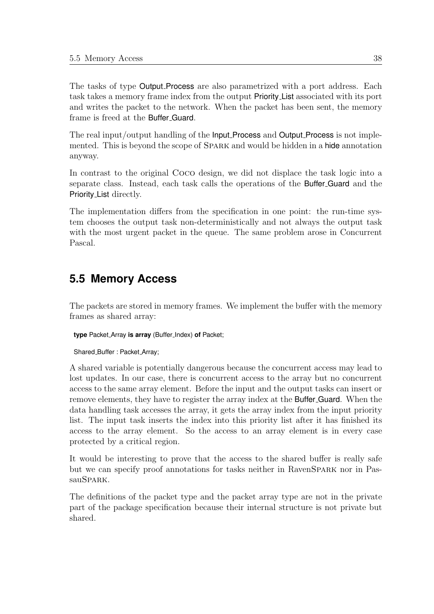The tasks of type Output Process are also parametrized with a port address. Each task takes a memory frame index from the output Priority List associated with its port and writes the packet to the network. When the packet has been sent, the memory frame is freed at the Buffer Guard.

The real input/output handling of the **Input Process** and **Output Process** is not implemented. This is beyond the scope of Spark and would be hidden in a hide annotation anyway.

In contrast to the original Coco design, we did not displace the task logic into a separate class. Instead, each task calls the operations of the Buffer Guard and the Priority List directly.

The implementation differs from the specification in one point: the run-time system chooses the output task non-deterministically and not always the output task with the most urgent packet in the queue. The same problem arose in Concurrent Pascal.

# **5.5 Memory Access**

The packets are stored in memory frames. We implement the buffer with the memory frames as shared array:

**type** Packet Array **is array** (Buffer Index) **of** Packet;

Shared\_Buffer: Packet\_Array;

A shared variable is potentially dangerous because the concurrent access may lead to lost updates. In our case, there is concurrent access to the array but no concurrent access to the same array element. Before the input and the output tasks can insert or remove elements, they have to register the array index at the Buffer Guard. When the data handling task accesses the array, it gets the array index from the input priority list. The input task inserts the index into this priority list after it has finished its access to the array element. So the access to an array element is in every case protected by a critical region.

It would be interesting to prove that the access to the shared buffer is really safe but we can specify proof annotations for tasks neither in RavenSpark nor in PassauSPARK.

The definitions of the packet type and the packet array type are not in the private part of the package specification because their internal structure is not private but shared.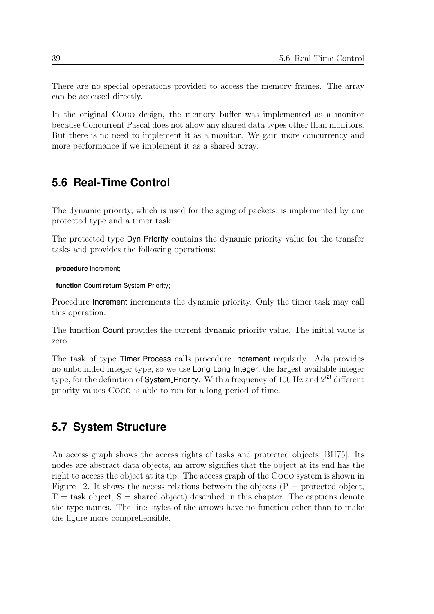There are no special operations provided to access the memory frames. The array can be accessed directly.

In the original Coco design, the memory buffer was implemented as a monitor because Concurrent Pascal does not allow any shared data types other than monitors. But there is no need to implement it as a monitor. We gain more concurrency and more performance if we implement it as a shared array.

## **5.6 Real-Time Control**

The dynamic priority, which is used for the aging of packets, is implemented by one protected type and a timer task.

The protected type Dyn Priority contains the dynamic priority value for the transfer tasks and provides the following operations:

**procedure** Increment;

function Count return System\_Priority;

Procedure Increment increments the dynamic priority. Only the timer task may call this operation.

The function Count provides the current dynamic priority value. The initial value is zero.

The task of type Timer Process calls procedure Increment regularly. Ada provides no unbounded integer type, so we use Long Long Integer, the largest available integer type, for the definition of System Priority. With a frequency of 100 Hz and  $2^{63}$  different priority values Coco is able to run for a long period of time.

## **5.7 System Structure**

An access graph shows the access rights of tasks and protected objects [\[BH75\]](#page-108-1). Its nodes are abstract data objects, an arrow signifies that the object at its end has the right to access the object at its tip. The access graph of the Coco system is shown in Figure [12.](#page-47-0) It shows the access relations between the objects  $(P =$  protected object,  $T =$  task object,  $S =$  shared object) described in this chapter. The captions denote the type names. The line styles of the arrows have no function other than to make the figure more comprehensible.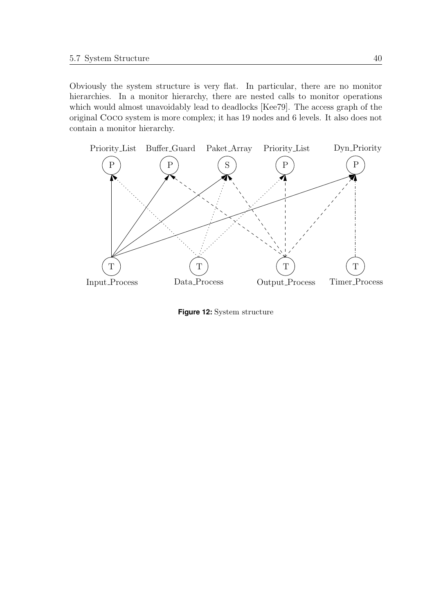Obviously the system structure is very flat. In particular, there are no monitor hierarchies. In a monitor hierarchy, there are nested calls to monitor operations which would almost unavoidably lead to deadlocks [\[Kee79\]](#page-108-2). The access graph of the original Coco system is more complex; it has 19 nodes and 6 levels. It also does not contain a monitor hierarchy.



<span id="page-47-0"></span>**Figure 12:** System structure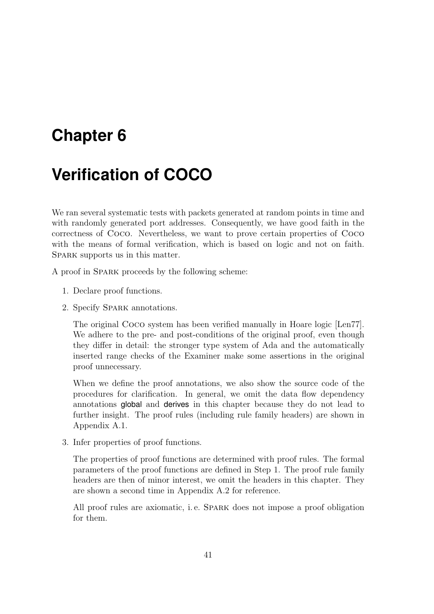# **Chapter 6**

# **Verification of COCO**

We ran several systematic tests with packets generated at random points in time and with randomly generated port addresses. Consequently, we have good faith in the correctness of Coco. Nevertheless, we want to prove certain properties of Coco with the means of formal verification, which is based on logic and not on faith. SPARK supports us in this matter.

A proof in Spark proceeds by the following scheme:

- 1. Declare proof functions.
- 2. Specify Spark annotations.

The original Coco system has been verified manually in Hoare logic [\[Len77\]](#page-108-0). We adhere to the pre- and post-conditions of the original proof, even though they differ in detail: the stronger type system of Ada and the automatically inserted range checks of the Examiner make some assertions in the original proof unnecessary.

When we define the proof annotations, we also show the source code of the procedures for clarification. In general, we omit the data flow dependency annotations global and derives in this chapter because they do not lead to further insight. The proof rules (including rule family headers) are shown in Appendix [A.1.](#page-94-0)

3. Infer properties of proof functions.

The properties of proof functions are determined with proof rules. The formal parameters of the proof functions are defined in Step 1. The proof rule family headers are then of minor interest, we omit the headers in this chapter. They are shown a second time in Appendix [A.2](#page-103-0) for reference.

All proof rules are axiomatic, i. e. Spark does not impose a proof obligation for them.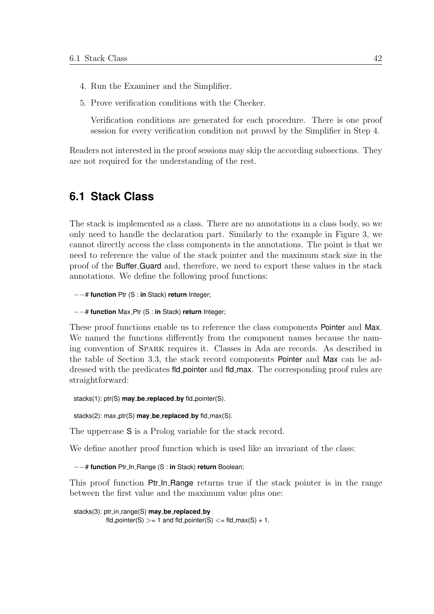- 4. Run the Examiner and the Simplifier.
- 5. Prove verification conditions with the Checker.

Verification conditions are generated for each procedure. There is one proof session for every verification condition not proved by the Simplifier in Step 4.

Readers not interested in the proof sessions may skip the according subsections. They are not required for the understanding of the rest.

## **6.1 Stack Class**

The stack is implemented as a class. There are no annotations in a class body, so we only need to handle the declaration part. Similarly to the example in Figure [3,](#page-16-0) we cannot directly access the class components in the annotations. The point is that we need to reference the value of the stack pointer and the maximum stack size in the proof of the Buffer Guard and, therefore, we need to export these values in the stack annotations. We define the following proof functions:

−−# **function** Ptr (S : **in** Stack) **return** Integer;

```
−−# function Max Ptr (S : in Stack) return Integer;
```
These proof functions enable us to reference the class components Pointer and Max. We named the functions differently from the component names because the naming convention of Spark requires it. Classes in Ada are records. As described in the table of Section [3.3,](#page-18-0) the stack record components Pointer and Max can be addressed with the predicates fld pointer and fld max. The corresponding proof rules are straightforward:

stacks(1): ptr(S) **may be replaced by** fld pointer(S).

stacks(2): max ptr(S) **may be replaced by** fld max(S).

The uppercase S is a Prolog variable for the stack record.

We define another proof function which is used like an invariant of the class:

−−# **function** Ptr In Range (S : **in** Stack) **return** Boolean;

This proof function **Ptr In Range** returns true if the stack pointer is in the range between the first value and the maximum value plus one:

```
stacks(3): ptr in range(S) may be replaced by
           fld_pointer(S) > = 1 and fld_pointer(S) \lt = fld_max(S) + 1.
```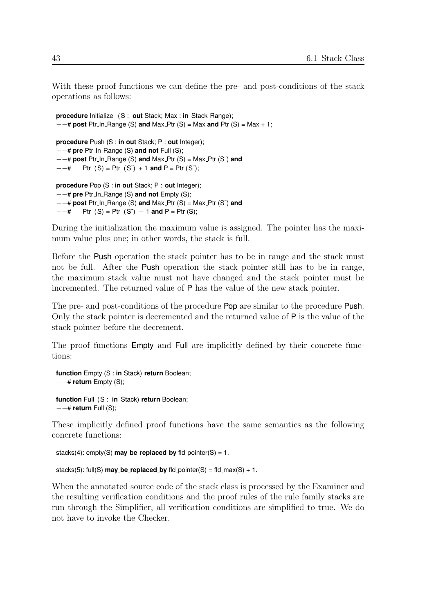With these proof functions we can define the pre- and post-conditions of the stack operations as follows:

```
procedure Initialize (S : out Stack; Max : in Stack Range);
−−# post Ptr In Range (S) and Max Ptr (S) = Max and Ptr (S) = Max + 1;
procedure Push (S : in out Stack; P : out Integer);
−−# pre Ptr In Range (S) and not Full (S);
−−# post Ptr In Range (S) and Max Ptr (S) = Max Ptr (S˜) and
−−# Ptr (S) = Ptr (S˜) + 1 and P = Ptr (S˜);
procedure Pop (S : in out Stack; P : out Integer);
−−# pre Ptr In Range (S) and not Empty (S);
−−# post Ptr In Range (S) and Max Ptr (S) = Max Ptr (S˜) and
- + Ptr (S) = Ptr (S<sup>*</sup>) − 1 and P = Ptr (S);
```
During the initialization the maximum value is assigned. The pointer has the maximum value plus one; in other words, the stack is full.

Before the Push operation the stack pointer has to be in range and the stack must not be full. After the Push operation the stack pointer still has to be in range, the maximum stack value must not have changed and the stack pointer must be incremented. The returned value of P has the value of the new stack pointer.

The pre- and post-conditions of the procedure Pop are similar to the procedure Push. Only the stack pointer is decremented and the returned value of P is the value of the stack pointer before the decrement.

The proof functions Empty and Full are implicitly defined by their concrete functions:

**function** Empty (S : **in** Stack) **return** Boolean; −−# **return** Empty (S); **function** Full (S : **in** Stack) **return** Boolean; −−# **return** Full (S);

These implicitly defined proof functions have the same semantics as the following concrete functions:

```
stacks(4): empty(S) may be replaced by fld pointer(S) = 1.
```

```
stacks(5): full(S) \text{may}\_\text{be\_replaced}\_\text{by} fld_pointer(S) = fld_max(S) + 1.
```
When the annotated source code of the stack class is processed by the Examiner and the resulting verification conditions and the proof rules of the rule family stacks are run through the Simplifier, all verification conditions are simplified to true. We do not have to invoke the Checker.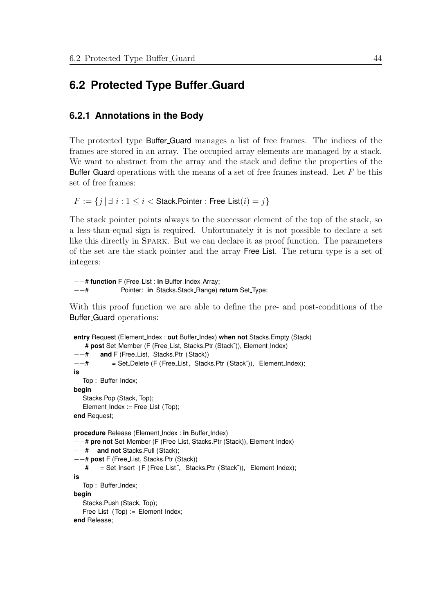## **6.2 Protected Type Buffer Guard**

### **6.2.1 Annotations in the Body**

The protected type **Buffer Guard** manages a list of free frames. The indices of the frames are stored in an array. The occupied array elements are managed by a stack. We want to abstract from the array and the stack and define the properties of the Buffer Guard operations with the means of a set of free frames instead. Let  $F$  be this set of free frames:

 $F := \{j | \exists i : 1 \le i \le \text{Stack}.\text{Pointer}: \text{Free\_List}(i) = j\}$ 

The stack pointer points always to the successor element of the top of the stack, so a less-than-equal sign is required. Unfortunately it is not possible to declare a set like this directly in Spark. But we can declare it as proof function. The parameters of the set are the stack pointer and the array Free List. The return type is a set of integers:

−−# **function** F (Free List : **in** Buffer Index Array; −−# Pointer: **in** Stacks.Stack Range) **return** Set Type;

With this proof function we are able to define the pre- and post-conditions of the Buffer Guard operations:

```
entry Request (Element Index : out Buffer Index) when not Stacks.Empty (Stack)
−−# post Set Member (F (Free List, Stacks.Ptr (Stack˜)), Element Index)
−−# and F (Free List, Stacks.Ptr (Stack))
−−# = Set Delete (F (Free List, Stacks.Ptr (Stack˜)), Element Index);
is
  Top: Buffer_Index;
begin
   Stacks.Pop (Stack, Top);
   Element_Index := Free_List (Top);
end Request;
procedure Release (Element Index : in Buffer Index)
−−# pre not Set Member (F (Free List, Stacks.Ptr (Stack)), Element Index)
−−# and not Stacks.Full (Stack);
−−# post F (Free List, Stacks.Ptr (Stack))
−−# = Set Insert (F (Free List ˜, Stacks.Ptr (Stack˜)), Element Index);
is
  Top: Buffer_Index;
begin
   Stacks.Push (Stack, Top);
   Free_List (Top) := Element_Index;
end Release;
```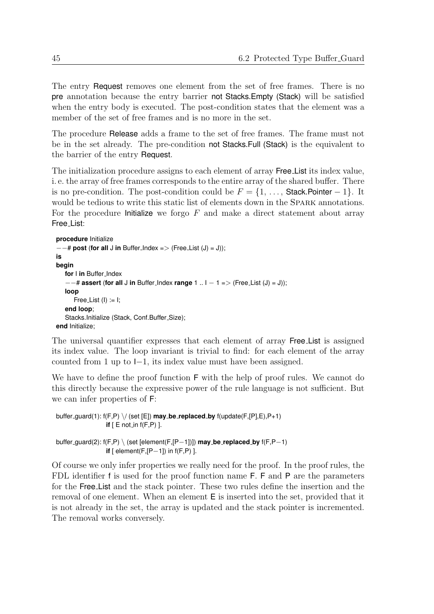The entry Request removes one element from the set of free frames. There is no pre annotation because the entry barrier not Stacks.Empty (Stack) will be satisfied when the entry body is executed. The post-condition states that the element was a member of the set of free frames and is no more in the set.

The procedure Release adds a frame to the set of free frames. The frame must not be in the set already. The pre-condition not Stacks.Full (Stack) is the equivalent to the barrier of the entry Request.

The initialization procedure assigns to each element of array Free List its index value, i. e. the array of free frames corresponds to the entire array of the shared buffer. There is no pre-condition. The post-condition could be  $F = \{1, \ldots,$  Stack.Pointer – 1}. It would be tedious to write this static list of elements down in the SPARK annotations. For the procedure Initialize we forgo  $F$  and make a direct statement about array Free List:

```
procedure Initialize
−−# post (for all J in Buffer Index => (Free List (J) = J));
is
begin
   for I in Buffer_Index
   −−# assert (for all J in Buffer Index range 1 .. I − 1 => (Free List (J) = J));
   loop
      Free_List (I) := I;
   end loop;
   Stacks.Initialize (Stack, Conf.Buffer_Size);
end Initialize;
```
The universal quantifier expresses that each element of array Free List is assigned its index value. The loop invariant is trivial to find: for each element of the array counted from 1 up to I−1, its index value must have been assigned.

We have to define the proof function  $\mathsf F$  with the help of proof rules. We cannot do this directly because the expressive power of the rule language is not sufficient. But we can infer properties of F:

```
buffer guard(1): f(F,P) \/ (set [E]) may be replaced by f(update(F,[P],E),P+1)
                 if [ E not_in f(F,P) ].
buffer guard(2): f(F,P) \ (set [element(F,[P−1])]) may be replaced by f(F,P−1)
                 if [ element(F,[P−1]) in f(F,P) ].
```
Of course we only infer properties we really need for the proof. In the proof rules, the FDL identifier f is used for the proof function name F. F and P are the parameters for the Free List and the stack pointer. These two rules define the insertion and the removal of one element. When an element E is inserted into the set, provided that it is not already in the set, the array is updated and the stack pointer is incremented. The removal works conversely.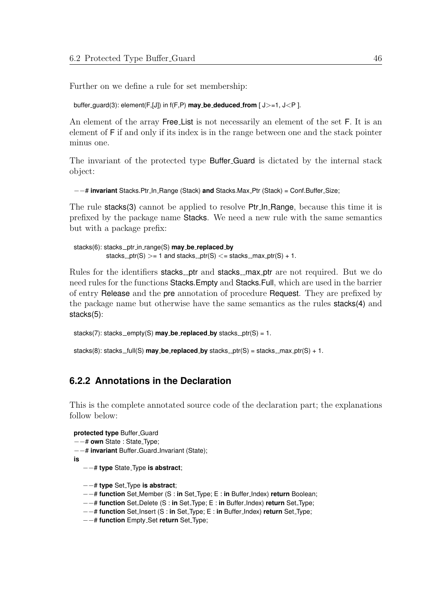Further on we define a rule for set membership:

```
buffer guard(3): element(F,[J]) in f(F,P) may be deduced from [ J>=1, J<P ].
```
An element of the array Free List is not necessarily an element of the set F. It is an element of F if and only if its index is in the range between one and the stack pointer minus one.

The invariant of the protected type Buffer Guard is dictated by the internal stack object:

```
−−# invariant Stacks.Ptr In Range (Stack) and Stacks.Max Ptr (Stack) = Conf.Buffer Size;
```
The rule stacks(3) cannot be applied to resolve Ptr\_In\_Range, because this time it is prefixed by the package name Stacks. We need a new rule with the same semantics but with a package prefix:

```
stacks(6): stacks ptr in range(S) may be replaced by
          stacks _ptr(S) >= 1 and stacks _ptr(S) <= stacks _max_ptr(S) + 1.
```
Rules for the identifiers stacks\_ptr and stacks\_max\_ptr are not required. But we do need rules for the functions Stacks.Empty and Stacks.Full, which are used in the barrier of entry Release and the pre annotation of procedure Request. They are prefixed by the package name but otherwise have the same semantics as the rules stacks(4) and stacks(5):

```
stacks(7): stacks_empty(S) \text{may}\_\text{be\_replaced}\_\text{by} stacks_ptr(S) = 1.
```

```
stacks(8): stacks_full(S) \text{may}\_\text{be\_replaced}\_\text{by}\ stacks_ptr(S) = stacks_max_ptr(S) + 1.
```
## <span id="page-53-0"></span>**6.2.2 Annotations in the Declaration**

This is the complete annotated source code of the declaration part; the explanations follow below:

```
protected type Buffer Guard
−−# own State : State Type;
−−# invariant Buffer Guard Invariant (State);
is
   −−# type State Type is abstract;
   −−# type Set Type is abstract;
   −−# function Set Member (S : in Set Type; E : in Buffer Index) return Boolean;
```
- −−# **function** Set Delete (S : **in** Set Type; E : **in** Buffer Index) **return** Set Type;
- −−# **function** Set Insert (S : **in** Set Type; E : **in** Buffer Index) **return** Set Type;
- −−# **function** Empty Set **return** Set Type;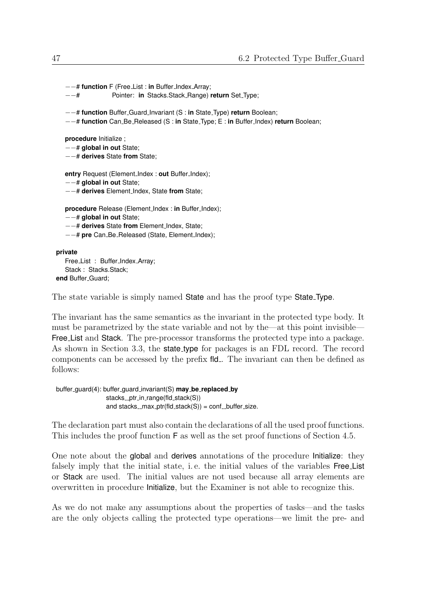```
−−# function F (Free List : in Buffer Index Array;
    −−# Pointer: in Stacks.Stack Range) return Set Type;
    −−# function Buffer Guard Invariant (S : in State Type) return Boolean;
    −−# function Can Be Released (S : in State Type; E : in Buffer Index) return Boolean;
    procedure Initialize ;
    −−# global in out State;
    −−# derives State from State;
    entry Request (Element_Index: out Buffer_Index);
    −−# global in out State;
    −−# derives Element Index, State from State;
    procedure Release (Element Index : in Buffer Index);
    −−# global in out State;
    −−# derives State from Element Index, State;
    −−# pre Can Be Released (State, Element Index);
 private
    Free_List : Buffer_Index_Array;
    Stack: Stacks.Stack:
 end Buffer_Guard:
The state variable is simply named State and has the proof type State Type.
```
The invariant has the same semantics as the invariant in the protected type body. It must be parametrized by the state variable and not by the—at this point invisible— Free List and Stack. The pre-processor transforms the protected type into a package. As shown in Section [3.3,](#page-18-0) the state type for packages is an FDL record. The record components can be accessed by the prefix fld. The invariant can then be defined as follows:

buffer guard(4): buffer guard invariant(S) **may be replaced by** stacks\_ptr\_in\_range(fld\_stack(S)) and stacks\_max\_ptr(fld\_stack(S)) =  $conf\_buffer\_size$ .

The declaration part must also contain the declarations of all the used proof functions. This includes the proof function F as well as the set proof functions of Section [4.5.](#page-36-0)

One note about the global and derives annotations of the procedure Initialize: they falsely imply that the initial state, i.e. the initial values of the variables Free List or Stack are used. The initial values are not used because all array elements are overwritten in procedure Initialize, but the Examiner is not able to recognize this.

As we do not make any assumptions about the properties of tasks—and the tasks are the only objects calling the protected type operations—we limit the pre- and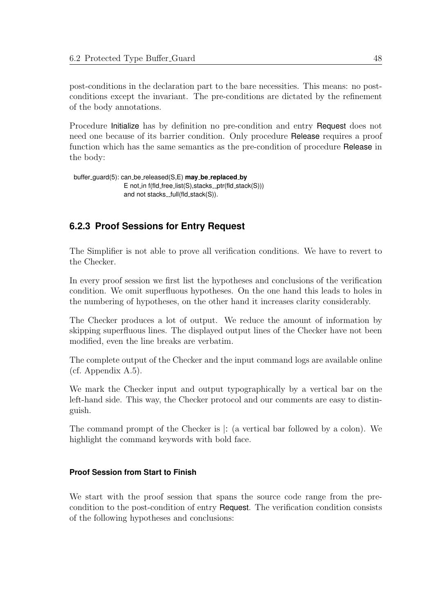post-conditions in the declaration part to the bare necessities. This means: no postconditions except the invariant. The pre-conditions are dictated by the refinement of the body annotations.

Procedure Initialize has by definition no pre-condition and entry Request does not need one because of its barrier condition. Only procedure Release requires a proof function which has the same semantics as the pre-condition of procedure Release in the body:

```
buffer guard(5): can be released(S,E) may be replaced by
                 E not in f(fId_free_l] ist(S), stacks ptr(fld stack(S)))
                 and not stacks_full(fld_stack(S)).
```
## **6.2.3 Proof Sessions for Entry Request**

The Simplifier is not able to prove all verification conditions. We have to revert to the Checker.

In every proof session we first list the hypotheses and conclusions of the verification condition. We omit superfluous hypotheses. On the one hand this leads to holes in the numbering of hypotheses, on the other hand it increases clarity considerably.

The Checker produces a lot of output. We reduce the amount of information by skipping superfluous lines. The displayed output lines of the Checker have not been modified, even the line breaks are verbatim.

The complete output of the Checker and the input command logs are available online (cf. Appendix [A.5\)](#page-106-0).

We mark the Checker input and output typographically by a vertical bar on the left-hand side. This way, the Checker protocol and our comments are easy to distinguish.

The command prompt of the Checker is |: (a vertical bar followed by a colon). We highlight the command keywords with bold face.

### **Proof Session from Start to Finish**

We start with the proof session that spans the source code range from the precondition to the post-condition of entry Request. The verification condition consists of the following hypotheses and conclusions: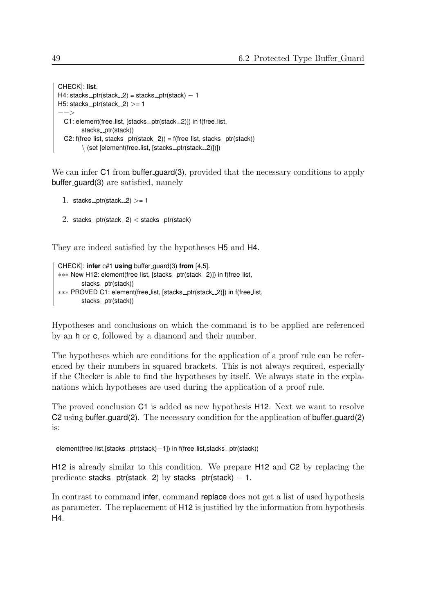```
CHECK|: list.
H4: stacks_ptr(stack 2) = stacks ptr(stack) -1H5: stacks_ptr(stack 2) >= 1
−−>
  C1: element(free_list, [stacks_ptr(stack_2)]) in f(free_list,
        stacks_ptr(stack))
  C2: f(free_list, stacks_ptr(stack _2)) = f(free_list, stacks_ptr(stack))
        \setminus (set [element(free_list, [stacks_ptr(stack_2)])])
```
We can infer C1 from buffer guard(3), provided that the necessary conditions to apply buffer guard(3) are satisfied, namely

```
1. stacks _ptr(stack 2) >= 1
```
2. stacks\_ptr(stack  $2$ ) < stacks\_ptr(stack)

They are indeed satisfied by the hypotheses H5 and H4.

```
CHECK|: infer c#1 using buffer guard(3) from [4,5].
∗∗∗ New H12: element(free list, [stacks ptr(stack 2)]) in f(free list,
        stacks_ptr(stack))
∗∗∗ PROVED C1: element(free list, [stacks ptr(stack 2)]) in f(free list,
        stacks_ptr(stack))
```
Hypotheses and conclusions on which the command is to be applied are referenced by an h or c, followed by a diamond and their number.

The hypotheses which are conditions for the application of a proof rule can be referenced by their numbers in squared brackets. This is not always required, especially if the Checker is able to find the hypotheses by itself. We always state in the explanations which hypotheses are used during the application of a proof rule.

The proved conclusion C1 is added as new hypothesis H12. Next we want to resolve C2 using buffer guard(2). The necessary condition for the application of buffer guard(2) is:

element(free\_list,[stacks\_ptr(stack)-1]) in f(free\_list,stacks\_ptr(stack))

H12 is already similar to this condition. We prepare H12 and C2 by replacing the predicate stacks ptr(stack  $2$ ) by stacks ptr(stack)  $-1$ .

In contrast to command infer, command replace does not get a list of used hypothesis as parameter. The replacement of H12 is justified by the information from hypothesis H4.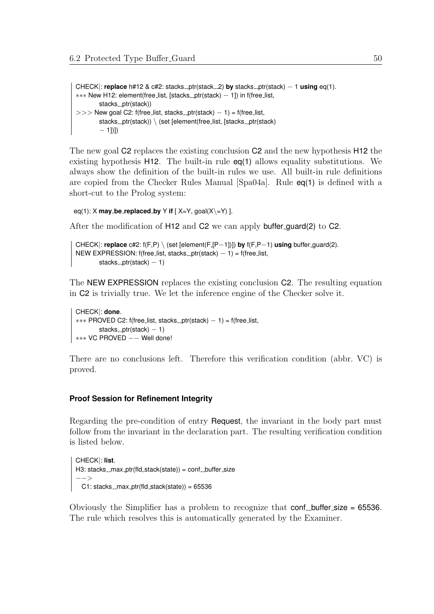CHECK|: **replace** h#12 & c#2: stacks<sub>-ptr</sub>(stack-2) **by** stacks<sub>-ptr</sub>(stack) − 1 **using** eq(1). ∗∗∗ New H12: element(free list, [stacks ptr(stack) − 1]) in f(free list, stacks\_ptr(stack))  $>>$  New goal C2: f(free list, stacks ptr(stack) – 1) = f(free list, stacks \_ptr(stack))  $\setminus$  (set [element(free list, [stacks \_ptr(stack) − 1])])

The new goal C2 replaces the existing conclusion C2 and the new hypothesis H12 the existing hypothesis H12. The built-in rule  $eq(1)$  allows equality substitutions. We always show the definition of the built-in rules we use. All built-in rule definitions are copied from the Checker Rules Manual [\[Spa04a\]](#page-109-1). Rule eq(1) is defined with a short-cut to the Prolog system:

```
eq(1): X may_be_replaced_by Y if [X=Y, goal(X\Y-Y) ].
```
After the modification of H12 and C2 we can apply buffer guard(2) to C2.

```
CHECK|: replace c#2: f(F,P) \ (set [element(F,[P−1])]) by f(F,P−1) using buffer guard(2).
NEW EXPRESSION: f(free_list, stacks_ptr(stack) -1) = f(free_list,
       stacks_ptr(stack) -1)
```
The NEW EXPRESSION replaces the existing conclusion C2. The resulting equation in C2 is trivially true. We let the inference engine of the Checker solve it.

```
CHECK|: done.
∗∗∗ PROVED C2: f(free list, stacks ptr(stack) − 1) = f(free list,
       stacks ptr(stack) -1)
∗∗∗ VC PROVED −− Well done!
```
There are no conclusions left. Therefore this verification condition (abbr. VC) is proved.

#### **Proof Session for Refinement Integrity**

Regarding the pre-condition of entry Request, the invariant in the body part must follow from the invariant in the declaration part. The resulting verification condition is listed below.

```
CHECK|: list.
H3: stacks_max_ptr(fld_stack(state)) = conf_buffer_size
−−>
 C1: stacks_{max_p}ptr(fld_stack(state)) = 65536
```
Obviously the Simplifier has a problem to recognize that  $conf_{\text{coll}}$  conf  $\text{L}\cdot$  buffer size = 65536. The rule which resolves this is automatically generated by the Examiner.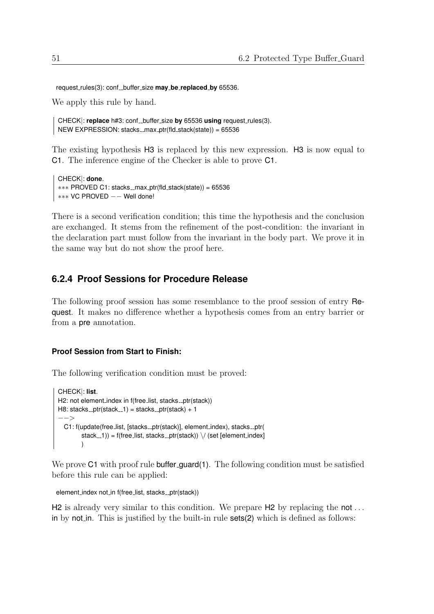request\_rules(3): conf\_buffer\_size may\_be\_replaced\_by 65536.

We apply this rule by hand.

```
CHECK: replace h#3: conf __ buffer size by 65536 using request rules(3).
NEW EXPRESSION: stacks_{max_p}f(fld_stack(state)) = 65536
```
The existing hypothesis H3 is replaced by this new expression. H3 is now equal to C1. The inference engine of the Checker is able to prove C1.

```
CHECK|: done.
∗∗∗ PROVED C1: stacks max ptr(fld stack(state)) = 65536
∗∗∗ VC PROVED −− Well done!
```
There is a second verification condition; this time the hypothesis and the conclusion are exchanged. It stems from the refinement of the post-condition: the invariant in the declaration part must follow from the invariant in the body part. We prove it in the same way but do not show the proof here.

### **6.2.4 Proof Sessions for Procedure Release**

The following proof session has some resemblance to the proof session of entry Request. It makes no difference whether a hypothesis comes from an entry barrier or from a pre annotation.

#### **Proof Session from Start to Finish:**

The following verification condition must be proved:

```
CHECK|: list.
H2: not element_index in f(free_list, stacks_ptr(stack))
H8: stacks_ptr(stack -1) = stacks -ptr(stack) + 1
−−>
  C1: f(update(free_list, [stacks_ptr(stack)], element_index), stacks_ptr(
        stack -1)) = f(free list, stacks -ptr(stat)) \ \ / (set [element index]
        )
```
We prove C1 with proof rule buffer guard(1). The following condition must be satisfied before this rule can be applied:

```
element_index not_in f(free_list, stacks_ptr(stack))
```
 $H2$  is already very similar to this condition. We prepare  $H2$  by replacing the not... in by not in. This is justified by the built-in rule sets(2) which is defined as follows: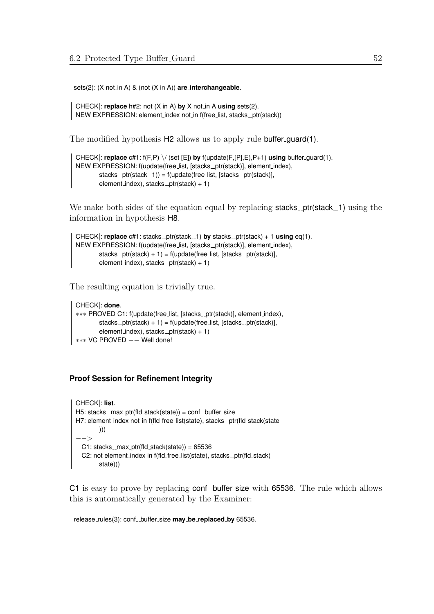sets(2): (X not\_in A) & (not (X in A)) are\_interchangeable.

```
CHECK|: replace h#2: not (X in A) by X not in A using sets(2).
NEW EXPRESSION: element_index not_in f(free_list, stacks_ptr(stack))
```
The modified hypothesis H2 allows us to apply rule buffer-guard(1).

```
CHECK|: replace c#1: f(F,P) \/ (set [E]) by f(update(F,[P],E),P+1) using buffer guard(1).
NEW EXPRESSION: f(update(free_list, [stacks_ptr(stack)], element_index),
        stack_{p}tr(stack _{p}1)) = f(update(free list, [stacks _{p}ptr(stack)],
        element_index), stacks_ptr(stack) + 1)
```
We make both sides of the equation equal by replacing **stacks ptr**(stack 1) using the information in hypothesis H8.

```
CHECK: replace c#1: stacks_ptr(stack -1) by stacks -ptr(stack) + 1 using eq(1).
NEW EXPRESSION: f(update(free_list, [stacks_ptr(stack)], element_index),
        stacks _ptr(stack) + 1) = f(update(free_list, [stacks.print(stack)],element_index), stacks_ptr(stack) + 1)
```
The resulting equation is trivially true.

```
CHECK|: done.
∗∗∗ PROVED C1: f(update(free list, [stacks ptr(stack)], element index),
        stacks _ptr(stack) + 1) = f(update(free list, [stacks _ptr(stack)],
        element_index), stacks_ptr(stack) + 1)
∗∗∗ VC PROVED −− Well done!
```
#### **Proof Session for Refinement Integrity**

```
CHECK|: list.
H5: stacks_max_ptr(fld_stack(state)) = conf_buffer_size
H7: element_index not_in f(fld_free_list(state), stacks_ptr(fld_stack(state
        )))
−−>
 C1: stacks_{max_p}ptr(fld_stack(state)) = 65536
  C2: not element_index in f(fld_free_list(state), stacks_ptr(fld_stack(
        state)))
```
C1 is easy to prove by replacing conf buffer size with 65536. The rule which allows this is automatically generated by the Examiner:

release\_rules(3): conf\_buffer\_size may\_be\_replaced\_by 65536.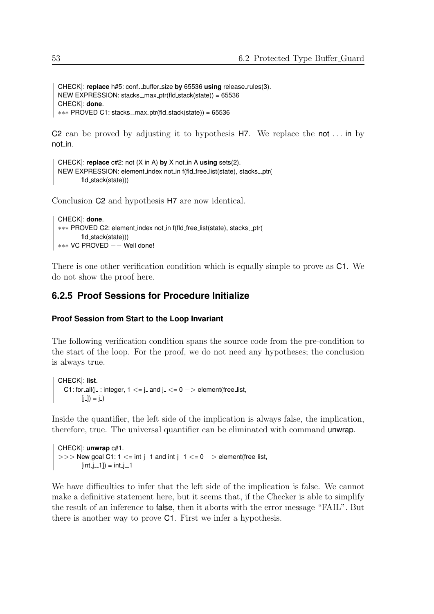```
CHECK|: replace h#5: conf_buffer_size by 65536 using release_rules(3).
NEW EXPRESSION: stacks_{max_p}f(fld_stack(state)) = 65536
CHECK|: done.
∗∗∗ PROVED C1: stacks max ptr(fld stack(state)) = 65536
```
C2 can be proved by adjusting it to hypothesis  $H$ . We replace the not ... in by not in.

```
CHECK|: replace c#2: not (X in A) by X not in A using sets(2).
NEW EXPRESSION: element_index not_in f(fld_free_list(state), stacks_ptr(
        fld_stack(state)))
```
Conclusion C2 and hypothesis H7 are now identical.

```
CHECK|: done.
∗∗∗ PROVED C2: element index not in f(fld free list(state), stacks ptr(
       fld_stack(state)))
∗∗∗ VC PROVED −− Well done!
```
There is one other verification condition which is equally simple to prove as C1. We do not show the proof here.

### **6.2.5 Proof Sessions for Procedure Initialize**

#### **Proof Session from Start to the Loop Invariant**

The following verification condition spans the source code from the pre-condition to the start of the loop. For the proof, we do not need any hypotheses; the conclusion is always true.

```
CHECK|: list.
  C1: for _all(j_: integer, 1 \leq i \leq j and j_\leq i \leq 0 - > element(free list,
           [i_]) = j<sup>_</sup>)
```
Inside the quantifier, the left side of the implication is always false, the implication, therefore, true. The universal quantifier can be eliminated with command unwrap.

```
CHECK|: unwrap c#1.
>> New goal C1: 1 <= int_j_1 and int_j_1 <= 0 -> element(free_list,
       (int_j_1, 1]) = int_j_1
```
We have difficulties to infer that the left side of the implication is false. We cannot make a definitive statement here, but it seems that, if the Checker is able to simplify the result of an inference to false, then it aborts with the error message "FAIL". But there is another way to prove C1. First we infer a hypothesis.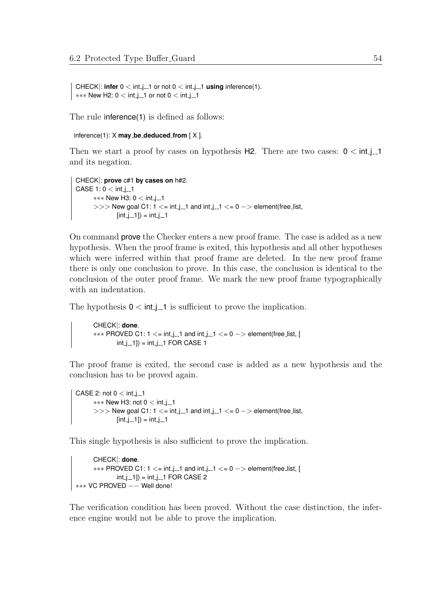```
CHECK|: infer 0 < \text{int}.j=1 or not 0 < \text{int}.j=1 using inference(1).
*** New H2: 0 < int j -1 or not 0 < int j -1
```
The rule inference(1) is defined as follows:

```
inference(1): X may be deduced from [ X ].
```
Then we start a proof by cases on hypothesis  $H2$ . There are two cases:  $0 < \text{int}$  j\_1 and its negation.

```
CHECK|: prove c#1 by cases on h#2.
CASE 1: 0 < int_i.1
     *** New H3: 0 < int_j_1
     >> New goal C1: 1 <= int_j_1 and int_j_1 <= 0 -> element(free_list,
             [int_j 1]) = int_j 1
```
On command prove the Checker enters a new proof frame. The case is added as a new hypothesis. When the proof frame is exited, this hypothesis and all other hypotheses which were inferred within that proof frame are deleted. In the new proof frame there is only one conclusion to prove. In this case, the conclusion is identical to the conclusion of the outer proof frame. We mark the new proof frame typographically with an indentation.

The hypothesis  $0 \lt int$  is sufficient to prove the implication.

CHECK|: **done**.  $***$  PROVED C1: 1  $\lt$ = int\_j\_1 and int\_j\_1  $\lt$ = 0 -> element(free\_list, [  $int_{-1}$  =  $int_{-1}$  FOR CASE 1

The proof frame is exited, the second case is added as a new hypothesis and the conclusion has to be proved again.

```
CASE 2: not 0 < \text{int}_1-1
      ∗∗∗ New H3: not 0 < int j 1
      >> New goal C1: 1 <= int_j_1 and int_j_1 <= 0 -> element(free_list,
              [int_i[-1]] = int_i[-1]
```
This single hypothesis is also sufficient to prove the implication.

```
CHECK|: done.
      *** PROVED C1: 1 \le= int i_1 and int i_1 \le = 0 \Rightarrow element(free list, [
              int_i 1]) = int_i 1 FOR CASE 2
∗∗∗ VC PROVED −− Well done!
```
The verification condition has been proved. Without the case distinction, the inference engine would not be able to prove the implication.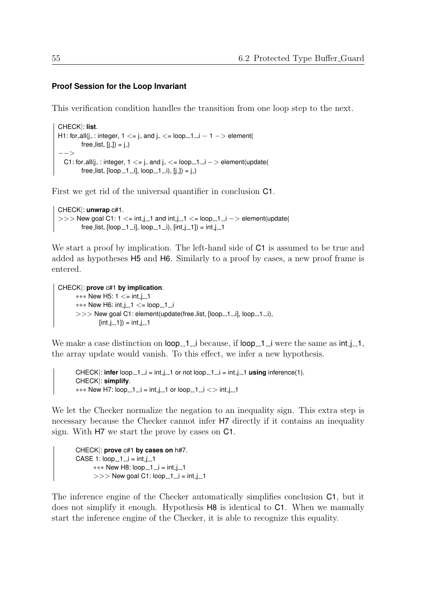#### **Proof Session for the Loop Invariant**

This verification condition handles the transition from one loop step to the next.

```
CHECK|: list.
H1: for all(j : integer, 1 \le i and j \le i loop -1 \le i - 1 -> element(
         free_list, [i_]) = [i_)
−−>
  C1: for _all(j_: integer, 1 \le i and j_\le i loop _1_i -> element(update(
         free_list, [loop_1_1_i], loop_1_1_i), [j_1] = j_1
```
First we get rid of the universal quantifier in conclusion C1.

```
CHECK|: unwrap c#1.
>> New goal C1: 1 \lt= int_j_1 and int_j_1 \lt= loop_1_i -> element(update(
       free_list, [loop_11_i], loop_11_i), [int_1-1] = int_1-1
```
We start a proof by implication. The left-hand side of  $C1$  is assumed to be true and added as hypotheses H5 and H6. Similarly to a proof by cases, a new proof frame is entered.

```
CHECK|: prove c#1 by implication.
     *** New H5: 1 \le = int_j_1
     *** New H6: int_j_1 \le = loop_1_i
     >> New goal C1: element(update(free_list, [loop_1_i], loop_1_i),
              [int_i 1]) = int i -1
```
We make a case distinction on  $\text{loop}_{-1}$  i because, if  $\text{loop}_{-1}$  i were the same as int j -1, the array update would vanish. To this effect, we infer a new hypothesis.

```
CHECK: \text{infer}\ \text{loop}_{-1} = \text{int}_{-1} or not \text{loop}_{-1} = \text{int}_{-1} = \text{int}_{-1} using inference(1).
CHECK|: simplify.
*** New H7: loop -1 - i = int_i - 1 or loop -1 - i \le int i - 1
```
We let the Checker normalize the negation to an inequality sign. This extra step is necessary because the Checker cannot infer H7 directly if it contains an inequality sign. With H7 we start the prove by cases on C1.

```
CHECK|: prove c#1 by cases on h#7.
CASE 1: loop_1_1 = int_1_1_1*** New H8: loop_1_i = int_j_1
     >> New goal C1: loop_1_i = int_j_1
```
The inference engine of the Checker automatically simplifies conclusion C1, but it does not simplify it enough. Hypothesis  $H8$  is identical to C1. When we manually start the inference engine of the Checker, it is able to recognize this equality.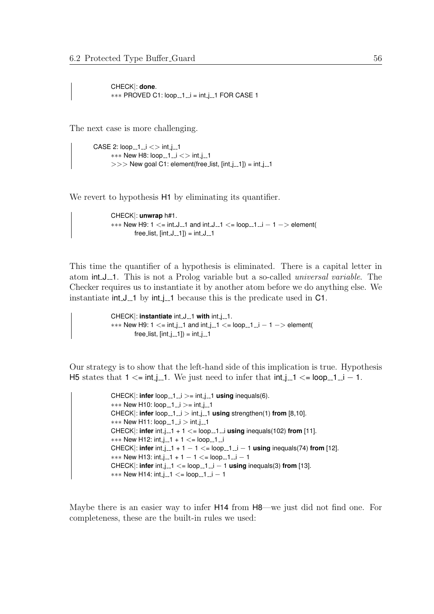CHECK|: **done**. ∗∗∗ PROVED C1: loop 1 i = int j 1 FOR CASE 1

The next case is more challenging.

```
CASE 2: loop_1_1_1 \leq 1 int.j.1
      *** New H8: loop_1_i <> int_j_1
      >> New goal C1: element(free_list, [int_j_1]) = int_j_1
```
We revert to hypothesis H1 by eliminating its quantifier.

```
CHECK|: unwrap h#1.
*** New H9: 1 \lt= int.J..1 and int.J..1 \lt= loop..1.i - 1 -> element(
        free_list, [int_J_1] = int_J_1
```
This time the quantifier of a hypothesis is eliminated. There is a capital letter in atom int J<sub>-1</sub>. This is not a Prolog variable but a so-called *universal variable*. The Checker requires us to instantiate it by another atom before we do anything else. We instantiate  $int_J_1$  by  $int_J_1$  because this is the predicate used in C1.

```
CHECK: instantiate int.J.1 with int.j.1.
*** New H9: 1 \le = int_i_1 and int_i_1 \le = loop_1_i - 1 -> element(
         free_list, [int_j<sub>--1</sub>]) = int_j<sub>--1</sub>
```
Our strategy is to show that the left-hand side of this implication is true. Hypothesis H5 states that  $1 \le$ = int j\_1. We just need to infer that  $int$  j\_1  $\lt$  = loop 1\_1 = 1.

```
CHECK: infer loop -1 \leq i > = int j-1 using inequals(6).
*** New H10: loop_1_i >= int_j_1
CHECK|: infer loop_{-1} i > int_{-1} using strengthen(1) from [8,10].
*** New H11: loop_1_i > int_j_1
CHECK|: infer int_{-1}^{1} + 1 \le = loop-1 is using inequals(102) from [11].
*** New H12: int_j_1 + 1 \lt = loop_1_i
CHECK|: infer int j = 1 + 1 - 1 \le loop j = 1 - 1 using inequals(74) from [12].
*** New H13: int_j_1 + 1 - 1 <= loop_1_i - 1
CHECK|: infer int.j_1 <= loop_11_1 - 1 using inequals(3) from [13].
*** New H14: int_j_1 <= loop_1_i - 1
```
Maybe there is an easier way to infer H14 from H8—we just did not find one. For completeness, these are the built-in rules we used: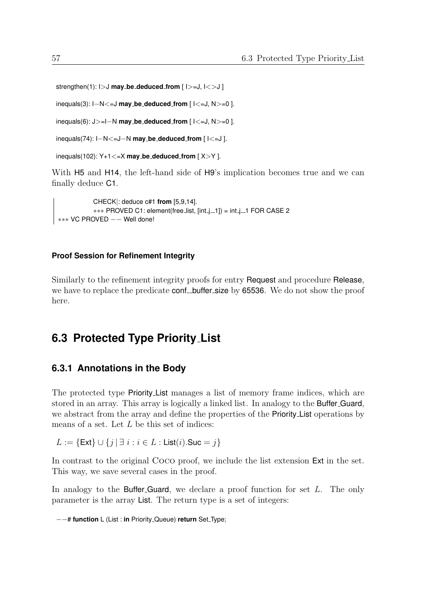strengthen(1): I>J **may be deduced from** [ I>=J, I<>J ]

inequals(3): I−N<=J **may be deduced from** [ I<=J, N>=0 ].

inequals(6): J>=I−N **may be deduced from** [ I<=J, N>=0 ].

```
inequals(74): I−N<=J−N may be deduced from [ I<=J ].
```

```
inequals(102): Y+1<=X may be deduced from [ X>Y ].
```
With H5 and H14, the left-hand side of H9's implication becomes true and we can finally deduce C1.

```
CHECK|: deduce c#1 from [5,9,14].
           ∗∗∗ PROVED C1: element(free list, [int j 1]) = int j 1 FOR CASE 2
∗∗∗ VC PROVED −− Well done!
```
#### **Proof Session for Refinement Integrity**

Similarly to the refinement integrity proofs for entry Request and procedure Release, we have to replace the predicate conf buffer size by 65536. We do not show the proof here.

## **6.3 Protected Type Priority List**

#### **6.3.1 Annotations in the Body**

The protected type Priority List manages a list of memory frame indices, which are stored in an array. This array is logically a linked list. In analogy to the Buffer Guard, we abstract from the array and define the properties of the Priority List operations by means of a set. Let L be this set of indices:

 $L := \{ \text{Ext} \} \cup \{ j | \exists i : i \in L : \text{List}(i).$ Suc = j}

In contrast to the original Coco proof, we include the list extension Ext in the set. This way, we save several cases in the proof.

In analogy to the **Buffer-Guard**, we declare a proof function for set  $L$ . The only parameter is the array List. The return type is a set of integers:

```
−−# function L (List : in Priority Queue) return Set Type;
```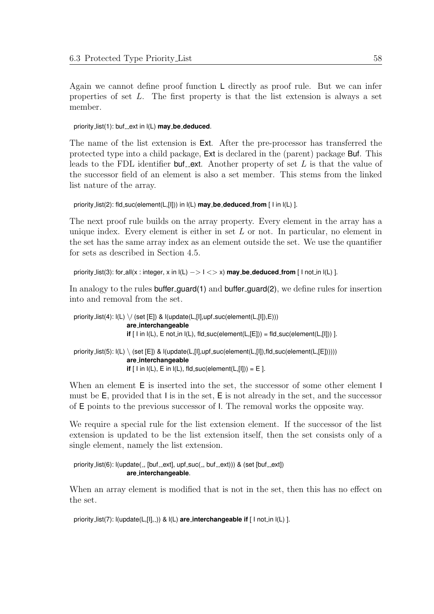Again we cannot define proof function L directly as proof rule. But we can infer properties of set L. The first property is that the list extension is always a set member.

priority\_list(1): buf\_ext in  $I(L)$  may be deduced.

The name of the list extension is Ext. After the pre-processor has transferred the protected type into a child package, Ext is declared in the (parent) package Buf. This leads to the FDL identifier buf ext. Another property of set  $L$  is that the value of the successor field of an element is also a set member. This stems from the linked list nature of the array.

```
priority list(2): fld suc(element(L,[I])) in l(L) may be deduced from [ I in l(L) ].
```
The next proof rule builds on the array property. Every element in the array has a unique index. Every element is either in set  $L$  or not. In particular, no element in the set has the same array index as an element outside the set. We use the quantifier for sets as described in Section [4.5.](#page-36-0)

```
priority list(3): for all(x : integer, x in l(L) −> I <> x) may be deduced from [ I not in l(L) ].
```
In analogy to the rules buffer guard(1) and buffer guard(2), we define rules for insertion into and removal from the set.

```
priority_list(4): I(L) \setminus I (set [E]) & I(update(L, [1], upf\_succ(element(L, [1]), E)))are interchangeable
                               \mathbf{if} \lceil l in \mathsf{I}(\mathsf{L}), \mathsf{E} not in \mathsf{I}(\mathsf{L}), \mathsf{fld} suc(element(\mathsf{L}, \lceil \mathsf{E} \rceil)) = fld suc(element(\mathsf{L}, \lceil \mathsf{I} \rceil)) ].
priority list(5): I(L) \setminus (set [E]) & I(update(L, [1], upf\_suc(element(L, [1]), fid\_suc(element(L, [E]]))))are interchangeable
                               if \lceil \text{I in I(L)}, \text{E in I(L)}, \text{fld}_suc(\text{element}(L,\lceil l \rceil)) = E \rceil.
```
When an element  $E$  is inserted into the set, the successor of some other element I must be E, provided that I is in the set, E is not already in the set, and the successor of E points to the previous successor of I. The removal works the opposite way.

We require a special rule for the list extension element. If the successor of the list extension is updated to be the list extension itself, then the set consists only of a single element, namely the list extension.

priority\_list(6): l(update(\_, [buf\_ext], upf\_suc(\_, buf\_ext))) & (set [buf\_ext]) **are interchangeable**.

When an array element is modified that is not in the set, then this has no effect on the set.

```
priority_list(7): I(update(L, [1], ...) & I(L) are_interchangeable if [ I not_in I(L) ].
```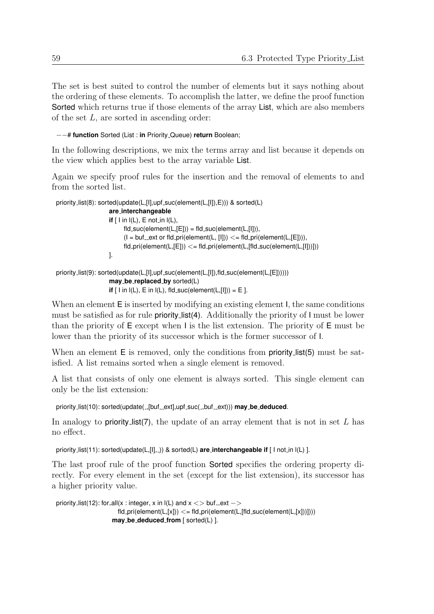The set is best suited to control the number of elements but it says nothing about the ordering of these elements. To accomplish the latter, we define the proof function Sorted which returns true if those elements of the array List, which are also members of the set L, are sorted in ascending order:

−−# **function** Sorted (List : **in** Priority Queue) **return** Boolean;

In the following descriptions, we mix the terms array and list because it depends on the view which applies best to the array variable List.

Again we specify proof rules for the insertion and the removal of elements to and from the sorted list.

```
priority_list(8): sorted(update(L,[I],upf_suc(element(L,[I]),E))) & sorted(L)
                       are interchangeable
                       if \lceil \ln \lceil (\lfloor L \rfloor) \rceil, E not in \lceil (\lfloor L \rfloor) \rceil,
                              fld\_suc(element(L,[E])) = fld\_suc(element(L,[I])),(I = but ext or fld pri(element(L, [I])) \lt = \text{fid} pri(element(L, [E]))),
                              fd\_pri(element(L, [E])) \leq fid\_pri(element(L, [fid\_succ(element(L, [I]))]))].
priority_list(9): sorted(update(L,[I],upf_suc(element(L,[I]),fld_suc(element(L,[E])))))
```

```
may be replaced by sorted(L)
if [ \text{ I in I(L)}, \text{ E in I(L)}, \text{ fid\_suc}(\text{element}(L, [I])) = \text{E}.
```

```
When an element E is inserted by modifying an existing element I, the same conditions
must be satisfied as for rule priority list(4). Additionally the priority of I must be lower
than the priority of E except when I is the list extension. The priority of E must be
lower than the priority of its successor which is the former successor of I.
```
When an element  $E$  is removed, only the conditions from **priority list(5)** must be satisfied. A list remains sorted when a single element is removed.

A list that consists of only one element is always sorted. This single element can only be the list extension:

```
priority_list(10): sorted(update(_,[buf_ext],upf_suc(_,buf_ext))) may be deduced.
```
In analogy to **priority list(7)**, the update of an array element that is not in set  $L$  has no effect.

priority list(11): sorted(update(L,[I], \_)) & sorted(L) **are interchangeable if** [ I not in I(L) ].

The last proof rule of the proof function Sorted specifies the ordering property directly. For every element in the set (except for the list extension), its successor has a higher priority value.

```
priority list(12): for all(x : integer, x in I(L) and x \leq buf ext ->
                      fd\_pri(element(L,[x])) \leq fd\_pri(element(L,[fld\_succ(element(L,[x)]))))may be deduced from [ sorted(L) ].
```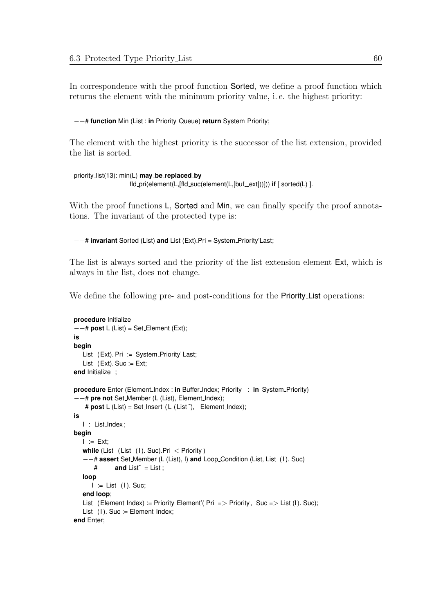In correspondence with the proof function Sorted, we define a proof function which returns the element with the minimum priority value, i. e. the highest priority:

−−# **function** Min (List : **in** Priority Queue) **return** System Priority;

The element with the highest priority is the successor of the list extension, provided the list is sorted.

```
priority list(13): min(L) may be replaced by
                    fld_pri(element(L,[fld_suc(element(L,[buf_ext]))])) if [ sorted(L) ].
```
With the proof functions L, Sorted and Min, we can finally specify the proof annotations. The invariant of the protected type is:

−−# **invariant** Sorted (List) **and** List (Ext).Pri = System Priority'Last;

The list is always sorted and the priority of the list extension element Ext, which is always in the list, does not change.

We define the following pre- and post-conditions for the **Priority** List operations:

```
procedure Initialize
−−# post L (List) = Set Element (Ext);
is
begin
  List (Ext). Pri := System_Priority' Last;
   List (Ext). Suc := Ext;
end Initialize ;
procedure Enter (Element_Index : in Buffer_Index; Priority : in System_Priority)
−−# pre not Set Member (L (List), Element Index);
−−# post L (List) = Set Insert ( L ( List ˜), Element Index);
is
  I : List_Index ;
begin
   I := Ext;while (List (List (1). Suc). Pri \lt Priority )
   −−# assert Set Member (L (List), I) and Loop Condition (List, List (I ). Suc)
   -\frac{4}{x} and List<sup>\zeta</sup> = List ;
   loop
      I := List (I). Suc;
   end loop;
   List (Element_Index) := Priority_Element'( Pri => Priority, Suc => List (I). Suc);
   List (1). Suc := Element_Index;
end Enter;
```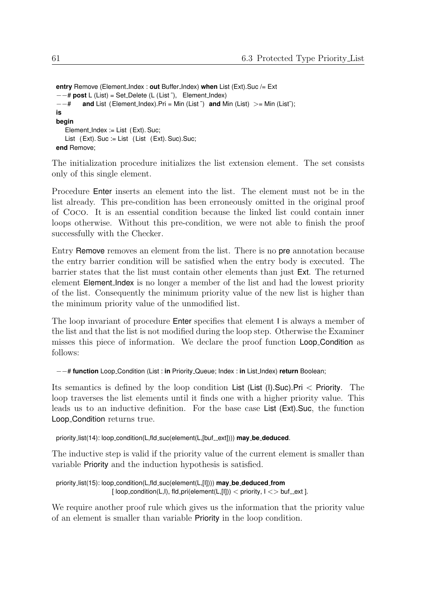```
entry Remove (Element_Index : out Buffer_Index) when List (Ext).Suc /= Ext
−−# post L (List) = Set Delete (L (List ˜), Element Index)
−−# and List (Element Index).Pri = Min (List ˜) and Min (List) >= Min (List˜);
is
begin
   Element_Index := List (Ext). Suc;
   List (Ext). Suc := List (List (Ext). Suc). Suc;
end Remove;
```
The initialization procedure initializes the list extension element. The set consists only of this single element.

Procedure Enter inserts an element into the list. The element must not be in the list already. This pre-condition has been erroneously omitted in the original proof of Coco. It is an essential condition because the linked list could contain inner loops otherwise. Without this pre-condition, we were not able to finish the proof successfully with the Checker.

Entry Remove removes an element from the list. There is no pre annotation because the entry barrier condition will be satisfied when the entry body is executed. The barrier states that the list must contain other elements than just Ext. The returned element Element Index is no longer a member of the list and had the lowest priority of the list. Consequently the minimum priority value of the new list is higher than the minimum priority value of the unmodified list.

The loop invariant of procedure Enter specifies that element I is always a member of the list and that the list is not modified during the loop step. Otherwise the Examiner misses this piece of information. We declare the proof function Loop Condition as follows:

```
−−# function Loop Condition (List : in Priority Queue; Index : in List Index) return Boolean;
```
Its semantics is defined by the loop condition List (List (I).Suc).Pri < Priority. The loop traverses the list elements until it finds one with a higher priority value. This leads us to an inductive definition. For the base case List (Ext).Suc, the function Loop Condition returns true.

```
priority_list(14): loop_condition(L,fld_suc(element(L,[buf_ext]))) may_be_deduced.
```
The inductive step is valid if the priority value of the current element is smaller than variable Priority and the induction hypothesis is satisfied.

```
priority list(15): loop condition(L,fld suc(element(L,[I]))) may be deduced from
                     [loop_{\text{condition}}(L, I), fld_pri(element(L, [I])) < priority, I \ll buf_ext ].
```
We require another proof rule which gives us the information that the priority value of an element is smaller than variable Priority in the loop condition.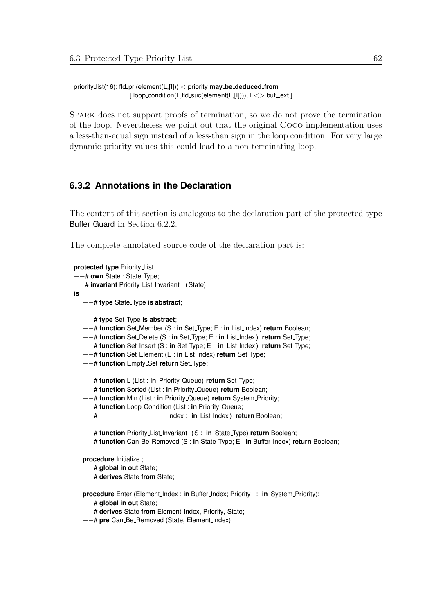priority list(16): fld pri(element(L,[I])) < priority **may be deduced from**  $[$  loop\_condition(L,fld\_suc(element(L, $[|]$ ))),  $|$  < > buf \_ext ].

Spark does not support proofs of termination, so we do not prove the termination of the loop. Nevertheless we point out that the original Coco implementation uses a less-than-equal sign instead of a less-than sign in the loop condition. For very large dynamic priority values this could lead to a non-terminating loop.

## **6.3.2 Annotations in the Declaration**

The content of this section is analogous to the declaration part of the protected type Buffer Guard in Section [6.2.2.](#page-53-0)

The complete annotated source code of the declaration part is:

**protected type** Priority List −−# **own** State : State Type; −−# **invariant** Priority List Invariant (State); **is** −−# **type** State Type **is abstract**; −−# **type** Set Type **is abstract**; −−# **function** Set Member (S : **in** Set Type; E : **in** List Index) **return** Boolean; −−# **function** Set Delete (S : **in** Set Type; E : **in** List Index ) **return** Set Type; −−# **function** Set Insert (S : **in** Set Type; E : **in** List Index ) **return** Set Type; −−# **function** Set Element (E : **in** List Index) **return** Set Type; −−# **function** Empty Set **return** Set Type; −−# **function** L (List : **in** Priority Queue) **return** Set Type; −−# **function** Sorted (List : **in** Priority Queue) **return** Boolean; −−# **function** Min (List : **in** Priority Queue) **return** System Priority; −−# **function** Loop Condition (List : **in** Priority Queue; −−# Index : **in** List Index ) **return** Boolean; −−# **function** Priority List Invariant (S : **in** State Type) **return** Boolean; −−# **function** Can Be Removed (S : **in** State Type; E : **in** Buffer Index) **return** Boolean; **procedure** Initialize ; −−# **global in out** State; −−# **derives** State **from** State; **procedure** Enter (Element\_Index : in Buffer\_Index; Priority : in System\_Priority); −−# **global in out** State; −−# **derives** State **from** Element Index, Priority, State; −−# **pre** Can Be Removed (State, Element Index);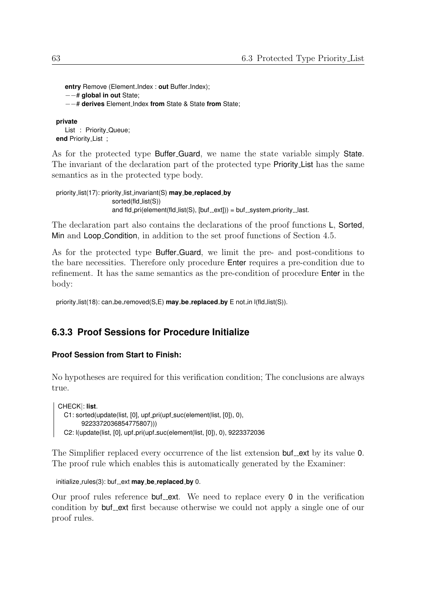```
entry Remove (Element Index : out Buffer Index);
−−# global in out State;
−−# derives Element Index from State & State from State;
```
**private** List : Priority Queue; **end** Priority List ;

As for the protected type Buffer Guard, we name the state variable simply State. The invariant of the declaration part of the protected type Priority List has the same semantics as in the protected type body.

```
priority list(17): priority list invariant(S) may be replaced by
                    sorted(fld_list(S))
                    and fld_pri(element(fld_list(S), [but\_ext])) = buf_system_priority_last.
```
The declaration part also contains the declarations of the proof functions L, Sorted, Min and Loop Condition, in addition to the set proof functions of Section [4.5.](#page-36-0)

As for the protected type Buffer Guard, we limit the pre- and post-conditions to the bare necessities. Therefore only procedure Enter requires a pre-condition due to refinement. It has the same semantics as the pre-condition of procedure Enter in the body:

priority list(18): can be removed(S,E) **may be replaced by** E not in l(fld list(S)).

## **6.3.3 Proof Sessions for Procedure Initialize**

#### **Proof Session from Start to Finish:**

No hypotheses are required for this verification condition; The conclusions are always true.

CHECK|: **list**. C1: sorted(update(list, [0], upf\_pri(upf\_suc(element(list, [0]), 0), 9223372036854775807))) C2: l(update(list, [0], upf\_pri(upf\_suc(element(list, [0]), 0), 9223372036

The Simplifier replaced every occurrence of the list extension buf ext by its value 0. The proof rule which enables this is automatically generated by the Examiner:

```
initialize_rules(3): buf_ext may_be_replaced_by 0.
```
Our proof rules reference buf ext. We need to replace every  $\theta$  in the verification condition by **buf** ext first because otherwise we could not apply a single one of our proof rules.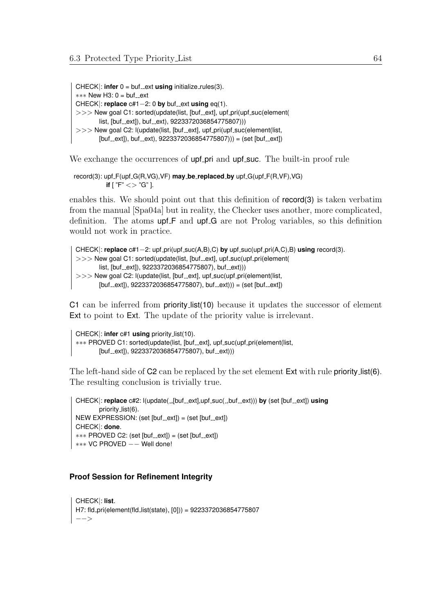$CHECK$ : **infer**  $0 = \text{buf}\_ext{using }$  initialize\_rules(3). \*\*\* New H3: 0 = buf\_ext CHECK $|$ : **replace**  $c#1-2$ : 0 **by** buf ext **using** eq(1).  $>>$  New goal C1: sorted(update(list, [buf\_ext], upf\_pri(upf\_suc(element( list, [buf\_ext]), buf\_ext), 9223372036854775807)))  $>>$  New goal C2: I(update(list, [buf\_ext], upf\_pri(upf\_suc(element(list,  $[but_{-}ext]$ , buf $_{-}ext$ , 9223372036854775807))) = (set [buf $_{-}ext$ ])

We exchange the occurrences of **upf-pri** and **upf-suc.** The built-in proof rule

record(3): upf F(upf G(R,VG),VF) **may be replaced by** upf G(upf F(R,VF),VG) **if** [  $"F" \ll > "G"$  ].

enables this. We should point out that this definition of record(3) is taken verbatim from the manual [\[Spa04a\]](#page-109-1) but in reality, the Checker uses another, more complicated, definition. The atoms upf F and upf G are not Prolog variables, so this definition would not work in practice.

```
CHECK|: replace c#1−2: upf pri(upf suc(A,B),C) by upf suc(upf pri(A,C),B) using record(3).
>> New goal C1: sorted(update(list, [buf_ext], upf_suc(upf_pri(element(
        list, [buf_ext]), 9223372036854775807), buf_ext)))
>> New goal C2: I(update(list, [buf_ext], upf_suc(upf_pri(element(list,
        [but_{-}ext], 9223372036854775807), buf_{-}ext)) = (set [but_{-}ext])
```
C1 can be inferred from priority list(10) because it updates the successor of element Ext to point to Ext. The update of the priority value is irrelevant.

CHECK|: **infer** c#1 **using** priority list(10). ∗∗∗ PROVED C1: sorted(update(list, [buf\_ext], upf\_suc(upf\_pri(element(list,  $[but_{-}ext]$ , 9223372036854775807), buf $-ext$ ))

The left-hand side of C2 can be replaced by the set element Ext with rule priority list(6). The resulting conclusion is trivially true.

```
CHECK|: replace c#2: I(update(.,[buf..ext],upf.suc(.,buf..ext))) by (set [buf..ext]) using
       priority_list(6).
NEW EXPRESSION: (set [but\_ext]) = (set [but\_ext])CHECK|: done.
*** PROVED C2: (set [buf_ext]) = (set [buf_ext])
∗∗∗ VC PROVED −− Well done!
```
#### **Proof Session for Refinement Integrity**

```
CHECK|: list.
H7: fld pri(element(fld list(state), [0])) = 9223372036854775807
−−>
```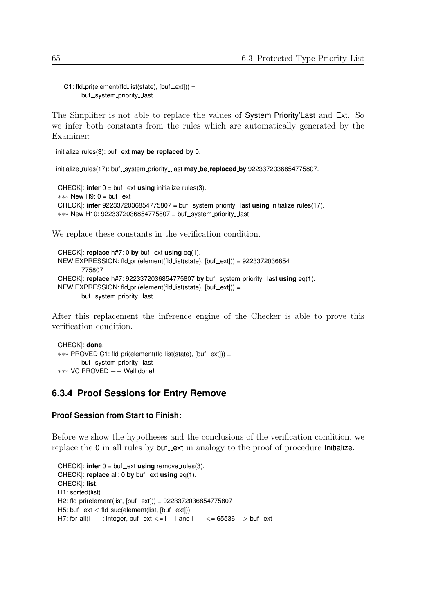```
C1: fId_pri(element(fId_list(state), [buf\_ext])) =buf_system_priority_last
```
The Simplifier is not able to replace the values of System Priority'Last and Ext. So we infer both constants from the rules which are automatically generated by the Examiner:

```
initialize_rules(3): buf_ext may_be_replaced_by 0.
```

```
initialize_rules(17): buf_system_priority_last may_be_replaced_by 9223372036854775807.
```

```
CHECK: infer 0 = \text{buf}\_ext{using } initialize_rules(3).
*** New H9: 0 = buf ext
CHECK|: infer 9223372036854775807 = buf_system_priority_last using initialize_rules(17).
*** New H10: 9223372036854775807 = buf_system_priority_last
```
We replace these constants in the verification condition.

```
CHECK|: replace h#7: 0 by buf ext using eq(1).
NEW EXPRESSION: fld_pri(element(fld_list(state), [buf_ext])) = 9223372036854
       775807
CHECK|: replace h#7: 9223372036854775807 by buf system priority last using eq(1).
NEW EXPRESSION: fld pri(element(fld_list(state), [buf._ext]) =buf_system_priority_last
```
After this replacement the inference engine of the Checker is able to prove this verification condition.

```
CHECK|: done.
*** PROVED C1: fld_pri(element(fld_list(state), [buf_ext])) =
       buf_system_priority_last
∗∗∗ VC PROVED −− Well done!
```
## **6.3.4 Proof Sessions for Entry Remove**

## **Proof Session from Start to Finish:**

Before we show the hypotheses and the conclusions of the verification condition, we replace the  $0$  in all rules by  $but$  ext in analogy to the proof of procedure Initialize.

```
CHECK: infer 0 = \text{buf}\_ext{using remove}\_rules(3).
CHECK|: replace all: 0 by buf ext using eq(1).
CHECK|: list.
H1: sorted(list)
H2: fld_pri(element(list, [but\_ext])) = 9223372036854775807
H5: buf ext \lt fld suc(element(list, [buf ext]))
H7: for_all(i __1 : integer, buf __ ext <= i__1 and i__1 <= 65536 -> buf __ ext
```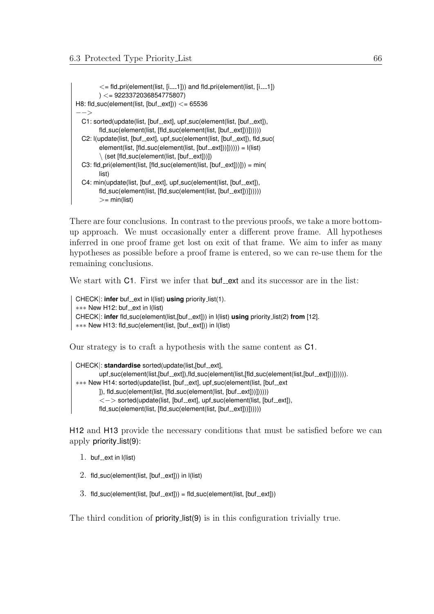```
\epsilon = fld_pri(element(list, [i__1])) and fld_pri(element(list, [i__1])
        ) <= 9223372036854775807)
H8: fld_suc(element(list, [but\_ext])) <= 65536
−−>
  C1: sorted(update(list, [buf_ext], upf_suc(element(list, [buf_ext]),
        fld_suc(element(list, [fld_suc(element(list, [buf_ext]))])))))
  C2: l(update(list, [buf_ext], upf_suc(element(list, [buf_ext]), fld_suc(
        element(list, [fld\_suc(element(list, [buf\_ext]))])) = I(list)\setminus (set [fld_suc(element(list, [buf_ext]))])
  C3: fld_pri(element(list, [fd\_succ(element(list, [but\_ext]))]) = min(list)
  C4: min(update(list, [buf_ext], upf_suc(element(list, [buf_ext]),
        fld_suc(element(list, [fld_suc(element(list, [buf_ext]))])))))
         >= min(list)
```
There are four conclusions. In contrast to the previous proofs, we take a more bottomup approach. We must occasionally enter a different prove frame. All hypotheses inferred in one proof frame get lost on exit of that frame. We aim to infer as many hypotheses as possible before a proof frame is entered, so we can re-use them for the remaining conclusions.

We start with C1. First we infer that buf ext and its successor are in the list:

```
CHECK|: infer buf_ext in l(list) using priority_list(1).
∗∗∗ New H12: buf_ext in I(list)
CHECK|: infer fld_suc(element(list,[buf_ext])) in I(list) using priority_list(2) from [12].
∗∗∗ New H13: fld_suc(element(list, [buf_ext])) in I(list)
```
Our strategy is to craft a hypothesis with the same content as C1.

```
CHECK|: standardise sorted(update(list,[buf_ext],
        upf_suc(element(list,[buf_ext]),fld_suc(element(list,[fld_suc(element(list,[buf_ext]))]))))).
∗∗∗ New H14: sorted(update(list, [buf_ext], upf_suc(element(list, [buf_ext]
        ]), fld_suc(element(list, [fld_suc(element(list, [buf_ext]))])))))
        <-> sorted(update(list, [buf_ext], upf_suc(element(list, [buf_ext]),
        fld_suc(element(list, [fld_suc(element(list, [but_s ext])))))
```
H12 and H13 provide the necessary conditions that must be satisfied before we can apply priority list(9):

- 1. buf ext in  $I(\text{list})$
- $2.$  fld\_suc(element(list, [buf\_ext])) in  $I(Iist)$
- $3.$  fld\_suc(element(list, [buf\_ext])) = fld\_suc(element(list, [buf\_ext]))

The third condition of **priority list(9)** is in this configuration trivially true.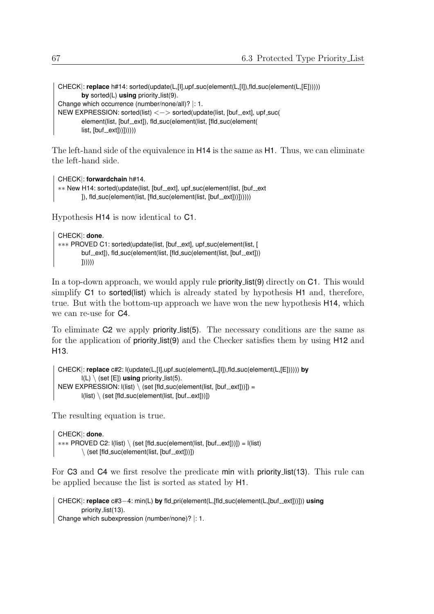```
CHECK|: replace h#14: sorted(update(L,[I],upf_suc(element(L,[I]),fld_suc(element(L,[E])))))
        by sorted(L) using priority list(9).
Change which occurrence (number/none/all)? |: 1.
NEW EXPRESSION: sorted(list) \langle - \rangle sorted(update(list, [buf_ext], upf_suc(
        element(list, [buf_ext]), fld_suc(element(list, [fld_suc(element(
        list, [buf._ext]))))))))
```
The left-hand side of the equivalence in H14 is the same as H1. Thus, we can eliminate the left-hand side.

```
CHECK|: forwardchain h#14.
∗∗ New H14: sorted(update(list, [buf_ext], upf_suc(element(list, [buf_ext
        ], fld_suc(element(list, [fld_suc(element(list, [buf_ext]))])))))
```
Hypothesis H14 is now identical to C1.

```
CHECK|: done.
*** PROVED C1: sorted(update(list, [buf_ext], upf_suc(element(list, [
        buf_ext]), fld_suc(element(list, [fld_suc(element(list, [buf_ext]))
        |))))
```
In a top-down approach, we would apply rule **priority list(9)** directly on **C1**. This would simplify C1 to sorted(list) which is already stated by hypothesis H1 and, therefore, true. But with the bottom-up approach we have won the new hypothesis H14, which we can re-use for C4.

To eliminate C2 we apply priority list(5). The necessary conditions are the same as for the application of priority list(9) and the Checker satisfies them by using H12 and H13.

```
CHECK|: replace c#2: l(update(L,[I],upf suc(element(L,[I]),fld suc(element(L,[E]))))) by
         l(L) \ (set [E]) using priority list(5).
NEW EXPRESSION: I(Iist) \setminus (set [fld\_suc(element(Iist, [but\_ext]))]) =I(list) \setminus (set [fld\_succ(element(list, [buf\_ext]))])
```
The resulting equation is true.

```
CHECK|: done.
*** PROVED C2: l(list) \ (set [fld_suc(element(list, [buf_ext]))]) = l(list)
         \setminus (set [fld_suc(element(list, [buf_ext]))])
```
For C3 and C4 we first resolve the predicate min with priority list(13). This rule can be applied because the list is sorted as stated by H1.

```
CHECK|: replace c#3-4: min(L) by fld_pri(element(L,[fld_suc(element(L,[buf<sub>-ext</sub>]))])) using
        priority_list(13).
Change which subexpression (number/none)? |: 1.
```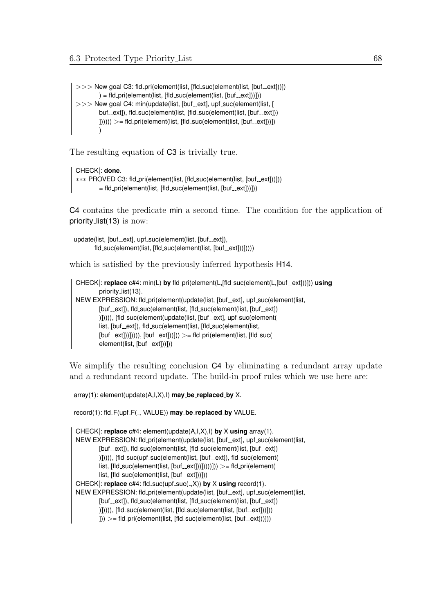$>>$  New goal C3: fld\_pri(element(list, [fld\_suc(element(list, [buf\_ext]))])  $) = f \cdot \text{Id}_{p} \cdot \text{P} \cdot \text{Id}_{p} \cdot \text{Id}_{p} \cdot \text{Id}_{p} \cdot \text{Id}_{p} \cdot \text{Id}_{p} \cdot \text{Id}_{p} \cdot \text{Id}_{p} \cdot \text{Id}_{p} \cdot \text{Id}_{p} \cdot \text{Id}_{p} \cdot \text{Id}_{p} \cdot \text{Id}_{p} \cdot \text{Id}_{p} \cdot \text{Id}_{p} \cdot \text{Id}_{p} \cdot \text{Id}_{p} \cdot \text{Id}_{p} \cdot \text{Id}_{p} \cdot \text{Id}_{p} \cdot \text{Id}_{p} \cdot \text{Id}_{p} \cdot \text{Id}_{p} \cdot \$  $>>$  New goal C4: min(update(list, [buf\_ext], upf\_suc(element(list, [ buf \_\_ext]), fld\_suc(element(list, [fld\_suc(element(list, [buf \_\_ext]))  $|1|$ ))))  $>=$  fld\_pri(element(list, [fld\_suc(element(list, [buf\_ext]))])  $\lambda$ 

The resulting equation of C3 is trivially true.

#### CHECK|: **done**.

```
∗∗∗ PROVED C3: fld_pri(element(list, [fld_suc(element(list, [buf_ext]))]))
        = fld_pri(element(list, [fld_suc(element(list, [buf_ext]))]))
```
C4 contains the predicate min a second time. The condition for the application of priority list(13) is now:

```
update(list, [buf_ext], upf_suc(element(list, [buf_ext]),
       fld_suc(element(list, [fld_suc(element(list, [buf_ext]))]))))
```
which is satisfied by the previously inferred hypothesis  $H14$ .

```
CHECK|: replace c#4: min(L) by fld_pri(element(L,[fld_suc(element(L,[buf_ext]))])) using
        priority_list(13).
NEW EXPRESSION: fld_pri(element(update(list, [buf_ext], upf_suc(element(list,
        [buf_ext]), fld_suc(element(list, [fld_suc(element(list, [buf_ext])
        )])))), [fld_suc(element(update(list, [buf_ext], upf_suc(element(
        list, [buf_ext]), fld_suc(element(list, [fld_suc(element(list,
        [but\_ext]])))), [but\_ext]))])) >= fld_pri(element(list, [fid\_succ]element(list, [buf_ext]))]))
```
We simplify the resulting conclusion **C4** by eliminating a redundant array update and a redundant record update. The build-in proof rules which we use here are:

array(1): element(update(A,I,X),I) **may be replaced by** X.

record(1): fld F(upf F( , VALUE)) **may be replaced by** VALUE.

```
CHECK|: replace c#4: element(update(A,I,X),I) by X using array(1).
NEW EXPRESSION: fld_pri(element(update(list, [buf_ext], upf_suc(element(list,
        [buf_ext]), fld_suc(element(list, [fld_suc(element(list, [buf_ext])
        )])))), [fld_suc(upf_suc(element(list, [buf__ext]), fld_suc(element(
        list, [fld\_suc(element(list, [buf\_ext]))])))))))))))) >= fld\_pri(element(list, [fld_suc(element(list, [buf_ext]))]))
CHECK|: replace c#4: fld_suc(upf_suc(.,X)) by X using record(1).
NEW EXPRESSION: fld_pri(element(update(list, [buf_ext], upf_suc(element(list,
        [buf_ext]), fld_suc(element(list, [fld_suc(element(list, [buf_ext])
        )])))), [fld_suc(element(list, [fld_suc(element(list, [buf_ext]))]))
        |1\rangle) >= fld_pri(element(list, [fld_suc(element(list, [buf_ext]))]))
```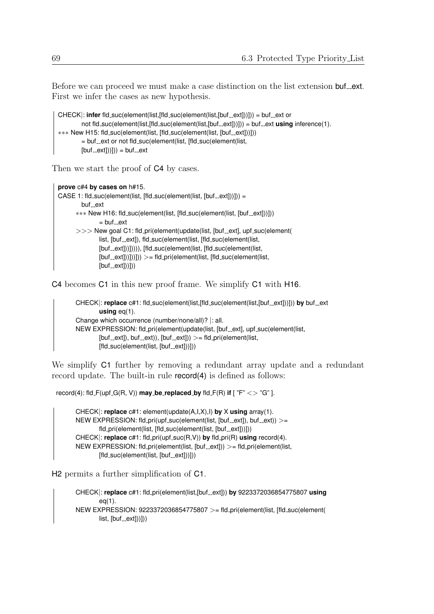Before we can proceed we must make a case distinction on the list extension buf ext. First we infer the cases as new hypothesis.

```
CHECK|: infer fld_suc(element(list,[fld_suc(element(list,[buf_ext]))])) = buf_ext or
        not fld_suc(element(list,[fld_suc(element(list,[buf_ext]))])) = buf_ext using inference(1).
∗∗∗ New H15: fld_suc(element(list, [fld_suc(element(list, [buf_ext]))]))
        = buf_ext or not fld_suc(element(list, [fld_suc(element(list,
        [buf._ext]))]) = buf._ext
```
Then we start the proof of  $C4$  by cases.

```
prove c#4 by cases on h#15.
CASE 1: fld_suc(element(list, [fld_suc(element(list, [but_sext]))]) =buf ext
      *** New H16: fld_suc(element(list, [fld_suc(element(list, [buf_ext]))]))
              = buf ext>> New goal C1: fld_pri(element(update(list, [buf_ext], upf_suc(element(
              list, [buf_ext]), fld_suc(element(list, [fld_suc(element(list,
              [buf_ext]))]))), [fld_suc(element(list, [fld_suc(element(list,
              [but\_ext]]])])) >= fld_pri(element(list, [fld\_succ(element(list,
              [buf._ext])]))
```
C4 becomes C1 in this new proof frame. We simplify C1 with H16.

```
CHECK|: replace c#1: fld_suc(element(list,[fld_suc(element(list,[buf_ext]))])) by buf_ext
        using eq(1).
Change which occurrence (number/none/all)? |: all.
NEW EXPRESSION: fld_pri(element(update(list, [buf_ext], upf_suc(element(list,
        [but_{-}ext]), buf-ext)), [but_{-}ext])) > = fld\_pri(element(list,
        [fld\_suc(element(list, [buf\_ext]))])
```
We simplify  $C1$  further by removing a redundant array update and a redundant record update. The built-in rule record(4) is defined as follows:

 $r\text{e} \text{c} \text{ord}(4)$ : fld\_F(upf\_G(R, V))  $\text{may}\text{_b}$ **be\_replaced\_by** fld\_F(R) if  $\lceil$  "F" <> "G" ].

CHECK|: **replace** c#1: element(update(A,I,X),I) **by** X **using** array(1). NEW EXPRESSION: fld\_pri(upf\_suc(element(list, [buf\_ext]), buf\_ext)) >= fld\_pri(element(list, [fld\_suc(element(list, [buf\_ext]))])) CHECK: **replace** c#1: fld\_pri(upf\_suc(R,V)) **by** fld\_pri(R) using record(4). NEW EXPRESSION: fld\_pri(element(list, [buf\_ext])) >= fld\_pri(element(list,  $[fld_suc(element(list, [buf_cext]))])$ 

H2 permits a further simplification of C1.

CHECK|: **replace** c#1: fld\_pri(element(list,[buf\_ext])) **by** 9223372036854775807 using eq(1). NEW EXPRESSION: 9223372036854775807 >= fld pri(element(list, [fld suc(element(  $list, [buf._ext]))])$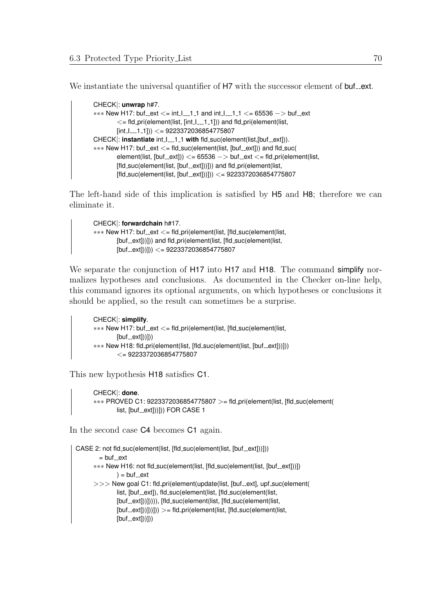We instantiate the universal quantifier of H7 with the successor element of buf\_ext.

```
CHECK|: unwrap h#7.
*** New H17: buf ext \lt= int I 1 1 and int I 1 1 \lt= 65536 -> buf ext
        \epsilon = fld_pri(element(list, [int_I___1_1])) and fld_pri(element(list,
        [int_l1_{-l}1_1]) <= 9223372036854775807
CHECK|: instantiate int_I__1_1 with fld_suc(element(list,[buf_ext])).
*** New H17: buf __ ext <= fld_suc(element(list, [buf __ ext])) and fld_suc(
        element(list, [but\_ext])) <= 65536 -> buf ext <= fld pri(element(list,
        [fld_suc(element(list, [buf_ext]))])) and fld_pri(element(list,
        [fld\_suc(element(list, [buf\_ext]))]) < 9223372036854775807
```
The left-hand side of this implication is satisfied by H5 and H8; therefore we can eliminate it.

```
CHECK|: forwardchain h#17.
∗∗∗ New H17: buf ext <= fld pri(element(list, [fld suc(element(list,
         [buf<sub>-ext]</sub>))])) and fld<sub>-pri</sub>(element(list, [fld<sub>-suc</sub>(element(list,
         [buf._ext])])) <= 9223372036854775807
```
We separate the conjunction of H17 into H17 and H18. The command simplify normalizes hypotheses and conclusions. As documented in the Checker on-line help, this command ignores its optional arguments, on which hypotheses or conclusions it should be applied, so the result can sometimes be a surprise.

```
CHECK|: simplify.
*** New H17: buf_ext <= fld_pri(element(list, [fld_suc(element(list,
        [buf._ext]))])*** New H18: fld_pri(element(list, [fld_suc(element(list, [buf_ext]))]))
        \leq = 9223372036854775807
```
This new hypothesis H18 satisfies C1.

```
CHECK|: done.
∗∗∗ PROVED C1: 9223372036854775807 >= fld pri(element(list, [fld suc(element(
       list, [buf_ext]))])) FOR CASE 1
```
In the second case C4 becomes C1 again.

```
CASE 2: not fld_suc(element(list, [fld_suc(element(list, [buf_ext]))]))
        = buf\_ext∗∗∗ New H16: not fld_suc(element(list, [fld_suc(element(list, [buf_ext]))])
               ) = \text{buf\_ext}>>> New goal C1: fld_pri(element(update(list, [buf_ext], upf_suc(element(
               list, [buf_ext]), fld_suc(element(list, [fld_suc(element(list,
               [buf_ext]))]))), [fld_suc(element(list, [fld_suc(element(list,
               [buf\_ext]]])])) >= fld_pri(element(list, [fld_suc(element(list,
               [buf._ext])]))
```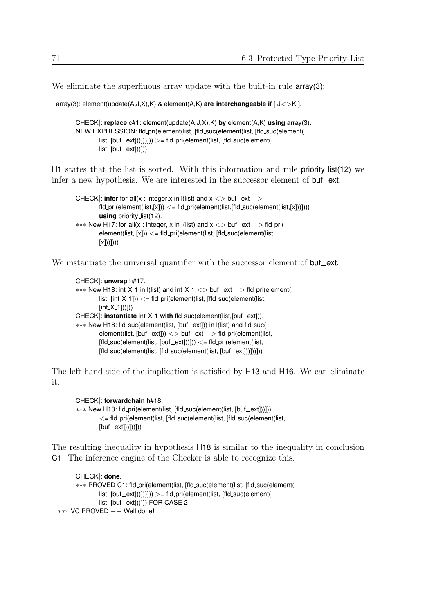We eliminate the superfluous array update with the built-in rule **array(3)**:

```
array(3): element(update(A,J,X),K) & element(A,K) are interchangeable if [ J<>K ].
```
CHECK|: **replace** c#1: element(update(A,J,X),K) **by** element(A,K) **using** array(3). NEW EXPRESSION: fld pri(element(list, [fld suc(element(list, [fld suc(element(  $list, [but\_ext]))])$ ))) >= fld\_pri(element(list, [fld\_suc(element(  $list, [buf._ext]))])$ 

H1 states that the list is sorted. With this information and rule priority list(12) we infer a new hypothesis. We are interested in the successor element of  $\text{buf\_ext}$ .

```
CHECK\mid: infer for all(x : integer, x in \mid (list) and x \leq buf ext ->fd\_pri(element(list.[x])) \leq fd\_pri(element(list.[fid\_succ(element(list.[x]))))using priority list(12).
*** New H17: for_all(x : integer, x in l(list) and x \leq 0 buf ext -> fld_pri(
         element(list, [x])) \leq = fld_pri(element(list, [fld\_succ(element(list,[x]))
```
We instantiate the universal quantifier with the successor element of **buf** ext.

```
CHECK|: unwrap h#17.
*** New H18: int X_1 in l(list) and int X_1 \lt buf ext -> fld pri(element(
        list, [int.X_1])) \lt = fd_pri(element(list, [fld_suc(element(list,
        [int_X_1]])])
CHECK|: instantiate int X<sub>-1</sub> with fld_suc(element(list,[buf_ext])).
∗∗∗ New H18: fld suc(element(list, [buf ext])) in l(list) and fld suc(
        element(list, [but\_ext])) <> buf ext - fld pri(element(list,
        [fid\_suc(element(list, [but\_ext]))]) \leq= fd\_pri(element(list,[fid\_suc(element(list, [fid\_suc(element(list, [but\_ext]))]))])
```
The left-hand side of the implication is satisfied by H13 and H16. We can eliminate it.

```
CHECK|: forwardchain h#18.
∗∗∗ New H18: fld_pri(element(list, [fld_suc(element(list, [buf_ext]))]))
        <= fld pri(element(list, [fld suc(element(list, [fld suc(element(list,
        [buf._ext]))]))])
```
The resulting inequality in hypothesis H18 is similar to the inequality in conclusion C1. The inference engine of the Checker is able to recognize this.

```
CHECK|: done.
   ∗∗∗ PROVED C1: fld pri(element(list, [fld suc(element(list, [fld suc(element(
           list, [buf._ext]))])))) >= fld_pri(element(list, [fld_suc(element(
           list, [buf\_ext]))) FOR CASE 2
∗∗∗ VC PROVED −− Well done!
```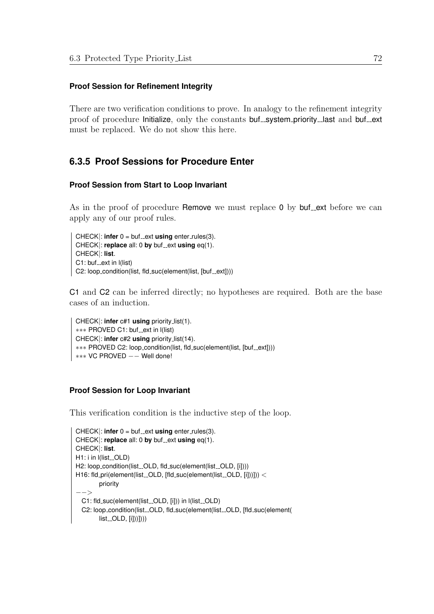## **Proof Session for Refinement Integrity**

There are two verification conditions to prove. In analogy to the refinement integrity proof of procedure Initialize, only the constants buf\_system\_priority\_last and buf\_ext must be replaced. We do not show this here.

## **6.3.5 Proof Sessions for Procedure Enter**

## **Proof Session from Start to Loop Invariant**

As in the proof of procedure Remove we must replace  $\theta$  by buf-ext before we can apply any of our proof rules.

 $CHECK$ : **infer**  $0 = \text{buf}\_ext{using enter}\_rules(3)$ .  $CHECK$ : **replace** all: 0 **by** buf ext **using** eq(1). CHECK|: **list**.  $C1:$  buf $\_ext$  in I(list) C2: loop\_condition(list, fld\_suc(element(list, [buf\_ext])))

C1 and C2 can be inferred directly; no hypotheses are required. Both are the base cases of an induction.

```
CHECK|: infer c#1 using priority list(1).
∗∗∗ PROVED C1: buf_ext in I(list)
CHECK|: infer c#2 using priority list(14).
∗∗∗ PROVED C2: loop_condition(list, fld_suc(element(list, [buf_ext])))
∗∗∗ VC PROVED −− Well done!
```
## **Proof Session for Loop Invariant**

This verification condition is the inductive step of the loop.

```
CHECK: infer 0 = \text{buf}\_ext{using enter}\_rule{0pt}{1.5pt} enter_rules(3).
CHECK|: replace all: 0 by buf ext using eq(1).
CHECK|: list.
H1: i in I(list_OLD)
H2: loop_condition(list_OLD, fld_suc(element(list_OLD, [i])))
H16: fld_pri(element(list_OLD, [fld_suc(element(list_OLD, [i]))])) <
         priority
−−>
  C1: fld_suc(element(list_OLD, [i])) in l(list_OLD)
  C2: loop_condition(list_OLD, fld_suc(element(list_OLD, [fld_suc(element(
         list<sub>--</sub>OLD, [i]]))])))
```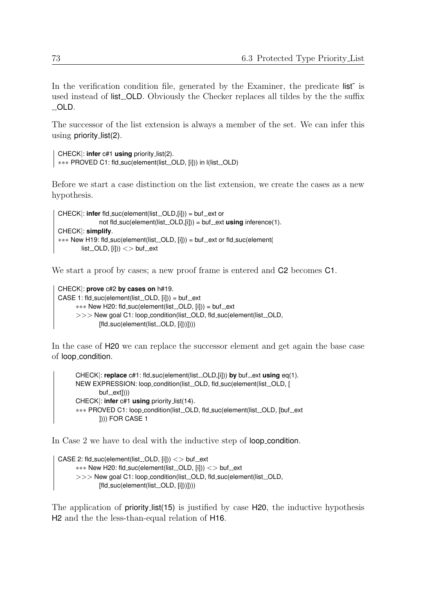In the verification condition file, generated by the Examiner, the predicate list<sup>\*</sup> is used instead of list. OLD. Obviously the Checker replaces all tildes by the the suffix OLD.

The successor of the list extension is always a member of the set. We can infer this using priority list(2).

```
CHECK|: infer c#1 using priority list(2).
∗∗∗ PROVED C1: fld_suc(element(list_OLD, [i])) in I(list_OLD)
```
Before we start a case distinction on the list extension, we create the cases as a new hypothesis.

```
CHECK|: infer fld_suc(element(list_OLD,[i])) = buf_ext or
               not fld_suc(element(list_OLD,[i])) = buf_ext using inference(1).
CHECK|: simplify.
∗∗∗ New H19: fld_suc(element(list_OLD, [i])) = buf_ext or fld_suc(element(
        list<sub>-OLD</sub>, [i]) \iff buf<sub>-ext</sub>
```
We start a proof by cases; a new proof frame is entered and  $C2$  becomes  $C1$ .

```
CHECK|: prove c#2 by cases on h#19.
CASE 1: fld_suc(element(list_cOLD, [i])) = but_cext∗∗∗ New H20: fld_suc(element(list_OLD, [i])) = buf_ext
      >>> New goal C1: loop_condition(list_OLD, fld_suc(element(list_OLD,
             [fld_suc(element(list_OLD, [il))))])
```
In the case of H20 we can replace the successor element and get again the base case of loop condition.

CHECK|: **replace** c#1: fld\_suc(element(list\_OLD,[i])) by buf\_ext using eq(1). NEW EXPRESSION: loop\_condition(list\_OLD, fld\_suc(element(list\_OLD, [  $buf._ext])$ ) CHECK|: **infer** c#1 **using** priority list(14). \*\*\* PROVED C1: loop\_condition(list\_OLD, fld\_suc(element(list\_OLD, [buf\_ext ]))) FOR CASE 1

In Case 2 we have to deal with the inductive step of loop condition.

```
CASE 2: fld_suc(element(list_OLD, [i])) \langle > buf_ext
      ∗∗∗ New H20: fld_suc(element(list_OLD, [i])) <> buf_ext
      >>> New goal C1: loop_condition(list_OLD, fld_suc(element(list_OLD,
              [fld\_suc(element(list\_OLD, [i]))]))
```
The application of priority list(15) is justified by case H20, the inductive hypothesis H2 and the the less-than-equal relation of H16.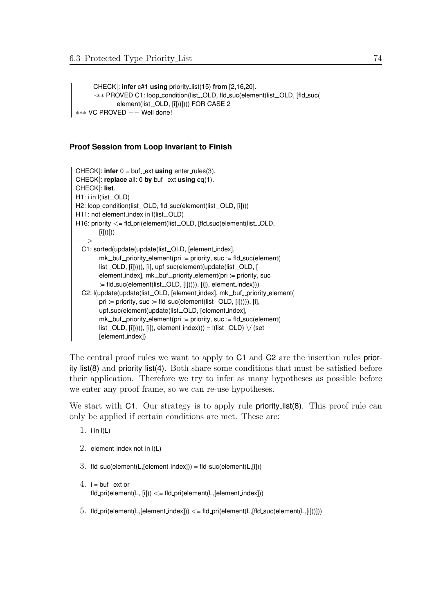CHECK|: **infer** c#1 **using** priority list(15) **from** [2,16,20]. ∗∗∗ PROVED C1: loop\_condition(list\_OLD, fld\_suc(element(list\_OLD, [fld\_suc( element(list\_OLD, [i]))]))) FOR CASE 2 ∗∗∗ VC PROVED −− Well done!

## **Proof Session from Loop Invariant to Finish**

```
CHECK: infer 0 = \text{buf}\_ext{using enter}\_rule{0pt}{1.5pt} enter_rules(3).
CHECK|: replace all: 0 by buf-ext using eq(1).
CHECK|: list.
H1: i in I(list_OLD)
H2: loop_condition(list_OLD, fld_suc(element(list_OLD, [i])))
H11: not element_index in I(list_OLD)
H16: priority <= fld_pri(element(list_OLD, [fld_suc(element(list_OLD,
        [i]))]))
−−>
  C1: sorted(update(update(list_OLD, [element_index],
        mk_{-}buf priority element(pri := priority, suc := fld suc(element(
        list_OLD, [i])))), [i], upf_suc(element(update(list_OLD, [
        element_index], mk\_but\_priority\_element(pri := priority, suc:= fld_suc(element(list_OLD, [i]))), [i]), element_index)))
  C2: l(update(update(list_OLD, [element_index], mk_buf_priority_element(
        pri := priority, suc := fld_suc(element(list_OLD, [i]))), [i],
        upf_suc(element(update(list_OLD, [element_index],
        mk\_but\_priority\_element(pri := priority, suc := fd\_suc(element(list\_OLD, [i]))), [i], element index))) = I(list\_OLD) \setminus / (set[element index])
```
The central proof rules we want to apply to C1 and C2 are the insertion rules priority list(8) and priority list(4). Both share some conditions that must be satisfied before their application. Therefore we try to infer as many hypotheses as possible before we enter any proof frame, so we can re-use hypotheses.

We start with C1. Our strategy is to apply rule **priority** list(8). This proof rule can only be applied if certain conditions are met. These are:

- 1. i in  $I(L)$
- 2. element index not in  $I(L)$
- $3.$  fld\_suc(element(L,[element\_index])) = fld\_suc(element(L,[i]))
- $4. i = \text{buf\_ext}$  or  $fd\_pri(element(L, [il)) \leq fd\_pri(element(L, [element, index]))$
- 5. fld\_pri(element(L,[element\_index])  $\lt$  = fld\_pri(element(L,[fld\_suc(element(L,[i]))]))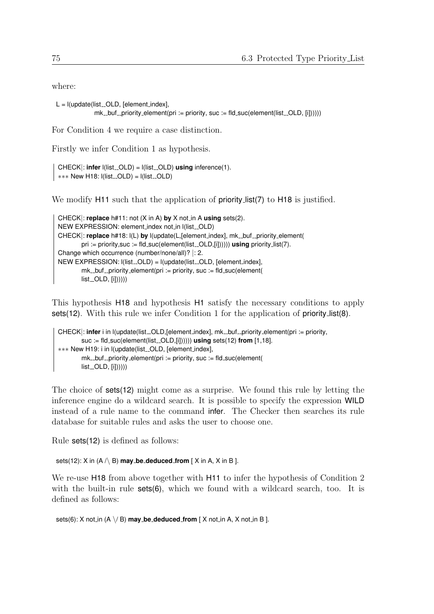where:

```
L = I(update(list\_OLD, [element_index],mk_buf_priority_element(pri := priority, suc := fd_suc(element(list_bOLD, [il))))
```
For Condition 4 we require a case distinction.

Firstly we infer Condition 1 as hypothesis.

CHECK|: **infer**  $I(list\_OLD) = I(list\_OLD)$  **using** inference(1). ∗∗∗∗ New H18: l(list \_OLD) = l(list \_OLD)

We modify H11 such that the application of **priority** list(7) to H18 is justified.

```
CHECK|: replace h#11: not (X in A) by X not in A using sets(2).
NEW EXPRESSION: element_index not_in I(list_OLD)
CHECK|: replace h#18: I(L) by I(update(L,[element_index], mk_buf_priority_element(
        pri := priority, suc := fld_suc(element(list_OLD,[i]))))) using priority_list(7).
Change which occurrence (number/none/all)? |: 2.
NEW EXPRESSION: I(list_OLD) = I(update(list_OLD, [element_index],mk\_but\_priority\_element(pri := priority, suc := fld\_such(element()list...OLD, [i]))))))
```
This hypothesis H18 and hypothesis H1 satisfy the necessary conditions to apply sets(12). With this rule we infer Condition 1 for the application of priority list(8).

```
CHECK|: infer i in |(update(list_OLD, [element_index], mk_buf_priority element(pri := priority,
        suc := fld_suc(element(list_OLD,[i]))))) using sets(12) from [1,18].
∗∗∗ New H19: i in l(update(list OLD, [element index],
        mk\_but\_priority\_element(pri := priority, suc := fd\_suc(element(list<sub>--</sub>OLD, [i]])))))
```
The choice of sets(12) might come as a surprise. We found this rule by letting the inference engine do a wildcard search. It is possible to specify the expression WILD instead of a rule name to the command infer. The Checker then searches its rule database for suitable rules and asks the user to choose one.

Rule sets(12) is defined as follows:

sets(12):  $X$  in  $(A \land B)$  **may be deduced from**  $[X \text{ in } A, X \text{ in } B]$ .

We re-use H18 from above together with H11 to infer the hypothesis of Condition 2 with the built-in rule **sets(6)**, which we found with a wildcard search, too. It is defined as follows:

sets(6): X not\_in (A  $\setminus$ / B) **may\_be\_deduced\_from** [ X not\_in A, X not\_in B ].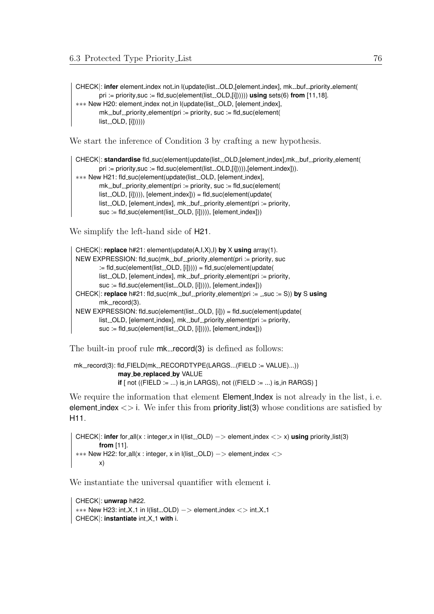CHECK|: infer element\_index not\_in l(update(list.\_OLD,[element\_index], mk\_buf\_priority\_element( pri := priority, suc := fld\_suc(element(list\_OLD,[i]))))) **using** sets(6) **from** [11,18]. ∗∗∗ New H20: element index not in l(update(list OLD, [element index],  $mk_{\text{-}}$ buf  $\text{-}$ priority element(pri := priority, suc := fld suc(element(  $list$ <sub>--</sub>OLD,  $[i]$ ))))))

We start the inference of Condition 3 by crafting a new hypothesis.

```
CHECK|: standardise fld_suc(element(update(list_OLD,[element_index],mk_buf_priority_element(
        pri := priority, suc := fld_suc(element(list_OLD,[i])))), [element_index])).
∗∗∗ New H21: fld_suc(element(update(list_OLD, [element_index],
        mk\_but\_priority\_element(pri := priority, suc := fid\_suc(element(list_OLD, [i])))), [element_index])) = fld_suc(element(update(
        list OLD, [element_index], mk_buf _priority_element(pri := priority,
        suc := fld_suc(element(list_OLD, [i])))), [element_index]))
```
We simplify the left-hand side of  $H21$ .

```
CHECK|: replace h#21: element(update(A,I,X),I) by X using array(1).
NEW EXPRESSION: fld_suc(mk_buf_priority_element(pri := priority, suc
        := fld_suc(element(list_OLD, [i])))) = fld_suc(element(update(
        list. OLD, [element_index], mk_buf_priority_element(pri := priority,
        suc := fld_suc(element(list_OLD, [i])))), [element_index]))
CHECK|: replace h#21: fld_suc(mk_buf_priority_element(pri := _,suc := S)) by S using
        mk\_record(3).
NEW EXPRESSION: fld_suc(element(list__OLD, [i])) = fld_suc(element(update(
        list_OLD, [element_index], mk_buf_priority_element(pri := priority,
        suc := fId_suc(element(list_cOLD, [i]))), [element\_index])
```
The built-in proof rule  $mk$ -record(3) is defined as follows:

```
mk_record(3): fld_FIELD(mk_RECORDTYPE(LARGS...(FIELD := VALUE)...))
              may be replaced by VALUE
              if [ not ((FIELD := ...) is \bot in LARGS), not (( FIELD := ...) is \bot in RARGS)[
```
We require the information that element **Element Index** is not already in the list, i.e. element index  $\langle \rangle$  i. We infer this from priority list(3) whose conditions are satisfied by H11.

```
CHECK|: infer for_all(x : integer,x in l(list_OLD) -> element_index <> x) using priority_list(3)
        from [11].
*** New H22: for_all(x : integer, x in l(list_OLD) -> element_index <>
        x)
```
We instantiate the universal quantifier with element i.

```
CHECK|: unwrap h#22.
∗∗∗ New H23: int X 1 in l(list OLD) −> element index <> int X 1
CHECK|: instantiate int X 1 with i.
```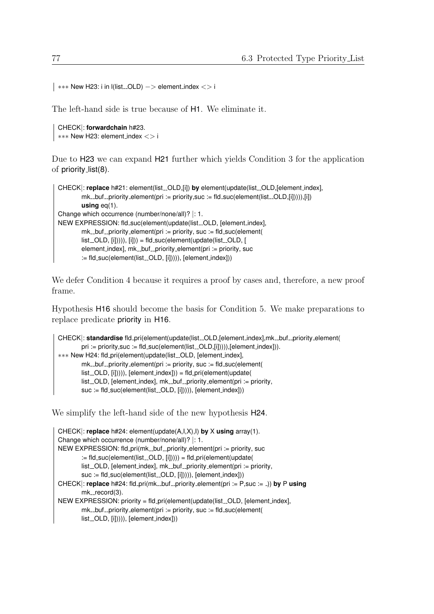```
∗∗∗ New H23: i in l(list OLD) −> element index <> i
```
The left-hand side is true because of H1. We eliminate it.

CHECK|: **forwardchain** h#23. ∗∗∗ New H23: element index <> i

Due to H23 we can expand H21 further which yields Condition 3 for the application of priority list(8).

```
CHECK|: replace h#21: element(list_OLD,[i]) by element(update(list_OLD,[element_index],
        mk\_but\_priority\_element(pri := priority, suc := fld\_succ(element(list\_OLD, [ii]))), [ii])using eq(1).
Change which occurrence (number/none/all)? |: 1.
NEW EXPRESSION: fld_suc(element(update(list_OLD, [element_index],
        mk_buf_priority_element(pri := priority, suc := fd_suc(element)list\_OLD, [i]))), [i])) = fld_suc(element(update(list_OLD, [
        element_index], mk\_but\_priority\_element(pri := priority, suc:= fld_suc(element(list_OLD, [i])))), [element_index]))
```
We defer Condition 4 because it requires a proof by cases and, therefore, a new proof frame.

Hypothesis H16 should become the basis for Condition 5. We make preparations to replace predicate priority in H16.

```
CHECK|: standardise fld_pri(element(update(list_OLD,[element_index],mk_buf_priority_element(
        pri := priority, succ := fId\_suc(element(list\_OLD,[i]))), [element_index])).
∗∗∗ New H24: fld pri(element(update(list OLD, [element index],
        mk\_but\_priority\_element(pri := priority, suc := fd\_suc(element(list_OLD, [i])))), [element_index])) = fld_pri(element(update(
        list_OLD, [element_index], mk_buf_priority_element(pri := priority,
        suc := fld_suc(element(list_OLD, [i])))), [element_index]))
```
We simplify the left-hand side of the new hypothesis  $H24$ .

```
CHECK|: replace h#24: element(update(A,I,X),I) by X using array(1).
Change which occurrence (number/none/all)? |: 1.
NEW EXPRESSION: fld_pri(mk_buf_priority_element(pri := priority, suc
        := fld_suc(element(list_OLD, [i])))) = fld_pri(element(update(
        list_OLD, [element_index], mk_buf_priority_element(pri := priority,
        suc := fld_suc(element(list_OLD, [i])))), [element_index]))
CHECK|: replace h#24: fld_pri(mk_buf_priority_element(pri := P,suc := _)) by P using
        mk\_record(3).
NEW EXPRESSION: priority = fld_pri(element(update(list_OLD, [element_index],
        mk\_but\_priority\_element(pri := priority, suc := fd\_suc(element(list_OLD, [i])))), [element_index]))
```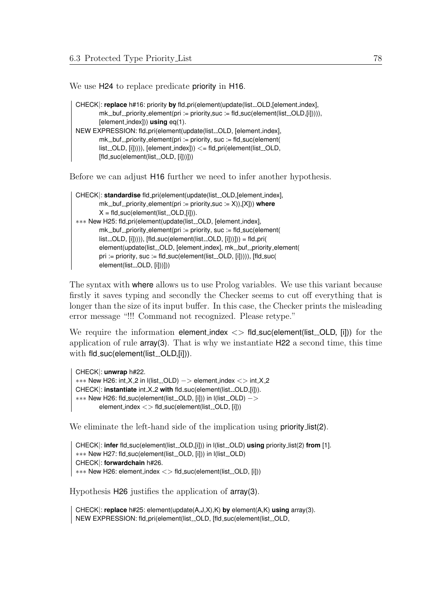We use H24 to replace predicate priority in H16.

```
CHECK|: replace h#16: priority by fld_pri(element(update(list_OLD,[element_index],
        mk\_but\_priority\_element(pri := priority, suc := fd\_suc(element(list\_OLD,[i])))),[element index])) using eq(1).
NEW EXPRESSION: fld_pri(element(update(list_OLD, [element_index],
        mk\_but\_priority\_element(pri := priority, suc := fd\_succ(element(list\_OLD, [i]))), [element\_index]) < = fId\_pri(element(list\_OLD,[fld_suc(element(list_OLD, [il))])
```
Before we can adjust H16 further we need to infer another hypothesis.

```
CHECK|: standardise fld_pri(element(update(list_OLD,[element_index],
        mk_{-}but_{-}priority_{-}element(pri := priority, suc := X)), [X]) where
        X = \frac{f}{d} suc(element(list_OLD,[i])).
∗∗∗ New H25: fld pri(element(update(list OLD, [element index],
        mk_buf_priority_element(pri := priority, suc := fld_suc(element(list\_OLD, [i]))), [fid\_succ(element(list\_OLD, [i]))]) = fd\_pri(element(update(list_OLD, [element_index], mk_buf_priority_element(
        pri := priority, suc := fld_suc(element(list_OLD, [i])))), [fld_suc(
        element(list_OLD, [i]))]))
```
The syntax with where allows us to use Prolog variables. We use this variant because firstly it saves typing and secondly the Checker seems to cut off everything that is longer than the size of its input buffer. In this case, the Checker prints the misleading error message "!!! Command not recognized. Please retype."

We require the information element index  $\langle \rangle$  fld suc(element(list OLD, [i])) for the application of rule array(3). That is why we instantiate H22 a second time, this time with fld\_suc(element(list\_OLD,[i])).

```
CHECK|: unwrap h#22.
∗∗∗ New H26: int X 2 in l(list OLD) −> element index <> int X 2
CHECK|: instantiate int X<sub>-2</sub> with fld_suc(element(list_OLD,[i])).
∗∗∗ New H26: fld_suc(element(list_OLD, [i])) in l(list_OLD) ->
        element_index \langle \rangle fld_suc(element(list_OLD, [i]))
```
We eliminate the left-hand side of the implication using **priority** list(2).

```
CHECK|: infer fld_suc(element(list_OLD,[i])) in l(list_OLD) using priority_list(2) from [1].
∗∗∗ New H27: fld_suc(element(list_OLD, [i])) in l(list_OLD)
CHECK|: forwardchain h#26.
∗∗∗ New H26: element index <> fld suc(element(list OLD, [i]))
```
Hypothesis H26 justifies the application of array(3).

CHECK|: **replace** h#25: element(update(A,J,X),K) **by** element(A,K) **using** array(3). NEW EXPRESSION: fld\_pri(element(list\_OLD, [fld\_suc(element(list\_OLD,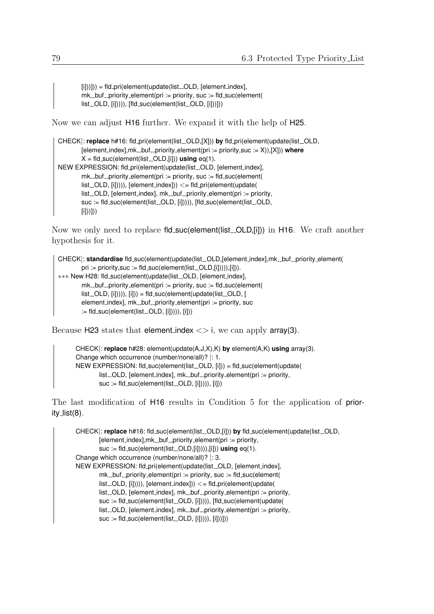$[i])$ ])) = fld\_pri(element(update(list\_OLD, [element\_index],  $mk\_but\_priority\_element(pri := priority, suc := fd\_suc(element($ list\_OLD, [i])))), [fld\_suc(element(list\_OLD, [i]))]))

Now we can adjust H16 further. We expand it with the help of H25.

```
CHECK|: replace h#16: fld_pri(element(list_OLD,[X])) by fld_pri(element(update(list_OLD,
        [element_index],mk_buf_priority_element(pri := priority,suc := X)),[X])) where
        X = \frac{f}{d} suc(element(list_OLD,[i])) using eq(1).
NEW EXPRESSION: fld_pri(element(update(list_OLD, [element_index],
        mk_buf_priority_element(pri := priority, suc := fd_suc(element(list<sub>-OLD</sub>, [i])))), [element_index])) <= fld_pri(element(update(
        list. OLD, [element_index], mk_buf_priority_element(pri := priority,
        suc := fld_suc(element(list_OLD, [i])))), [fld_suc(element(list_OLD,
        [i])))))
```
Now we only need to replace fld\_suc(element(list\_OLD,[i])) in H16. We craft another hypothesis for it.

```
CHECK|: standardise fld_suc(element(update(list_OLD,[element_index],mk_buf_priority_element(
        pri := priority, suc := fId\_suc(element(list\_OLD, [ii]))\, [ii]).∗∗∗ New H28: fld suc(element(update(list OLD, [element index],
        mk_buf_priority_element(pri := priority, suc := fd_suc(element(list<sub>-OLD</sub>, [i])))), [i])) = fld<sub>-</sub>suc(element(update(list<sub>-OLD</sub>, [
        element_index], mk\_but\_priority\_element(pri := priority, suc:= fld_suc(element(list_OLD, [i]))), [i]))
```
Because H23 states that element index  $\langle \rangle$  i, we can apply array(3).

```
CHECK|: replace h#28: element(update(A,J,X),K) by element(A,K) using array(3).
Change which occurrence (number/none/all)? |: 1.
NEW EXPRESSION: fld_suc(element(list_OLD, [i])) = fld_suc(element(update(
       list_OLD, [element_index], mk_buf_priority_element(pri := priority,
       suc := fId_suc(element(list_cOLD, [i]))), [i]))
```
The last modification of H16 results in Condition 5 for the application of priority\_list(8).

```
CHECK|: replace h#16: fld_suc(element(list_OLD,[i])) by fld_suc(element(update(list_OLD,
        [element\_index], mk\_but\_priority\_element (prii := priority,
        suc := fld_suc(element(list_OLD,[i])))),[i])) using eq(1).
Change which occurrence (number/none/all)? |: 3.
NEW EXPRESSION: fld_pri(element(update(list_OLD, [element_index],
        mk\_but\_priority\_element(pri := priority, suc := fld\_suc(element(list<sub>-OLD</sub>, [i])))), [element_index]) <= fd<sub>-</sub>pri(element(update(list_OLD, [element_index], mk_buf_priority_element(pri := priority,
        suc := fld_suc(element(list_OLD, [i])))), [fld_suc(element(update(
        list_OLD, [element_index], mk_buf_priority_element(pri := priority,
        suc := fId_suc(element(list_cOLD, [i]))), [i]))])
```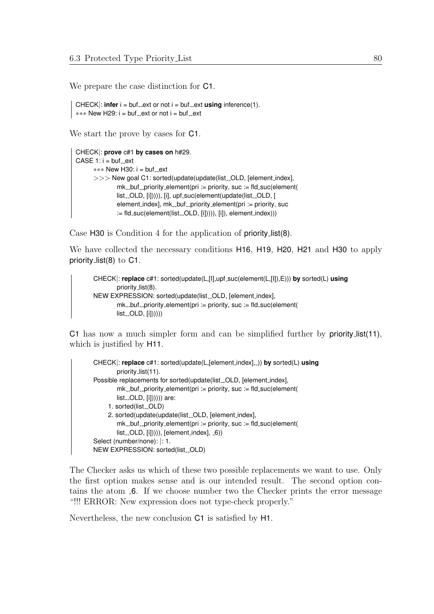We prepare the case distinction for C1.

 $CHECK$ : **infer**  $i = \text{buf}\_ext{ or not } i = \text{buf}\_ext{ using } inference(1).$ ∗∗∗ New H29: i = buf\_ext or not i = buf\_ext

We start the prove by cases for  $C1$ .

```
CHECK|: prove c#1 by cases on h#29.
CASE 1: i = but {\_}ext*** New H30: i = buf ext
      >>> New goal C1: sorted(update(update(list_OLD, [element_index],
              mk_buf_priority_element(pri := priority, suc := fld_suc(element(
              list_OLD, [i])))), [i], upf_suc(element(update(list_OLD, [
              element\_index], mk\_but\_priority\_element(pri := priority, suc:= fld_suc(element(list_OLD, [i])))), [i]), element_index)))
```
Case H30 is Condition 4 for the application of priority list(8).

We have collected the necessary conditions H16, H19, H20, H21 and H30 to apply priority\_list(8) to C1.

```
CHECK|: replace c#1: sorted(update(L,[I],upf suc(element(L,[I]),E))) by sorted(L) using
        priority_list(8).
NEW EXPRESSION: sorted(update(list_OLD, [element_index],
        mk\_but\_priority\_element(pri := priority, suc := fd\_suc(element(list<sub>--</sub>OLD, [i]])))))
```
C1 has now a much simpler form and can be simplified further by priority list(11), which is justified by  $H11$ .

```
CHECK|: replace c#1: sorted(update(L,[element index], )) by sorted(L) using
        priority list(11).
Possible replacements for sorted(update(list_OLD, [element_index],
        mk_buf_priority_element(pri := priority, suc := fd_suc(element(list<sub>-OLD</sub>, [i])))))) are:
     1. sorted(list_OLD)
     2. sorted(update(update(list_OLD, [element_index],
        mk\_but\_priority\_element(pri := priority, suc := fld\_suc(element(list. OLD, [i])))), [element_index], -6)
Select (number/none): |: 1.
NEW EXPRESSION: sorted(list_OLD)
```
The Checker asks us which of these two possible replacements we want to use. Only the first option makes sense and is our intended result. The second option contains the atom  $\epsilon$ . If we choose number two the Checker prints the error message "!!! ERROR: New expression does not type-check properly."

Nevertheless, the new conclusion C1 is satisfied by H1.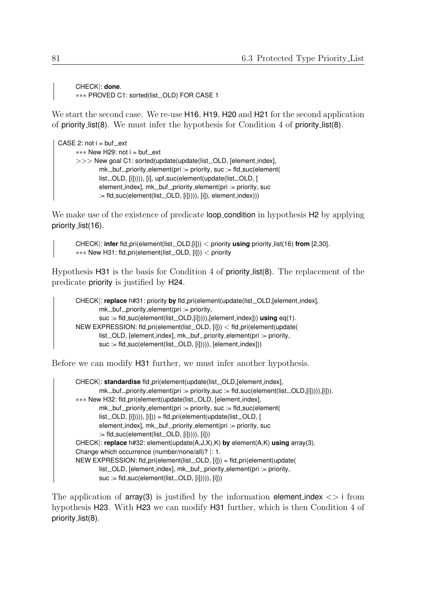CHECK|: **done**. ∗∗∗ PROVED C1: sorted(list OLD) FOR CASE 1

We start the second case. We re-use **H16, H19, H20** and **H21** for the second application of priority list(8). We must infer the hypothesis for Condition 4 of priority list(8).

```
CASE 2: not i = but _-ext∗∗∗∗ New H29: not i = buf_ext
      >> New goal C1: sorted(update(update(list_OLD, [element_index],
              mk\_but\_priority\_element(pri := priority, suc := fld\_suc(element(list_OLD, [i])))), [i], upf_suc(element(update(list_OLD, [
              element\_index], mk\_but\_priority\_element(pri := priority, suc:= fld_suc(element(list_OLD, [i])))), [i]), element_index)))
```
We make use of the existence of predicate **loop\_condition** in hypothesis **H2** by applying priority\_list(16).

CHECK|: **infer** fld\_pri(element(list\_OLD,[i])) < priority **using** priority\_list(16) **from** [2,30]. ∗∗∗ New H31: fld\_pri(element(list\_OLD, [i])) < priority

Hypothesis H31 is the basis for Condition 4 of priority list(8). The replacement of the predicate priority is justified by H24.

```
CHECK|: replace h#31: priority by fld_pri(element(update(list_OLD,[element_index],
        mk_buf_priority_element(pri := priority,suc := fld_suc(element(list_OLD,[i])))),[element_index])) using eq(1).
NEW EXPRESSION: fld_pri(element(list_OLD, [i])) < fld_pri(element(update(
        list \sim OLD, [element_index], mk_buf _priority element(pri := priority,
        suc := fld_suc(element(list_OLD, [i])))), [element_index]))
```
Before we can modify H31 further, we must infer another hypothesis.

```
CHECK|: standardise fld_pri(element(update(list_OLD,[element_index],
        mk\_but\_priority\_element(pri := priority, suc := fd\_succ(element(list\_OLD, [i]))), [i])).
∗∗∗ New H32: fld pri(element(update(list OLD, [element index],
        mk\_but\_priority\_element(pri := priority, suc := fld\_suc(element(list<sub>-OLD</sub>, [i])))), [i])) = fld<sub>-</sub>pri(element(update(list<sub>-OLD</sub>, [
        element\_index], mk\_but\_priority\_element(pri := priority, succ):= fld_suc(element(list_OLD, [i])))), [i]))
CHECK|: replace h#32: element(update(A,J,X),K) by element(A,K) using array(3).
Change which occurrence (number/none/all)? |: 1.
NEW EXPRESSION: fld_pri(element(list_OLD, [i])) = fld_pri(element(update(
        list OLD, felement indexl, mk buf priority element(pri := priority,
        suc := fId_suc(element(list_cOLD, [i]))), [i]))
```
The application of  $\arctan(3)$  is justified by the information element index  $\lt$  i from hypothesis H23. With H23 we can modify H31 further, which is then Condition 4 of priority\_list(8).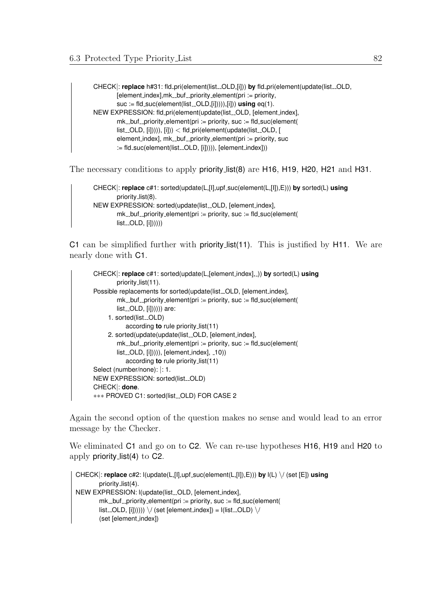CHECK|: replace h#31: fld\_pri(element(list\_OLD,[i])) by fld\_pri(element(update(list\_OLD,  $[element\_index]$ ,  $mk\_but\_priority$  element(pri := priority, suc := fld\_suc(element(list\_OLD,[i])))),[i])) **using** eq(1). NEW EXPRESSION: fld\_pri(element(update(list\_OLD, [element\_index],  $mk\_but\_priority\_element(pri := priority, suc := fld\_suc(element($  $list$ . OLD,  $[i]$ )))),  $[i]$ )) <  $f$ ld.pri(element(update(list. OLD, [ element\_index], mk\_buf\_priority\_element(pri := priority, suc := fld\_suc(element(list\_OLD, [i])))), [element\_index]))

The necessary conditions to apply priority list(8) are H16, H19, H20, H21 and H31.

```
CHECK|: replace c#1: sorted(update(L,[I],upf suc(element(L,[I]),E))) by sorted(L) using
         priority list(8).
NEW EXPRESSION: sorted(update(list_OLD, [element_index],
        mk\_but\_priority\_element(pri := priority, suc := fld\_suc(element(list<sub>--</sub>OLD, [i]))))))
```
C1 can be simplified further with priority list(11). This is justified by H11. We are nearly done with C1.

```
CHECK|: replace c#1: sorted(update(L,[element index], )) by sorted(L) using
        priority list(11).
Possible replacements for sorted(update(list_OLD, [element_index],
        mk\_but\_priority\_element(pri := priority, suc := fd\_suc(element(list<sub>--</sub>OLD, [i])))))) are:
     1. sorted(list_OLD)
           according to rule priority list(11)
     2. sorted(update(update(list_OLD, [element_index],
        mk_buf_priority_element(pri := priority, suc := fid_suc(element(list<sub>-OLD</sub>, [i])))), [element_index], (10)according to rule priority list(11)
Select (number/none): |: 1.
NEW EXPRESSION: sorted(list_OLD)
CHECK|: done.
∗∗∗ PROVED C1: sorted(list OLD) FOR CASE 2
```
Again the second option of the question makes no sense and would lead to an error message by the Checker.

We eliminated C1 and go on to C2. We can re-use hypotheses H16, H19 and H20 to apply priority list(4) to C2.

```
CHECK|: replace c#2: l(update(L,[I],upf suc(element(L,[I]),E))) by l(L) \/ (set [E]) using
         priority_list(4).
NEW EXPRESSION: I(update(list_OLD, [element_index],
         mk\_but\_priority\_element(pri := priority, suc := fid\_suc(element(list\_OLD, [i])))) \setminus \{ (set [element_index]) = I(list\_OLD) \setminus \emptyset(set [element index])
```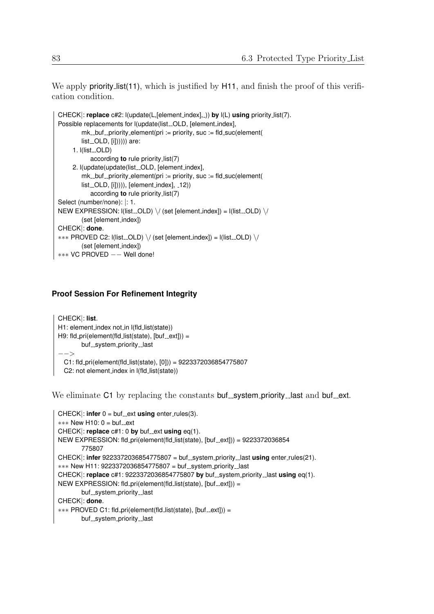We apply **priority list(11)**, which is justified by H11, and finish the proof of this verification condition.

```
CHECK|: replace c#2: l(update(L,[element index], )) by l(L) using priority list(7).
Possible replacements for l(update(list_OLD, [element_index],
        mk_buf_priority_element(pri := priority, suc := fd_suc(element(list. OLD, [i])))))) are:
     1. I(list_OLD)
           according to rule priority list(7)
     2. l(update(update(list_OLD, [element_index],
        mk_{\text{-}}buf \text{-}priority element(pri := priority, suc := fld suc(element(
        list_OLD, [i])))), [element_index], _12))
           according to rule priority list(7)
Select (number/none): |: 1.
NEW EXPRESSION: I(list\_OLD) \setminus / (set [element_index]) = I(list\_OLD) \setminus /(set [element index])
CHECK|: done.
*** PROVED C2: l(list_OLD) \/ (set [element_index]) = l(list_OLD) \/
        (set [element_index])
∗∗∗ VC PROVED −− Well done!
```
## **Proof Session For Refinement Integrity**

```
CHECK|: list.
H1: element_index not_in I(fld_list(state))
H9: fld_pri(element(fld_list(state), [but\_ext])) =
        buf...system..priority...last
−−>
  C1: fld pri(element(fld list(state), [0])) = 9223372036854775807
 C2: not element_index in I(fld_list(state))
```
We eliminate  $C1$  by replacing the constants buf system priority last and buf ext.

```
CHECK: infer 0 = \text{buf}\_ext{using enter}\_rule{0pt}{1.5pt} enter_rules(3).
*** New H10: 0 = buf_ext
CHECK|: replace c#1: 0 by buf ext using eq(1).
NEW EXPRESSION: fld_pri(element(fld_list(state), [but._ext])) = 9223372036854775807
CHECK: infer 9223372036854775807 = buf _system_priority_last using enter_rules(21).
*** New H11: 9223372036854775807 = buf_system_priority_last
CHECK|: replace c#1: 9223372036854775807 by buf_system_priority_last using eq(1).
NEW EXPRESSION: fld pri(element(fld_list(state), [but._ext]) =buf_system_priority_last
CHECK|: done.
*** PROVED C1: fld_pri(element(fld_list(state), [buf_ext])) =
        buf_system_priority_last
```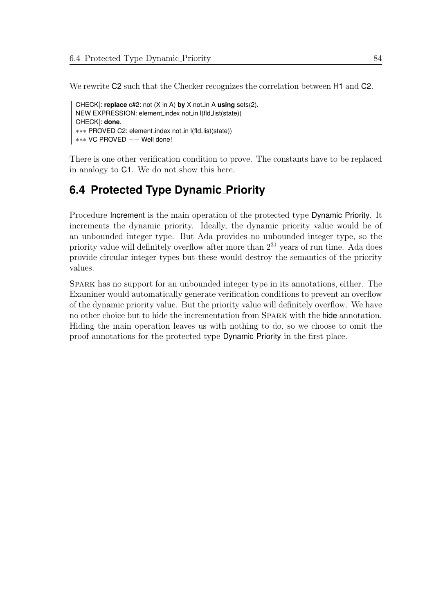We rewrite  $C2$  such that the Checker recognizes the correlation between H1 and  $C2$ .

```
CHECK|: replace c#2: not (X in A) by X not in A using sets(2).
NEW EXPRESSION: element index not in l(fld list(state))
CHECK|: done.
∗∗∗ PROVED C2: element index not in l(fld list(state))
∗∗∗ VC PROVED −− Well done!
```
There is one other verification condition to prove. The constants have to be replaced in analogy to C1. We do not show this here.

# **6.4 Protected Type Dynamic Priority**

Procedure Increment is the main operation of the protected type Dynamic Priority. It increments the dynamic priority. Ideally, the dynamic priority value would be of an unbounded integer type. But Ada provides no unbounded integer type, so the priority value will definitely overflow after more than  $2^{31}$  years of run time. Ada does provide circular integer types but these would destroy the semantics of the priority values.

Spark has no support for an unbounded integer type in its annotations, either. The Examiner would automatically generate verification conditions to prevent an overflow of the dynamic priority value. But the priority value will definitely overflow. We have no other choice but to hide the incrementation from Spark with the hide annotation. Hiding the main operation leaves us with nothing to do, so we choose to omit the proof annotations for the protected type Dynamic Priority in the first place.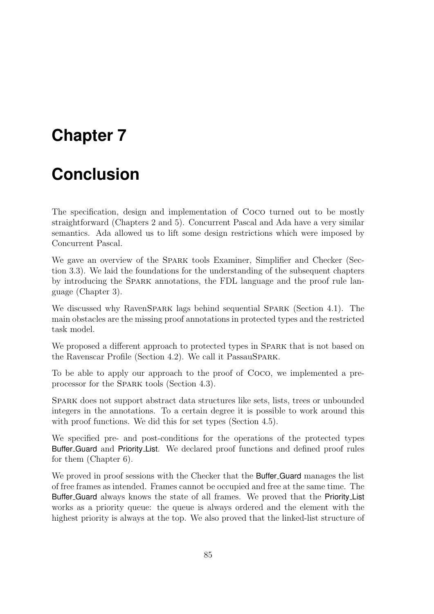# **Chapter 7**

# **Conclusion**

The specification, design and implementation of Coco turned out to be mostly straightforward (Chapters [2](#page-10-0) and [5\)](#page-40-0). Concurrent Pascal and Ada have a very similar semantics. Ada allowed us to lift some design restrictions which were imposed by Concurrent Pascal.

We gave an overview of the SPARK tools Examiner, Simplifier and Checker (Section [3.3\)](#page-18-0). We laid the foundations for the understanding of the subsequent chapters by introducing the Spark annotations, the FDL language and the proof rule language (Chapter [3\)](#page-12-0).

We discussed why RavenSPARK lags behind sequential SPARK (Section [4.1\)](#page-22-0). The main obstacles are the missing proof annotations in protected types and the restricted task model.

We proposed a different approach to protected types in SPARK that is not based on the Ravenscar Profile (Section [4.2\)](#page-24-0). We call it PassauSpark.

To be able to apply our approach to the proof of Coco, we implemented a preprocessor for the Spark tools (Section [4.3\)](#page-28-0).

Spark does not support abstract data structures like sets, lists, trees or unbounded integers in the annotations. To a certain degree it is possible to work around this with proof functions. We did this for set types (Section [4.5\)](#page-36-0).

We specified pre- and post-conditions for the operations of the protected types Buffer Guard and Priority List. We declared proof functions and defined proof rules for them (Chapter [6\)](#page-48-0).

We proved in proof sessions with the Checker that the **Buffer-Guard** manages the list of free frames as intended. Frames cannot be occupied and free at the same time. The Buffer Guard always knows the state of all frames. We proved that the Priority List works as a priority queue: the queue is always ordered and the element with the highest priority is always at the top. We also proved that the linked-list structure of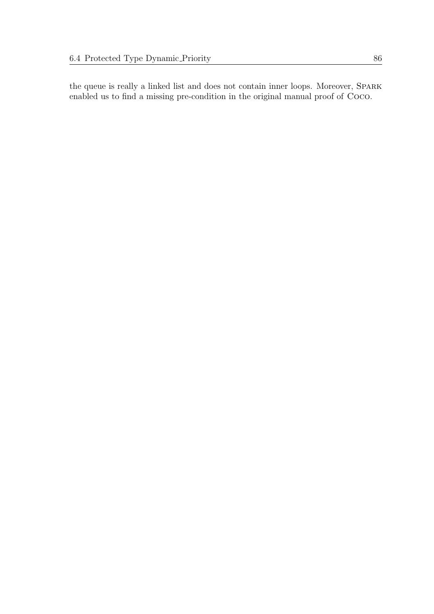the queue is really a linked list and does not contain inner loops. Moreover, Spark enabled us to find a missing pre-condition in the original manual proof of Coco.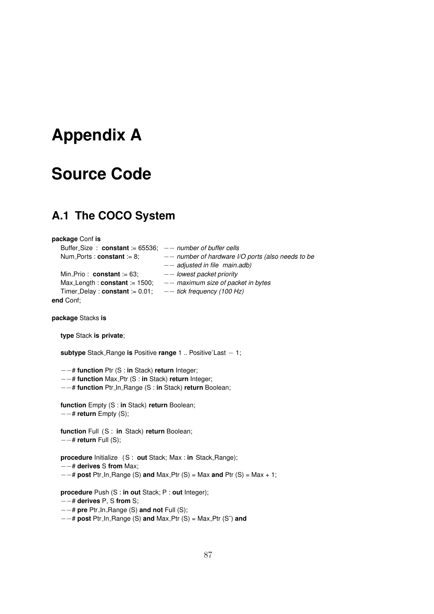# **Appendix A**

# **Source Code**

# **A.1 The COCO System**

**package** Conf **is** Buffer\_Size : **constant** := 65536; -- *number of buffer cells* Num Ports : **constant** := 8; −− *number of hardware I/O ports (also needs to be* −− *adjusted in file main.adb)* Min Prio : **constant** := 63; −− *lowest packet priority* Max Length : **constant** := 1500; −− *maximum size of packet in bytes* Timer Delay : **constant** := 0.01; −− *tick frequency (100 Hz)* **end** Conf; **package** Stacks **is type** Stack **is private**; **subtype** Stack Range **is** Positive **range** 1 .. Positive'Last − 1; −−# **function** Ptr (S : **in** Stack) **return** Integer; −−# **function** Max Ptr (S : **in** Stack) **return** Integer; −−# **function** Ptr In Range (S : **in** Stack) **return** Boolean; **function** Empty (S : **in** Stack) **return** Boolean; −−# **return** Empty (S); **function** Full (S : **in** Stack) **return** Boolean; −−# **return** Full (S); **procedure** Initialize (S : **out** Stack; Max : **in** Stack Range); −−# **derives** S **from** Max; −−# **post** Ptr In Range (S) **and** Max Ptr (S) = Max **and** Ptr (S) = Max + 1; **procedure** Push (S : **in out** Stack; P : **out** Integer); −−# **derives** P, S **from** S; −−# **pre** Ptr In Range (S) **and not** Full (S); −−# **post** Ptr In Range (S) **and** Max Ptr (S) = Max Ptr (S˜) **and**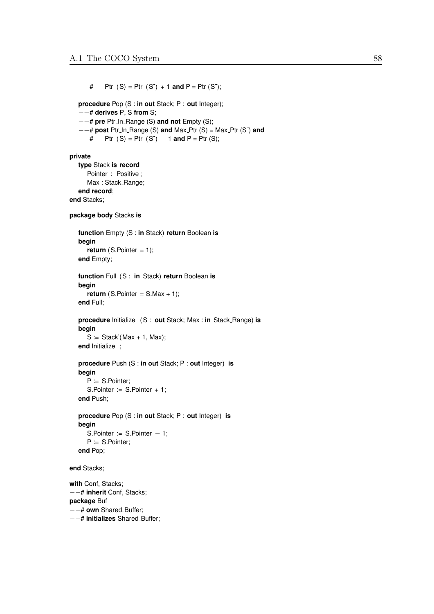$-$  + Ptr (S) = Ptr (S<sup> $\circ$ </sup>) + 1 **and** P = Ptr (S $\circ$ ); **procedure** Pop (S : **in out** Stack; P : **out** Integer); −−# **derives** P, S **from** S; −−# **pre** Ptr In Range (S) **and not** Empty (S); −−# **post** Ptr In Range (S) **and** Max Ptr (S) = Max Ptr (S˜) **and**  $-$  + Ptr (S) = Ptr (S<sup>o</sup>) − 1 **and** P = Ptr (S); **private type** Stack **is record** Pointer : Positive ; Max: Stack\_Range; **end record**; **end** Stacks; **package body** Stacks **is function** Empty (S : **in** Stack) **return** Boolean **is begin return** (S.Pointer = 1); **end** Empty; **function** Full (S : **in** Stack) **return** Boolean **is begin return** (S. Pointer =  $S.Max + 1$ ); **end** Full; **procedure** Initialize (S : **out** Stack; Max : **in** Stack Range) **is begin**  $S :=$  Stack'(Max + 1, Max); **end** Initialize ; **procedure** Push (S : **in out** Stack; P : **out** Integer) **is begin** P := S.Pointer; S.Pointer :=  $S.Pointer + 1$ ; **end** Push; **procedure** Pop (S : **in out** Stack; P : **out** Integer) **is begin** S.Pointer := S.Pointer – 1; P := S.Pointer; **end** Pop; **end** Stacks; **with** Conf, Stacks; −−# **inherit** Conf, Stacks; **package** Buf −−# **own** Shared Buffer;

−−# **initializes** Shared Buffer;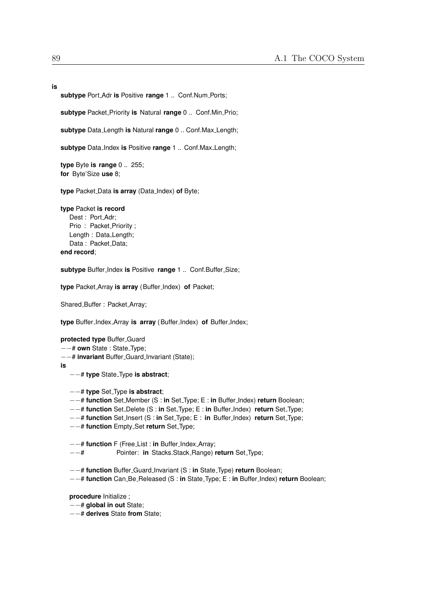**is**

**subtype** Port Adr **is** Positive **range** 1 .. Conf.Num Ports;

**subtype** Packet\_Priority **is** Natural *range* 0 .. Conf.Min\_Prio;

**subtype** Data Length **is** Natural **range** 0 .. Conf.Max Length;

**subtype** Data Index **is** Positive **range** 1 .. Conf.Max Length;

**type** Byte **is range** 0 .. 255; **for** Byte'Size **use** 8;

**type** Packet Data **is array** (Data Index) **of** Byte;

**type** Packet **is record**

Dest : Port\_Adr; Prio: Packet\_Priority; Length : Data Length; Data: Packet\_Data; **end record**;

**subtype** Buffer Index **is** Positive **range** 1 .. Conf.Buffer Size;

**type** Packet Array **is array** (Buffer Index) **of** Packet;

Shared\_Buffer: Packet\_Array;

**type** Buffer Index Array **is array** (Buffer Index) **of** Buffer Index;

#### **protected type** Buffer Guard

- −−# **own** State : State Type;
- −−# **invariant** Buffer Guard Invariant (State);

**is**

- −−# **type** State Type **is abstract**;
- −−# **type** Set Type **is abstract**;
- −−# **function** Set Member (S : **in** Set Type; E : **in** Buffer Index) **return** Boolean;
- −−# **function** Set Delete (S : **in** Set Type; E : **in** Buffer Index) **return** Set Type;
- −−# **function** Set Insert (S : **in** Set Type; E : **in** Buffer Index) **return** Set Type;
- −−# **function** Empty Set **return** Set Type;

−−# **function** F (Free List : **in** Buffer Index Array;

−−# Pointer: **in** Stacks.Stack Range) **return** Set Type;

−−# **function** Buffer Guard Invariant (S : **in** State Type) **return** Boolean;

−−# **function** Can Be Released (S : **in** State Type; E : **in** Buffer Index) **return** Boolean;

**procedure** Initialize ;

−−# **global in out** State;

−−# **derives** State **from** State;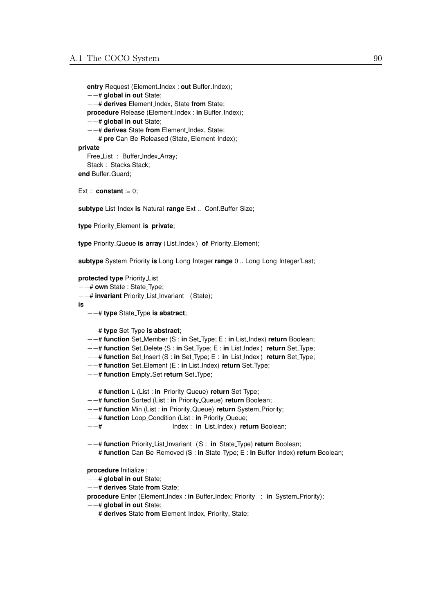**entry** Request (Element Index : **out** Buffer Index); −−# **global in out** State; −−# **derives** Element Index, State **from** State; **procedure** Release (Element Index : **in** Buffer Index); −−# **global in out** State; −−# **derives** State **from** Element Index, State; −−# **pre** Can Be Released (State, Element Index); **private** Free\_List : Buffer\_Index\_Array; Stack: Stacks.Stack;

end Buffer\_Guard;

Ext : **constant** :=  $0$ ;

**subtype** List Index **is** Natural **range** Ext .. Conf.Buffer Size;

**type** Priority Element **is private**;

**type** Priority Queue **is array** ( List Index ) **of** Priority Element;

**subtype** System Priority **is** Long Long Integer **range** 0 .. Long Long Integer'Last;

#### **protected type** Priority List

−−# **own** State : State Type;

−−# **invariant** Priority List Invariant (State);

**is**

- −−# **type** State Type **is abstract**;
- −−# **type** Set Type **is abstract**;
- −−# **function** Set Member (S : **in** Set Type; E : **in** List Index) **return** Boolean;
- −−# **function** Set Delete (S : **in** Set Type; E : **in** List Index ) **return** Set Type;
- −−# **function** Set Insert (S : **in** Set Type; E : **in** List Index ) **return** Set Type;
- −−# **function** Set Element (E : **in** List Index) **return** Set Type;
- −−# **function** Empty Set **return** Set Type;

−−# **function** L (List : **in** Priority Queue) **return** Set Type;

- −−# **function** Sorted (List : **in** Priority Queue) **return** Boolean;
- −−# **function** Min (List : **in** Priority Queue) **return** System Priority;
- −−# **function** Loop Condition (List : **in** Priority Queue;
- −−# Index : **in** List Index ) **return** Boolean;

−−# **function** Priority List Invariant (S : **in** State Type) **return** Boolean;

−−# **function** Can Be Removed (S : **in** State Type; E : **in** Buffer Index) **return** Boolean;

**procedure** Initialize ;

−−# **global in out** State;

−−# **derives** State **from** State;

- **procedure** Enter (Element\_Index : in Buffer\_Index; Priority : in System\_Priority);
- −−# **global in out** State;
- −−# **derives** State **from** Element Index, Priority, State;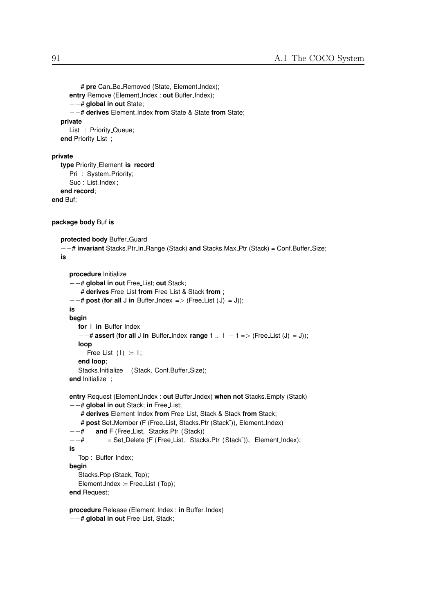```
−−# pre Can Be Removed (State, Element Index);
      entry Remove (Element Index : out Buffer Index);
      −−# global in out State;
      −−# derives Element Index from State & State from State;
   private
      List : Priority<sub>-Queue</sub>;
   end Priority List ;
private
  type Priority Element is record
      Pri : System_Priority;
      Suc : List_Index ;
   end record;
end Buf;
package body Buf is
  protected body Buffer Guard
   −−# invariant Stacks.Ptr In Range (Stack) and Stacks.Max Ptr (Stack) = Conf.Buffer Size;
  is
      procedure Initialize
      −−# global in out Free List; out Stack;
      −−# derives Free List from Free List & Stack from ;
      −−# post (for all J in Buffer Index => (Free List ( J) = J));
      is
      begin
        for I in Buffer Index
         −−# assert (for all J in Buffer Index range 1 .. I − 1 => (Free List (J) = J));
        loop
           Free List (1) := 1;
        end loop;
        Stacks.Initialize (Stack, Conf.Buffer_Size);
      end Initialize ;
      entry Request (Element Index : out Buffer Index) when not Stacks.Empty (Stack)
      −−# global in out Stack; in Free List;
      −−# derives Element Index from Free List, Stack & Stack from Stack;
      −−# post Set Member (F (Free List, Stacks.Ptr (Stack˜)), Element Index)
      −−# and F (Free List, Stacks.Ptr (Stack))
      −−# = Set Delete (F (Free List, Stacks.Ptr (Stack˜)), Element Index);
      is
        Top: Buffer_Index;
      begin
        Stacks.Pop (Stack, Top);
        Element_Index := Free_List (Top);
      end Request;
      procedure Release (Element Index : in Buffer Index)
```
−−# **global in out** Free List, Stack;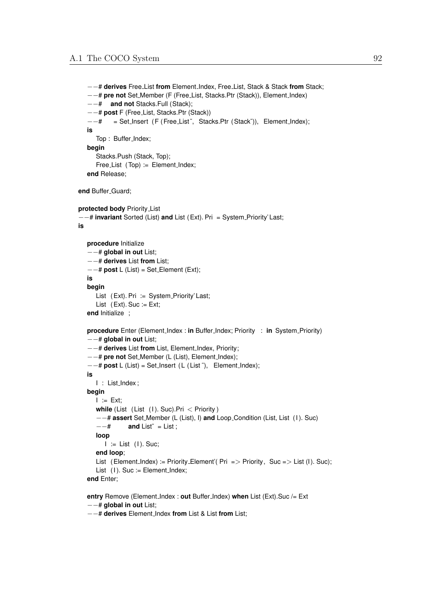```
−−# derives Free List from Element Index, Free List, Stack & Stack from Stack;
   −−# pre not Set Member (F (Free List, Stacks.Ptr (Stack)), Element Index)
   −−# and not Stacks.Full (Stack);
   −−# post F (Free List, Stacks.Ptr (Stack))
   −−# = Set Insert (F (Free List ˜, Stacks.Ptr (Stack˜)), Element Index);
  is
      Top: Buffer_Index;
  begin
     Stacks.Push (Stack, Top);
      Free_List (Top) := Element_Index;
   end Release;
end Buffer<sub>-Guard;</sub>
protected body Priority List
−−# invariant Sorted (List) and List (Ext). Pri = System Priority' Last;
is
  procedure Initialize
   −−# global in out List;
   −−# derives List from List;
   −−# post L (List) = Set Element (Ext);
   is
  begin
     List (Ext). Pri := System_Priority' Last;
     List (Ext). Suc := Ext;
  end Initialize ;
   procedure Enter (Element_Index : in Buffer_Index; Priority : in System_Priority)
   −−# global in out List;
   −−# derives List from List, Element Index, Priority;
   −−# pre not Set Member (L (List), Element Index);
   −−# post L (List) = Set Insert ( L ( List ˜), Element Index);
   is
     I : List_Index;
  begin
     I := Ext;while (List (List (I). Suc). Pri < Priority)
      −−# assert Set Member (L (List), I) and Loop Condition (List, List (I ). Suc)
      −−# and List˜ = List ;
     loop
        I := List (I). Suc:
     end loop;
      List (Element_Index) := Priority_Element'( Pri => Priority, Suc => List (I). Suc);
     List (1). Suc := Element_Index;
   end Enter;
   entry Remove (Element Index : out Buffer Index) when List (Ext).Suc /= Ext
```
−−# **global in out** List;

−−# **derives** Element Index **from** List & List **from** List;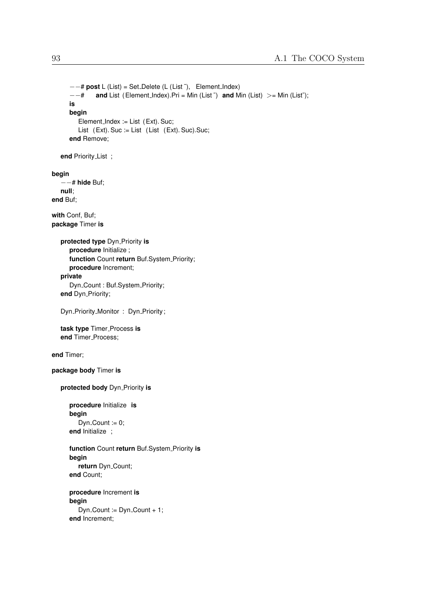```
−−# post L (List) = Set Delete (L (List ˜), Element Index)
      −−# and List (Element Index).Pri = Min (List ˜) and Min (List) >= Min (List˜);
      is
      begin
         Element_Index := List (Ext). Suc;
         List (Ext). Suc := List (List (Ext). Suc). Suc;
      end Remove;
   end Priority List ;
begin
   −−# hide Buf;
  null;
end Buf;
with Conf, Buf;
package Timer is
   protected type Dyn<sub>-Priority is</sub>
      procedure Initialize ;
      function Count return Buf.System_Priority;
      procedure Increment;
   private
      Dyn<sub>-Count</sub> : Buf.System<sub>-Priority;</sub>
   end Dyn_Priority;
   Dyn_Priority_Monitor: Dyn_Priority;
   task type Timer Process is
   end Timer<sub>-Process;</sub>
end Timer;
package body Timer is
   protected body Dyn Priority is
      procedure Initialize is
      begin
         Dyn_Count := 0;end Initialize ;
      function Count return Buf.System Priority is
      begin
         return Dyn<sub>-Count;</sub>
      end Count;
      procedure Increment is
      begin
         Dyn_Count := Dyn_Count + 1;
      end Increment;
```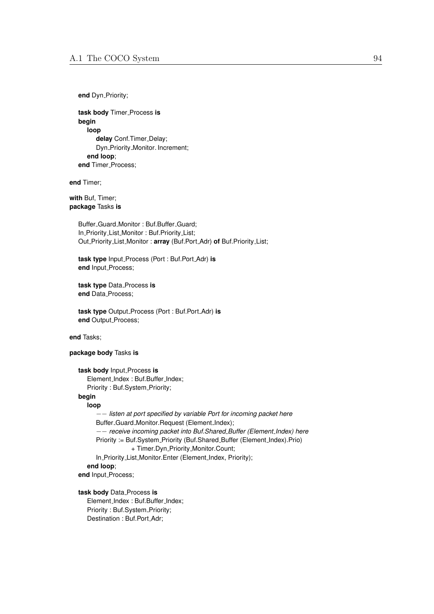**end** Dyn\_Priority;

**task body** Timer Process **is begin loop** delay Conf.Timer\_Delay; Dyn\_Priority\_Monitor. Increment; **end loop**; **end** Timer\_Process;

**end** Timer;

**with** Buf, Timer; **package** Tasks **is**

> Buffer Guard Monitor : Buf.Buffer Guard; In Priority List Monitor : Buf.Priority List; Out Priority List Monitor : **array** (Buf.Port Adr) **of** Buf.Priority List;

**task type** Input Process (Port : Buf.Port Adr) **is end** Input\_Process;

**task type** Data Process **is end** Data\_Process;

**task type** Output Process (Port : Buf.Port Adr) **is end** Output Process;

**end** Tasks;

**package body** Tasks **is**

**task body** Input Process **is** Element\_Index : Buf.Buffer\_Index; Priority : Buf.System\_Priority;

## **begin**

**loop** −− *listen at port specified by variable Port for incoming packet here* Buffer\_Guard\_Monitor.Request (Element\_Index); −− *receive incoming packet into Buf.Shared Buffer (Element Index) here* Priority := Buf.System\_Priority (Buf.Shared\_Buffer (Element\_Index).Prio) + Timer.Dyn\_Priority\_Monitor.Count; In\_Priority\_List\_Monitor.Enter (Element\_Index, Priority); **end loop**; end Input<sub>-Process;</sub>

**task body** Data Process **is** Element\_Index: Buf.Buffer\_Index; Priority: Buf.System\_Priority; Destination : Buf.Port\_Adr;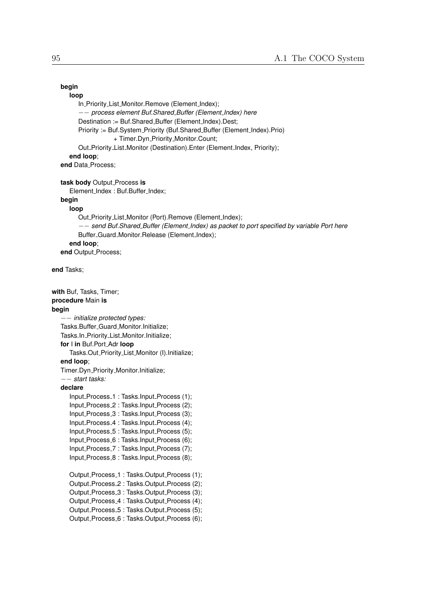## **begin**

```
loop
```

```
In_Priority_List_Monitor.Remove (Element_Index);
      −− process element Buf.Shared Buffer (Element Index) here
      Destination := Buf.Shared_Buffer (Element_Index).Dest;
      Priority := Buf.System_Priority (Buf.Shared_Buffer (Element_Index).Prio)
                  + Timer.Dyn_Priority_Monitor.Count;
      Out_Priority_List_Monitor (Destination).Enter (Element_Index, Priority);
  end loop;
end Data Process;
```
**task body** Output Process **is**

Element\_Index: Buf.Buffer\_Index;

#### **begin**

```
loop
   Out_Priority_List_Monitor (Port).Remove (Element_Index);
   −− send Buf.Shared Buffer (Element Index) as packet to port specified by variable Port here
   Buffer_Guard_Monitor.Release (Element_Index);
end loop;
```
**end** Output\_Process;

**end** Tasks;

```
with Buf, Tasks, Timer;
procedure Main is
begin
       −− initialize protected types:
   Tasks.Buffer Guard Monitor.Initialize;
   Tasks.In_Priority_List_Monitor.Initialize;
  for I in Buf.Port Adr loop
      Tasks.Out_Priority_List_Monitor (I).Initialize;
   end loop;
   Timer.Dyn_Priority_Monitor.Initialize;
   −− start tasks:
   declare
      Input Process 1 : Tasks.Input Process (1);
      Input Process 2 : Tasks.Input Process (2);
      Input_Process_3 : Tasks.Input_Process (3);
      Input Process 4 : Tasks.Input Process (4);
      Input Process 5 : Tasks.Input Process (5);
      Input Process 6 : Tasks.Input Process (6);
      Input Process 7 : Tasks.Input Process (7);
      Input Process 8 : Tasks.Input Process (8);
      Output Process 1: Tasks.Output Process (1);
      Output Process 2 : Tasks.Output Process (2);
      Output_Process_3 : Tasks.Output_Process (3);
      Output_Process_4 : Tasks.Output_Process (4);
      Output Process 5 : Tasks.Output Process (5);
      Output_Process_6 : Tasks.Output_Process (6);
```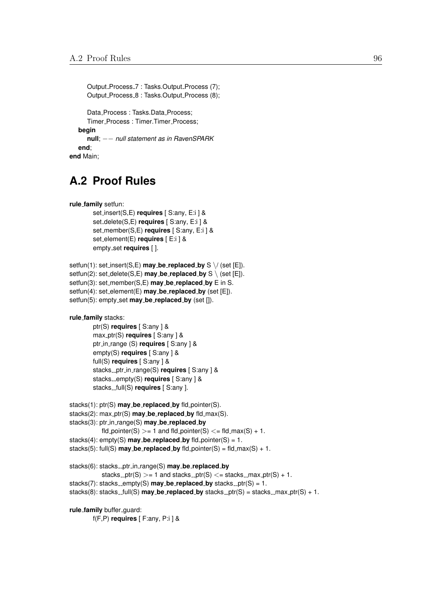```
Output_Process_7 : Tasks.Output_Process (7);
     Output Process 8 : Tasks.Output Process (8);
     Data_Process: Tasks.Data_Process:
     Timer Process : Timer.Timer Process;
  begin
     null; −− null statement as in RavenSPARK
  end;
end Main;
```
# **A.2 Proof Rules**

```
rule family setfun:
```

```
set insert(S,E) requires [ S:any, E:i ] &
set delete(S,E) requires [ S:any, E:i ] &
set member(S,E) requires [ S:any, E:i ] &
set element(E) requires [ E:i ] &
empty set requires [ ].
```

```
setfun(1): set insert(S,E) may be replaced by S \setminus \{(set [E])\}.
setfun(2): set_delete(S,E) may_be_replaced_by S \setminus (set [E]).
setfun(3): set member(S,E) may be replaced by E in S.
setfun(4): set element(E) may be replaced by (set [E]).
setfun(5): empty_set may_be_replaced_by (set []).
```

```
rule family stacks:
```

```
ptr(S) requires [ S:any ] &
max ptr(S) requires [ S:any ] &
ptr in range (S) requires [ S:any ] &
empty(S) requires [ S:any ] &
full(S) requires [ S:any ] &
stacks_ptr_in_range(S) requires [ S:any ] &
stacks_empty(S) requires [ S:any ] &
stacks_full(S) requires [ S:any ].
```

```
stacks(1): ptr(S) may be replaced by fld pointer(S).
stacks(2): max ptr(S) may be replaced by fld max(S).
stacks(3): ptr in range(S) may be replaced by
            fld_pointer(S) > = 1 and fld_pointer(S) \lt = fld_max(S) + 1.
stacks(4): empty(S) may be replaced by fld pointer(S) = 1.
stacks(5): full(S) \text{may}\_\text{be\_replaced}\_\text{by} fld\text{pointer}(S) = \text{fid}\_\text{max}(S) + 1.
```

```
stacks(6): stacks ptr in range(S) may be replaced by
             stacks _ptr(S) > = 1 and stacks ptr(S) \lt = stacks max ptr(S) + 1.
stacks(7): stacks_empty(S) \text{max}\_\text{be\_replaced}\_\text{bv} stacks_ptr(S) = 1.
stacks(8): stacks_full(S) \text{may}\_\text{be}\_\text{replaced}\_\text{by}\ stacks_ptr(S) = stacks_max_ptr(S) + 1.
```

```
rule_family buffer_guard:
```

```
f(F,P) requires [ F:any, P:i ] &
```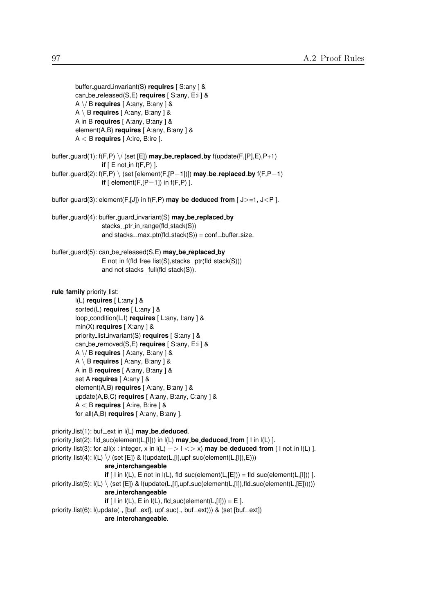```
buffer guard invariant(S) requires [ S:any ] &
        can be released(S,E) requires [ S:any, E:i ] &
        A \/ B requires [ A:any, B:any ] &
        A \ B requires [ A:any, B:any ] &
        A in B requires [ A:any, B:any ] &
        element(A,B) requires [ A:any, B:any ] &
        A < B requires [ A:ire, B:ire ].
buffer guard(1): f(F,P) \/ (set [E]) may be replaced by f(update(F,[P],E),P+1)
                  if [ E not in f(F, P) ].
buffer guard(2): f(F,P) \ (set [element(F,[P−1])]) may be replaced by f(F,P−1)
                  if [ element(F,[P−1]) in f(F,P) ].
buffer guard(3): element(F,[J]) in f(F,P) may be deduced from [ J>=1, J<P ].
buffer guard(4): buffer guard invariant(S) may be replaced by
                  stacks_ptr_in_range(fld_stack(S))
                  and stacks_max_ptr(fld_stack(S)) = conf\_buffer\_size.
buffer guard(5): can be released(S,E) may be replaced by
                  E not in f(fId_free_l] ist(S), stacks F_I(fId_f) stack(S)))
                  and not stacks. full(fId\_stack(S)).rule family priority list:
        l(L) requires [ L:any ] &
        sorted(L) requires [ L:any ] &
        loop condition(L,I) requires [ L:any, I:any ] &
        min(X) requires [ X:any ] &
        priority list invariant(S) requires [ S:any ] &
        can be removed(S,E) requires [ S:any, E:i ] &
        A \/ B requires [ A:any, B:any ] &
        A \ B requires [ A:any, B:any ] &
        A in B requires [ A:any, B:any ] &
        set A requires [ A:any ] &
        element(A,B) requires [ A:any, B:any ] &
        update(A,B,C) requires [ A:any, B:any, C:any ] &
        A < B requires [ A:ire, B:ire ] &
        for all(A,B) requires [ A:any, B:any ].
priority_list(1): buf_ext in I(L) may_be_deduced.
priority list(2): fld suc(element(L,[I])) in l(L) may be deduced from [ I in l(L) ].
priority list(3): for all(x : integer, x in l(L) −> I <> x) may be deduced from [ I not in l(L) ].
priority_list(4): I(L) \setminus I (set [E]) & I(update(L, [1], upf\_suc(element(L, [1]), E)))are interchangeable
                   \mathbf{if} \lceil l in \lceil(L), \lceil not in \lceil(L), fld suc(element(L,\lceilE))) = fld suc(element(L,\lceilI))) ].
priority list(5): I(L) \setminus (set [E]) & I(update(L, [1], upf\_suc(element(L, [1]), fid\_suc(element(L, [E])))))are interchangeable
```
**if**  $\lceil \text{I in I(L)}, \text{E in I(L)}, \text{fld}_suc(\text{element}(L,\lceil l \rceil)) = E \rceil.$ priority\_list(6): l(update(\_, [buf\_ext], upf\_suc(\_, buf\_ext))) & (set [buf\_ext]) **are interchangeable**.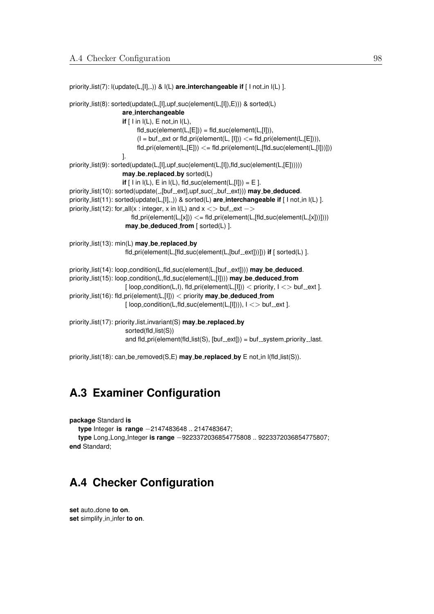priority\_list(7):  $I(update(L, [1], ...))$  &  $I(L)$  are\_interchangeable if [ I not\_in  $I(L)$  ]. priority\_list(8): sorted(update(L,[I],upf\_suc(element(L,[I]),E))) & sorted(L) **are interchangeable if**  $[ \, \text{I} \text{ in } I(L), \, \text{E} \text{ not in } I(L), \,$  $fld\_suc(element(L,[E])) = fld\_suc(element(L,[I])),$  $(I = but_{-}ext$  or fld\_pri(element(L, [I]))  $\lt = fd$ -pri(element(L, [E]))),  $fd\_pri(element(L, [E])) \leq fid\_pri(element(L, [fid\_succ(element(L, [I]))]))$ ]. priority\_list(9): sorted(update(L,[I],upf\_suc(element(L,[I]),fld\_suc(element(L,[E]))))) **may be replaced by** sorted(L) **if**  $[$  I in  $I(L)$ ,  $E$  in  $I(L)$ , fld\_suc(element $(L, [1])$ ) =  $E$  ]. priority\_list(10): sorted(update(\_,[buf\_ext],upf\_suc(\_,buf\_ext))) may\_be\_deduced. priority\_list(11): sorted(update(L,[I],\_)) & sorted(L) **are\_interchangeable if** [ I not\_in I(L) ]. priority\_list(12): for\_all(x : integer, x in  $I(L)$  and  $x \leq$  buf ext ->  $fd\_pri(element(L,[x])) \leq= fd\_pri(element(L,[fd\_succ(element(L,[x]))])))$ **may be deduced from** [ sorted(L) ]. priority list(13): min(L) **may be replaced by** fld\_pri(element(L,[fld\_suc(element(L,[buf\_ext]))])) if [ sorted(L) ]. priority\_list(14): loop\_condition(L,fld\_suc(element(L,[buf\_ext]))) **may\_be\_deduced**. priority list(15): loop condition(L,fld suc(element(L,[I]))) **may be deduced from** [ $loop_{\text{condition}}(L, I), \text{fid}_{\text{per}}(element(L, [I])) <$  priority,  $I \ll$  buf ext ]. priority list(16): fld pri(element(L,[I])) < priority **may be deduced from**  $[$  loop\_condition(L,fld\_suc(element(L, $[1]$ ))),  $1 \le$  buf \_\_ext ]. priority list(17): priority list invariant(S) **may be replaced by** sorted(fld\_list(S)) and fld\_pri(element(fld\_list(S),  $[but\_ext])$ ) = buf\_system\_priority\_last.

priority list(18): can be removed(S,E) **may be replaced by** E not in l(fld list(S)).

## **A.3 Examiner Configuration**

**package** Standard **is**

**type** Integer **is range** −2147483648 .. 2147483647;

**type** Long Long Integer **is range** −9223372036854775808 .. 9223372036854775807; **end** Standard;

# **A.4 Checker Configuration**

set auto\_done to on. **set** simplify in infer **to on**.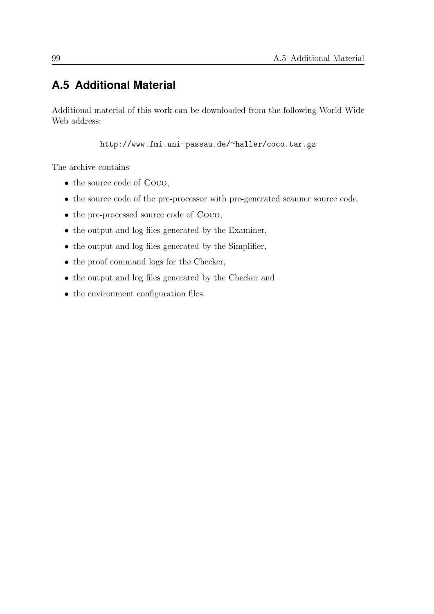# **A.5 Additional Material**

Additional material of this work can be downloaded from the following World Wide Web address:

[http://www.fmi.uni-passau.de/](http://www.fmi.uni-passau.de/~haller/coco.tar.gz)<sup>∼</sup>haller/coco.tar.gz

The archive contains

- the source code of Coco,
- the source code of the pre-processor with pre-generated scanner source code,
- the pre-processed source code of Coco,
- the output and log files generated by the Examiner,
- the output and log files generated by the Simplifier,
- the proof command logs for the Checker,
- the output and log files generated by the Checker and
- the environment configuration files.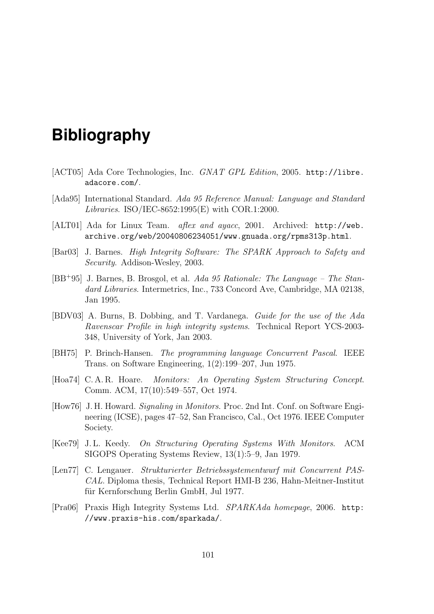## **Bibliography**

- [ACT05] Ada Core Technologies, Inc. GNAT GPL Edition, 2005. [http://libre.](http://libre.adacore.com/) [adacore.com/](http://libre.adacore.com/).
- [Ada95] International Standard. Ada 95 Reference Manual: Language and Standard Libraries. ISO/IEC-8652:1995(E) with COR.1:2000.
- [ALT01] Ada for Linux Team. aflex and ayacc, 2001. Archived: [http://web.](http://web.archive.org/web/20040806234051/www.gnuada.org/rpms313p.html) [archive.org/web/20040806234051/www.gnuada.org/rpms313p.html](http://web.archive.org/web/20040806234051/www.gnuada.org/rpms313p.html).
- [Bar03] J. Barnes. High Integrity Software: The SPARK Approach to Safety and Security. Addison-Wesley, 2003.
- [BB<sup>+</sup>95] J. Barnes, B. Brosgol, et al. Ada 95 Rationale: The Language The Standard Libraries. Intermetrics, Inc., 733 Concord Ave, Cambridge, MA 02138, Jan 1995.
- [BDV03] A. Burns, B. Dobbing, and T. Vardanega. Guide for the use of the Ada Ravenscar Profile in high integrity systems. Technical Report YCS-2003- 348, University of York, Jan 2003.
- [BH75] P. Brinch-Hansen. The programming language Concurrent Pascal. IEEE Trans. on Software Engineering, 1(2):199–207, Jun 1975.
- [Hoa74] C. A. R. Hoare. Monitors: An Operating System Structuring Concept. Comm. ACM, 17(10):549–557, Oct 1974.
- [How76] J. H. Howard. Signaling in Monitors. Proc. 2nd Int. Conf. on Software Engineering (ICSE), pages 47–52, San Francisco, Cal., Oct 1976. IEEE Computer Society.
- [Kee79] J. L. Keedy. On Structuring Operating Systems With Monitors. ACM SIGOPS Operating Systems Review, 13(1):5–9, Jan 1979.
- [Len77] C. Lengauer. Strukturierter Betriebssystementwurf mit Concurrent PAS-CAL. Diploma thesis, Technical Report HMI-B 236, Hahn-Meitner-Institut für Kernforschung Berlin GmbH, Jul 1977.
- [Pra06] Praxis High Integrity Systems Ltd. SPARKAda homepage, 2006. [http:](http://www.praxis-his.com/sparkada/) [//www.praxis-his.com/sparkada/](http://www.praxis-his.com/sparkada/).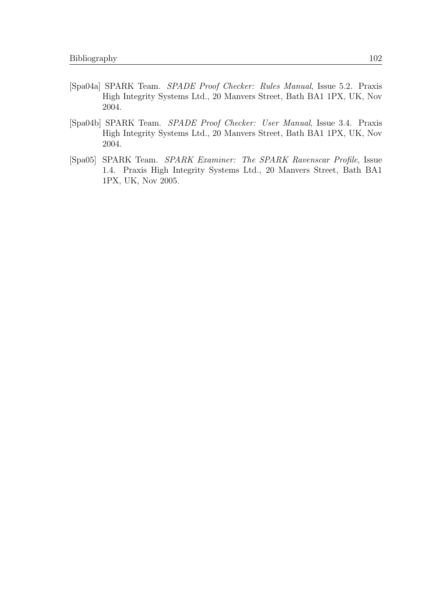- [Spa04a] SPARK Team. SPADE Proof Checker: Rules Manual, Issue 5.2. Praxis High Integrity Systems Ltd., 20 Manvers Street, Bath BA1 1PX, UK, Nov 2004.
- [Spa04b] SPARK Team. SPADE Proof Checker: User Manual, Issue 3.4. Praxis High Integrity Systems Ltd., 20 Manvers Street, Bath BA1 1PX, UK, Nov 2004.
- [Spa05] SPARK Team. SPARK Examiner: The SPARK Ravenscar Profile, Issue 1.4. Praxis High Integrity Systems Ltd., 20 Manvers Street, Bath BA1 1PX, UK, Nov 2005.